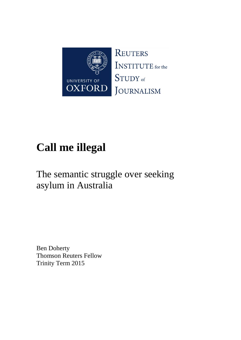

# **Call me illegal**

## The semantic struggle over seeking asylum in Australia

Ben Doherty Thomson Reuters Fellow Trinity Term 2015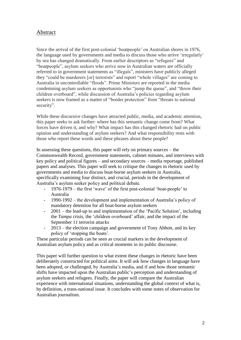#### Abstract

Since the arrival of the first post-colonial 'boatpeople' on Australian shores in 1976, the language used by governments and media to discuss those who arrive 'irregularly' by sea has changed dramatically. From earlier descriptors as "refugees" and "boatpeople", asylum seekers who arrive now in Australian waters are officially referred to in government statements as "illegals", ministers have publicly alleged they "could be murderers [or] terrorists" and report "whole villages" are coming to Australia in uncontrollable "floods". Prime Ministers are reported in the media condemning asylum seekers as opportunists who "jump the queue", and "throw their children overboard", while discussion of Australia's policies regarding asylum seekers is now framed as a matter of "border protection" from "threats to national security".

While these discursive changes have attracted public, media, and academic attention, this paper seeks to ask further: where has this semantic change come from? What forces have driven it, and why? What impact has this changed rhetoric had on public opinion and understanding of asylum seekers? And what responsibility rests with those who report these words and these phrases about these people?

In assessing these questions, this paper will rely on primary sources – the Commonwealth Record, government statements, cabinet minutes, and interviews with key policy and political figures – and secondary sources – media reportage, published papers and analyses. This paper will seek to critique the changes in rhetoric used by governments and media to discuss boat-borne asylum seekers in Australia, specifically examining four distinct, and crucial, periods in the development of Australia's asylum seeker policy and political debate.

- 1976-1979 the first 'wave' of the first post-colonial 'boat-people' to Australia
- 1990-1992 the development and implementation of Australia's policy of mandatory detention for all boat-borne asylum seekers
- 2001 the lead-up to and implementation of the 'Pacific Solution', including the *Tampa* crisis, the 'children overboard' affair, and the impact of the September 11 terrorist attacks
- 2013 the election campaign and government of Tony Abbott, and its key policy of 'stopping the boats'.

These particular periods can be seen as crucial markers in the development of Australian asylum policy and as critical moments in its public discourse.

This paper will further question to what extent these changes in rhetoric have been deliberately constructed for political aims. It will ask how changes in language have been adopted, or challenged, by Australia's media, and if and how those semantic shifts have impacted upon the Australian public's perception and understanding of asylum seekers and refugees. Finally, the paper will compare the Australian experience with international situations, understanding the global context of what is, by definition, a trans-national issue. It concludes with some notes of observation for Australian journalism.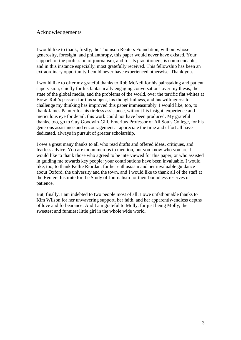#### Acknowledgements

I would like to thank, firstly, the Thomson Reuters Foundation, without whose generosity, foresight, and philanthropy, this paper would never have existed. Your support for the profession of journalism, and for its practitioners, is commendable, and in this instance especially, most gratefully received. This fellowship has been an extraordinary opportunity I could never have experienced otherwise. Thank you.

I would like to offer my grateful thanks to Rob McNeil for his painstaking and patient supervision, chiefly for his fantastically engaging conversations over my thesis, the state of the global media, and the problems of the world, over the terrific flat whites at Brew. Rob's passion for this subject, his thoughtfulness, and his willingness to challenge my thinking has improved this paper immeasurably. I would like, too, to thank James Painter for his tireless assistance, without his insight, experience and meticulous eye for detail, this work could not have been produced. My grateful thanks, too, go to Guy Goodwin-Gill, Emeritus Professor of All Souls College, for his generous assistance and encouragement. I appreciate the time and effort all have dedicated, always in pursuit of greater scholarship.

I owe a great many thanks to all who read drafts and offered ideas, critiques, and fearless advice. You are too numerous to mention, but you know who you are. I would like to thank those who agreed to be interviewed for this paper, or who assisted in guiding me towards key people: your contributions have been invaluable. I would like, too, to thank Kellie Riordan, for her enthusiasm and her invaluable guidance about Oxford, the university and the town, and I would like to thank all of the staff at the Reuters Institute for the Study of Journalism for their boundless reserves of patience.

But, finally, I am indebted to two people most of all: I owe unfathomable thanks to Kim Wilson for her unwavering support, her faith, and her apparently-endless depths of love and forbearance. And I am grateful to Molly, for just being Molly, the sweetest and funniest little girl in the whole wide world.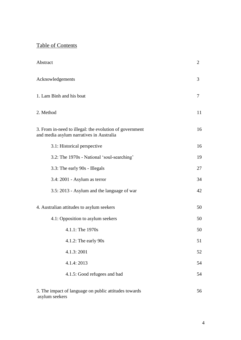## Table of Contents

asylum seekers

| Abstract                                                                                            | $\overline{2}$ |
|-----------------------------------------------------------------------------------------------------|----------------|
| Acknowledgements                                                                                    | 3              |
| 1. Lam Binh and his boat                                                                            | 7              |
| 2. Method                                                                                           | 11             |
| 3. From in-need to illegal: the evolution of government<br>and media asylum narratives in Australia | 16             |
| 3.1: Historical perspective                                                                         | 16             |
| 3.2: The 1970s - National 'soul-searching'                                                          | 19             |
| 3.3: The early 90s - Illegals                                                                       | 27             |
| 3.4: 2001 - Asylum as terror                                                                        | 34             |
| 3.5: 2013 - Asylum and the language of war                                                          | 42             |
| 4. Australian attitudes to asylum seekers                                                           | 50             |
| 4.1: Opposition to asylum seekers                                                                   | 50             |
| 4.1.1: The 1970s                                                                                    | 50             |
| $4.1.2$ : The early $90s$                                                                           | 51             |
| 4.1.3: 2001                                                                                         | 52             |
| 4.1.4: 2013                                                                                         | 54             |
| 4.1.5: Good refugees and bad                                                                        | 54             |
| 5. The impact of language on public attitudes towards                                               | 56             |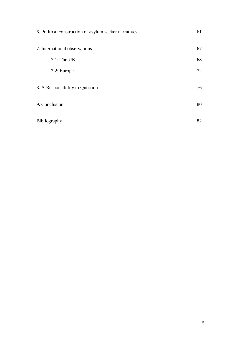| 6. Political construction of asylum seeker narratives | 61 |
|-------------------------------------------------------|----|
| 7. International observations                         | 67 |
| $7.1:$ The UK                                         | 68 |
| 7.2: Europe                                           | 72 |
| 8. A Responsibility to Question                       | 76 |
| 9. Conclusion                                         | 80 |
| Bibliography                                          | 82 |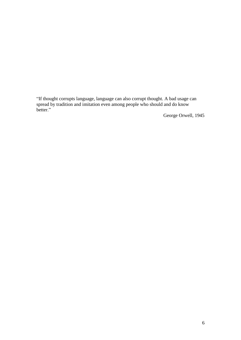"If thought corrupts language, language can also corrupt thought. A bad usage can spread by tradition and imitation even among people who should and do know better."

George Orwell, 1945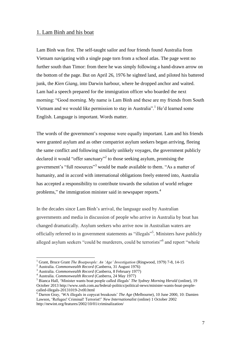#### 1. Lam Binh and his boat

Lam Binh was first. The self-taught sailor and four friends found Australia from Vietnam navigating with a single page torn from a school atlas. The page went no further south than Timor: from there he was simply following a hand-drawn arrow on the bottom of the page. But on April 26, 1976 he sighted land, and piloted his battered junk, the *Kien Giang*, into Darwin harbour, where he dropped anchor and waited. Lam had a speech prepared for the immigration officer who boarded the next morning: "Good morning. My name is Lam Binh and these are my friends from South Vietnam and we would like permission to stay in Australia".<sup>1</sup> He'd learned some English. Language is important. Words matter.

The words of the government's response were equally important. Lam and his friends were granted asylum and as other compatriot asylum seekers began arriving, fleeing the same conflict and following similarly unlikely voyages, the government publicly declared it would "offer sanctuary"<sup>2</sup> to those seeking asylum, promising the government's "full resources"<sup>3</sup> would be made available to them. "As a matter of humanity, and in accord with international obligations freely entered into, Australia has accepted a responsibility to contribute towards the solution of world refugee problems," the immigration minister said in newspaper reports.<sup>4</sup>

In the decades since Lam Binh's arrival, the language used by Australian governments and media in discussion of people who arrive in Australia by boat has changed dramatically. Asylum seekers who arrive now in Australian waters are officially referred to in government statements as "illegals"<sup>5</sup>. Ministers have publicly alleged asylum seekers "could be murderers, could be terrorists" and report "whole

<sup>1</sup> Grant, Bruce Grant *The Boatpeople: An 'Age' Investigation* (Ringwood, 1979) 7-8, 14-15

<sup>2</sup> Australia. *Commonwealth Record* (Canberra, 31 August 1976)

<sup>3</sup> Australia. *Commonwealth Record* (Canberra, 8 February 1977)

<sup>4</sup> Australia. *Commonwealth Record* (Canberra, 24 May 1977)

<sup>5</sup> Bianca Hall, 'Minister wants boat people called illegals' *The Sydney Morning Herald* (online), 19 October 2013 http://www.smh.com.au/federal-politics/political-news/minister-wants-boat-peoplecalled-illegals-20131019-2vtl0.html

<sup>6</sup> Darren Gray, 'WA illegals in copycat breakouts' *The Age* (Melbourne), 10 June 2000, 10: Damien Lawson, 'Refugee! Criminal! Terrorist!' *New Internationalist* (online) 1 October 2002 http://newint.org/features/2002/10/01/criminalization/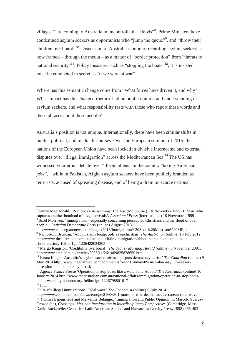villages"<sup>7</sup> are coming to Australia in uncontrollable "floods"<sup>8</sup>. Prime Ministers have condemned asylum seekers as opportunists who "jump the queue"<sup>9</sup>, and "throw their children overboard"<sup>10</sup>. Discussion of Australia's policies regarding asylum seekers is now framed – through the media – as a matter of "border protection" from "threats to national security"<sup>11</sup>. Policy measures such as "stopping the boats"<sup>12</sup>, it is insisted, must be conducted in secret as "if we were at war".<sup>13</sup>

Where has this semantic change come from? What forces have driven it, and why? What impact has this changed rhetoric had on public opinion and understanding of asylum seekers, and what responsibility rests with those who report these words and these phrases about these people?

Australia's position is not unique. Internationally, there have been similar shifts in public, political, and media discourses. Over the European summer of 2015, the nations of the European Union have been locked in divisive internecine and external disputes over "illegal immigration" across the Mediterranean Sea.<sup>14</sup> The US has witnessed vociferous debate over "illegal aliens" in the country "taking American jobs",<sup>15</sup> while in Pakistan, Afghan asylum seekers have been publicly branded as terrorists, accused of spreading disease, and of being a drain on scarce national

<sup>7</sup> Janine MacDonald, 'Refugee crisis warning' *The Age* (Melbourne), 18 November 1999, 1: 'Australia captures another boatload of illegal arrivals', *Associated Press* (international) 18 November 1999 8 Scott Morrison, 'Immigration – especially concerning persecuted Christians and the flood of boat people', *Christian Democratic Party* (online) August 2013

http://www.cdp.org.au/newsletter/august2013/Immigration%20Scott%20Morrison%20MP.pdf <sup>9</sup> Nicholson, Brendan, 'Abbott slams boatpeople as unchristian' *The Australian* (online) 10 July 2012 [http://www.theaustralian.com.au/national-affairs/immigration/abbott-slams-boatpeople-as-un](http://www.theaustralian.com.au/national-affairs/immigration/abbott-slams-boatpeople-as-un-christian/story-fn9hm1gu-1226422034305)[christian/story-fn9hm1gu-1226422034305](http://www.theaustralian.com.au/national-affairs/immigration/abbott-slams-boatpeople-as-un-christian/story-fn9hm1gu-1226422034305)

<sup>&</sup>lt;sup>10</sup> Margo Kingston, ['Credibility overboard'](http://www.smh.com.au/articles/2002/05/10/1020914043918.html), *The Sydney Morning Herald* (online), 8 November 2001, http://www.smh.com.au/articles/2003/11/26/1069825828659.html

<sup>&</sup>lt;sup>11</sup> Bruce Haigh, 'Australia's asylum seeker obsessions puts democracy at risk' *The Guardian* (online) 9 May 2014 [http://www.theguardian.com/commentisfree/2014/may/09/australias-asylum-seeker](http://www.theguardian.com/commentisfree/2014/may/09/australias-asylum-seeker-obsession-puts-democracy-at-risk)[obsession-puts-democracy-at-risk](http://www.theguardian.com/commentisfree/2014/may/09/australias-asylum-seeker-obsession-puts-democracy-at-risk)

<sup>12</sup> Agence France Presse 'Operation to stop boats like a war: Tony Abbott' *The Australian* (online) 10 January 2014 http://www.theaustralian.com.au/national-affairs/immigration/operation-to-stop-boatslike-a-war-tony-abbott/story-fn9hm1gu-1226798801617

 $^{\rm 13}$  Ibid

<sup>14</sup> 'Italy's illegal immigrations: Tidal wave' *The Economist* (online) 5 July 2014 http://www.economist.com/news/europe/21606301-more-horrific-deaths-mediterranean-tidal-wave

<sup>&</sup>lt;sup>15</sup> Thomas Espenshade and Maryanne Belanger, 'Immigration and Public Opinion' in Marcelo Suarez-Orozco (ed), *Crossings: Mexican Immigration in Interdisciplinary Perspectives* (Cambridge, Mass.: David Rockefeller Center for Latin American Studies and Harvard University Press, 1998) 365-403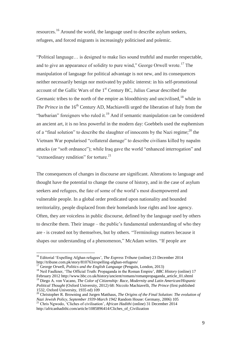resources.<sup>16</sup> Around the world, the language used to describe asylum seekers, refugees, and forced migrants is increasingly politicised and polemic.

"Political language… is designed to make lies sound truthful and murder respectable, and to give an appearance of solidity to pure wind," George Orwell wrote.<sup>17</sup> The manipulation of language for political advantage is not new, and its consequences neither necessarily benign nor motivated by public interest: in his self-promotional account of the Gallic Wars of the 1<sup>st</sup> Century BC, Julius Caesar described the Germanic tribes to the north of the empire as bloodthirsty and uncivilised,  $^{18}$  while in *The Prince* in the 16<sup>th</sup> Century AD, Machiavelli urged the liberation of Italy from the "barbarian" foreigners who ruled it.<sup>19</sup> And if semantic manipulation can be considered an ancient art, it is no less powerful in the modern day: Goebbels used the euphemism of a "final solution" to describe the slaughter of innocents by the Nazi regime;  $^{20}$  the Vietnam War popularised "collateral damage" to describe civilians killed by napalm attacks (or "soft ordnance"); while Iraq gave the world "enhanced interrogation" and "extraordinary rendition" for torture. $^{21}$ 

The consequences of changes in discourse are significant. Alterations to language and thought have the potential to change the course of history, and in the case of asylum seekers and refugees, the fate of some of the world's most disempowered and vulnerable people. In a global order predicated upon nationality and bounded territoriality, people displaced from their homelands lose rights and lose agency. Often, they are voiceless in public discourse, defined by the language used by others to describe them. Their image – the public's fundamental understanding of who they are - is created not by themselves, but by others. "Terminology matters because it shapes our understanding of a phenomenon," McAdam writes. "If people are

<sup>17</sup> George Orwell, *Politics and the English Language* (Penguin, London, 2013)

 $\overline{a}$ 

<sup>18</sup> Neil Faulkner, 'The Official Truth: Propaganda in the Roman Empire', *BBC History* (online) 17 February 2012 http://www.bbc.co.uk/history/ancient/romans/romanpropaganda\_article\_01.shtml

<sup>16</sup> Editorial 'Expelling Afghan refugees', *The Express Tribune* (online) 23 December 2014 http://tribune.com.pk/story/810763/expelling-afghan-refugees/

<sup>19</sup> Diego A. von Vacano, *The Color of Citizenship: Race, Modernity and Latin American/Hispanic Political Thought* (Oxford University, 2012) 68: Niccolo Machiavelli, *The Prince* (first published 1532, Oxford University, 1935 ed) 109

<sup>&</sup>lt;sup>20</sup> Christopher R. Browning and Jurgen Matthaus, *The Origins of the Final Solution: The evolution of Nazi Jewish Policy, September 1939-March 1942* Random House: Germany, 2006) 105

<sup>21</sup> Chris Ngwodo, 'Cliches of civilisation', *African Hadithi* (online) 31 December 2014 [http://africanhadithi.com/article/1085896414/Cliches\\_of\\_Civilization](http://africanhadithi.com/article/1085896414/Cliches_of_Civilization)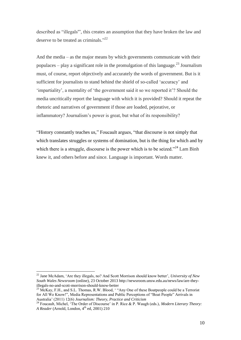described as "illegals'", this creates an assumption that they have broken the law and deserve to be treated as criminals."<sup>22</sup>

And the media – as the major means by which governments communicate with their populaces – play a significant role in the promulgation of this language.<sup>23</sup> Journalism must, of course, report objectively and accurately the words of government. But is it sufficient for journalists to stand behind the shield of so-called 'accuracy' and 'impartiality', a mentality of 'the government said it so we reported it'? Should the media uncritically report the language with which it is provided? Should it repeat the rhetoric and narratives of government if those are loaded, pejorative, or inflammatory? Journalism's power is great, but what of its responsibility?

"History constantly teaches us," Foucault argues, "that discourse is not simply that which translates struggles or systems of domination, but is the thing for which and by which there is a struggle, discourse is the power which is to be seized."<sup>24</sup> Lam Binh knew it, and others before and since. Language is important. Words matter.

<sup>22</sup> Jane McAdam, 'Are they illegals, no? And Scott Morrison should know better', *University of New South Wales Newsroom* (online), 23 October 2013 [http://newsroom.unsw.edu.au/news/law/are-they](http://newsroom.unsw.edu.au/news/law/are-they-illegals-no-and-scott-morrison-should-know-better)[illegals-no-and-scott-morrison-should-know-better](http://newsroom.unsw.edu.au/news/law/are-they-illegals-no-and-scott-morrison-should-know-better)

 $^{23}$  McKay, F.H., and S.L. Thomas, R.W. Blood, '"Any One of these Boatpeople could be a Terrorist for All We Know!", Media Representations and Public Perceptions of "Boat People" Arrivals in Australia' (2011) 12(6) *Journalism: Theory, Practice and Criticism*

<sup>24</sup> Foucault, Michel, 'The Order of Discourse' in P. Rice & P. Waugh (eds.), *Modern Literary Theory: A Reader* (Arnold, London, 4<sup>th</sup> ed, 2001) 210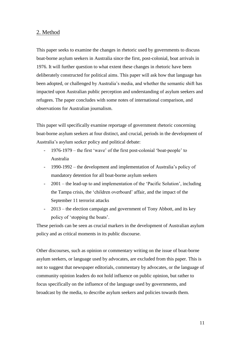#### 2. Method

This paper seeks to examine the changes in rhetoric used by governments to discuss boat-borne asylum seekers in Australia since the first, post-colonial, boat arrivals in 1976. It will further question to what extent these changes in rhetoric have been deliberately constructed for political aims. This paper will ask how that language has been adopted, or challenged by Australia's media, and whether the semantic shift has impacted upon Australian public perception and understanding of asylum seekers and refugees. The paper concludes with some notes of international comparison, and observations for Australian journalism.

This paper will specifically examine reportage of government rhetoric concerning boat-borne asylum seekers at four distinct, and crucial, periods in the development of Australia's asylum seeker policy and political debate:

- 1976-1979 the first 'wave' of the first post-colonial 'boat-people' to Australia
- 1990-1992 the development and implementation of Australia's policy of mandatory detention for all boat-borne asylum seekers
- 2001 the lead-up to and implementation of the 'Pacific Solution', including the Tampa crisis, the 'children overboard' affair, and the impact of the September 11 terrorist attacks
- $2013$  the election campaign and government of Tony Abbott, and its key policy of 'stopping the boats'.

These periods can be seen as crucial markers in the development of Australian asylum policy and as critical moments in its public discourse.

Other discourses, such as opinion or commentary writing on the issue of boat-borne asylum seekers, or language used by advocates, are excluded from this paper. This is not to suggest that newspaper editorials, commentary by advocates, or the language of community opinion leaders do not hold influence on public opinion, but rather to focus specifically on the influence of the language used by governments, and broadcast by the media, to describe asylum seekers and policies towards them.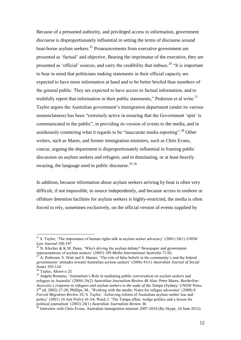Because of a presumed authority, and privileged access to information, government discourse is disproportionately influential in setting the terms of discourse around boat-borne asylum seekers.<sup>25</sup> Pronouncements from executive government are presented as 'factual' and objective. Bearing the imprimatur of the executive, they are presented as 'official' sources, and carry the credibility that imbues.<sup>26</sup> "It is important to bear in mind that politicians making statements in their official capacity are expected to have more information at hand and to be better briefed than members of the general public. They are expected to have access to factual information, and to truthfully report that information in their public statements," Pedersen et al write. $27$ Taylor argues the Australian government's immigration department (under its various nomenclatures) has been "extremely active in ensuring that the Government 'spin' is communicated to the public", in providing its version of events to the media, and in assiduously countering what it regards to be "inaccurate media reporting".<sup>28</sup> Other writers, such as Mares, and former immigration ministers, such as Chris Evans, concur, arguing the department is disproportionately influential in framing public discussion on asylum seekers and refugees, and in dominating, or at least heavily swaying, the language used in public discourse.<sup>29 30</sup>

In addition, because information about asylum seekers arriving by boat is often very difficult, if not impossible, to source independently, and because access to onshore or offshore detention facilities for asylum seekers is highly-restricted, the media is often forced to rely, sometimes exclusively, on the official version of events supplied by

<sup>25</sup> S. Taylor, 'The importance of human rights talk in asylum seeker advocacy' (2001) 24(1) *UNSW Law Journal* 196-197

<sup>&</sup>lt;sup>26</sup> N. Klocker & K.M. Dunn, 'Who's driving the asylum debate? Newspaper and government representations of asylum seekers' (2003) 109 *Media International Australia* 71-92.

<sup>27</sup> A. Pedersen, S. Watt and S. Hanser, 'The role of false beliefs in the community's and the federal governments' attitudes toward Australian asylum seekers' (2006) 41(1) *Australian Journal of Social Issues* 105-124

<sup>&</sup>lt;sup>28</sup> Taylor, Above n 25

<sup>&</sup>lt;sup>29</sup> Angela Romano, 'Journalism's Role in mediating public conversation on asylum seekers and refugees in Australia' (2004) 26(2) *Australian Journalism Review* 48 Also: Peter Mares, *Borderline: Australia's response to refugees and asylum seekers in the wake of the Tampa* (Sydney: UNSW Press, 2<sup>nd</sup> ed, 2002) 27-28; Phillips, M., 'Working with the media: Notes for refugee advocates' (2000) 8 *Forced Migration Review* 33; S. Taylor, 'Achieving reform of Australian asylum-seeker law and policy' (2001) 24 *Just Policy* 41-54; Ward, I. 'The Tampa affair, wedge politics and a lesson for political journalism' (2002) 24(1) *Australian Journalism Review* 36

 $30$  Interview with Chris Evans, Australian immigration minister 2007-2010 (By Skype, 16 June 2015)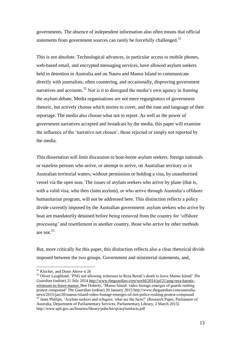governments. The absence of independent information also often means that official statements from government sources can rarely be forcefully challenged.<sup>31</sup>

This is not absolute. Technological advances, in particular access to mobile phones, web-based email, and encrypted messaging services, have allowed asylum seekers held in detention in Australia and on Nauru and Manus Island to communicate directly with journalists, often countering, and occasionally, disproving government narratives and accounts.<sup>32</sup> Nor is it to disregard the media's own agency in framing the asylum debate. Media organisations are not mere regurgitators of government rhetoric, but actively choose which stories to cover, and the tone and language of their reportage. The media also choose what not to report. As well as the power of government narratives accepted and broadcast by the media, this paper will examine the influence of the 'narrative not chosen', those rejected or simply not reported by the media.

This dissertation will limit discussion to boat-borne asylum seekers: foreign nationals or stateless persons who arrive, or attempt to arrive, on Australian territory or in Australian territorial waters, without permission or holding a visa, by unauthorised vessel via the open seas. The issues of asylum seekers who arrive by plane (that is, with a valid visa, who then claim asylum), or who arrive through Australia's offshore humanitarian program, will not be addressed here. This distinction reflects a policy divide currently imposed by the Australian government: asylum seekers who arrive by boat are mandatorily detained before being removed from the country for 'offshore processing' and resettlement in another country, those who arrive by other methods are not.<sup>33</sup>

But, more critically for this paper, this distinction reflects also a clear rhetorical divide imposed between the two groups. Government and ministerial statements, and,

<sup>&</sup>lt;sup>31</sup> Klocker, and Dunn Above n 26

<sup>32</sup> Oliver Laughland, 'PNG not allowing witnesses to Reza Berati's death to leave Manus Island' *The Guardian* (online) 21 July 201[4 http://www.theguardian.com/world/2014/jul/21/png-reza-baratis](http://www.theguardian.com/world/2014/jul/21/png-reza-baratis-witnesses-to-leave-manus)[witnesses-to-leave-manus:](http://www.theguardian.com/world/2014/jul/21/png-reza-baratis-witnesses-to-leave-manus) Ben Doherty, 'Manus Island: video footage emerges of guards rushing protest compound' *The Guardian* (online) 20 January 2015 http://www.theguardian.com/australianews/2015/jan/20/manus-island-video-footage-emerges-of-riot-police-rushing-protest-compound <sup>33</sup> Janet Phillips, 'Asylum seekers and refugees: what are the facts?' (Research Paper, Parliament of

Australia, Department of Parliamentary Services, Parliamentary Library, 2 March 2015) http://www.aph.gov.au/binaries/library/pubs/bn/sp/asylumfacts.pdf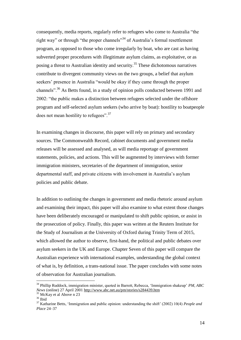consequently, media reports, regularly refer to refugees who come to Australia "the right way" or through "the proper channels"<sup>34</sup> of Australia's formal resettlement program, as opposed to those who come irregularly by boat, who are cast as having subverted proper procedures with illegitimate asylum claims, as exploitative, or as posing a threat to Australian identity and security.<sup>35</sup> These dichotomous narratives contribute to divergent community views on the two groups, a belief that asylum seekers' presence in Australia "would be okay if they came through the proper channels"<sup>36</sup> As Betts found, in a study of opinion polls conducted between 1991 and 2002: "the public makes a distinction between refugees selected under the offshore program and self-selected asylum seekers (who arrive by boat): hostility to boatpeople does not mean hostility to refugees".<sup>37</sup>

In examining changes in discourse, this paper will rely on primary and secondary sources. The Commonwealth Record, cabinet documents and government media releases will be assessed and analysed, as will media reportage of government statements, policies, and actions. This will be augmented by interviews with former immigration ministers, secretaries of the department of immigration, senior departmental staff, and private citizens with involvement in Australia's asylum policies and public debate.

In addition to outlining the changes in government and media rhetoric around asylum and examining their impact, this paper will also examine to what extent those changes have been deliberately encouraged or manipulated to shift public opinion, or assist in the prosecution of policy. Finally, this paper was written at the Reuters Institute for the Study of Journalism at the University of Oxford during Trinity Term of 2015, which allowed the author to observe, first-hand, the political and public debates over asylum seekers in the UK and Europe. Chapter Seven of this paper will compare the Australian experience with international examples, understanding the global context of what is, by definition, a trans-national issue. The paper concludes with some notes of observation for Australian journalism.

<sup>34</sup> Phillip Ruddock, immigration minister, quoted in Barrett, Rebecca, 'Immigration shakeup' *PM, ABC News* (online) 27 April 2001<http://www.abc.net.au/pm/stories/s284439.htm>

<sup>&</sup>lt;sup>35</sup> McKay et al Above n 23

 $36$  Ibid

<sup>37</sup> Katharine Betts, 'Immigration and public opinion: understanding the shift' (2002) 10(4) *People and Place* 24–37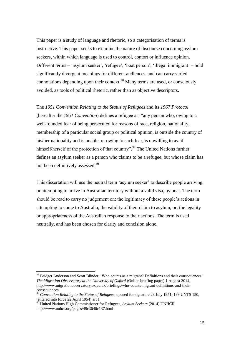This paper is a study of language and rhetoric, so a categorisation of terms is instructive. This paper seeks to examine the nature of discourse concerning asylum seekers, within which language is used to control, contort or influence opinion. Different terms – 'asylum seeker', 'refugee', 'boat person', 'illegal immigrant' – hold significantly divergent meanings for different audiences, and can carry varied connotations depending upon their context.<sup>38</sup> Many terms are used, or consciously avoided, as tools of political rhetoric, rather than as objective descriptors.

The *1951 Convention Relating to the Status of Refugees* and its *1967 Protocol* (hereafter the *1951 Convention*) defines a refugee as: "any person who, owing to a well-founded fear of being persecuted for reasons of race, religion, nationality, membership of a particular social group or political opinion, is outside the country of his/her nationality and is unable, or owing to such fear, is unwilling to avail himself/herself of the protection of that country".<sup>39</sup> The United Nations further defines an asylum seeker as a person who claims to be a refugee, but whose claim has not been definitively assessed.<sup>40</sup>

This dissertation will use the neutral term 'asylum seeker' to describe people arriving, or attempting to arrive in Australian territory without a valid visa, by boat. The term should be read to carry no judgement on: the legitimacy of these people's actions in attempting to come to Australia; the validity of their claim to asylum, or; the legality or appropriateness of the Australian response to their actions. The term is used neutrally, and has been chosen for clarity and concision alone.

<sup>&</sup>lt;sup>38</sup> Bridget Anderson and Scott Blinder, 'Who counts as a migrant? Definitions and their consequences' *The Migration Observatory at the University of Oxford* (Online briefing paper) 1 August 2014, http://www.migrationobservatory.ox.ac.uk/briefings/who-counts-migrant-definitions-and-theirconsequences

<sup>39</sup> *Convention Relating to the Status of Refugees*, opened for signature 28 July 1951, 189 UNTS 150, (entered into force 22 April 1954) art 1

<sup>40</sup> United Nations High Commissioner for Refugees, *Asylum Seekers* (2014) UNHCR http://www.unhcr.org/pages/49c3646c137.html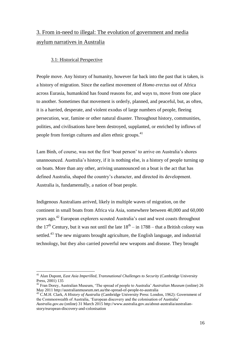### 3. From in-need to illegal: The evolution of government and media asylum narratives in Australia

#### 3.1: Historical Perspective

People move. Any history of humanity, however far back into the past that is taken, is a history of migration. Since the earliest movement of *Homo erectus* out of Africa across Eurasia, humankind has found reasons for, and ways to, move from one place to another. Sometimes that movement is orderly, planned, and peaceful, but, as often, it is a harried, desperate, and violent exodus of large numbers of people, fleeing persecution, war, famine or other natural disaster. Throughout history, communities, polities, and civilisations have been destroyed, supplanted, or enriched by inflows of people from foreign cultures and alien ethnic groups.<sup>41</sup>

Lam Binh, of course, was not the first 'boat person' to arrive on Australia's shores unannounced. Australia's history, if it is nothing else, is a history of people turning up on boats. More than any other, arriving unannounced on a boat is the act that has defined Australia, shaped the country's character, and directed its development. Australia is, fundamentally, a nation of boat people.

Indigenous Australians arrived, likely in multiple waves of migration, on the continent in small boats from Africa via Asia, somewhere between 40,000 and 60,000 years ago.<sup>42</sup> European explorers scouted Australia's east and west coasts throughout the 17<sup>th</sup> Century, but it was not until the late  $18<sup>th</sup> - in 1788 - that a British colony was$ settled.<sup>43</sup> The new migrants brought agriculture, the English language, and industrial technology, but they also carried powerful new weapons and disease. They brought

<sup>&</sup>lt;sup>41</sup> Alan Dupont, *East Asia Imperilled, Transnational Challenges to Security (Cambridge University* Press, 2001) 135

<sup>42</sup> Fran Dorey, Australian Museum, 'The spread of people to Australia' *Australian Museum* (online) 26 May 2011 http://australianmuseum.net.au/the-spread-of-people-to-australia

<sup>43</sup> C.M.H. Clark, *A History of Australia* (Cambridge University Press: London, 1962): Government of the Commonwealth of Australia, 'European discovery and the colonisation of Australia'

*Australia.gov.au* (online) 31 March 2015 http://www.australia.gov.au/about-australia/australianstory/european-discovery-and-colonisation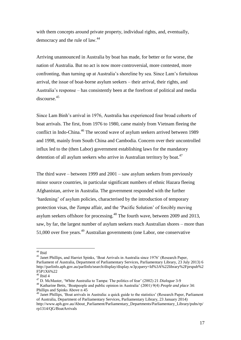with them concepts around private property, individual rights, and, eventually, democracy and the rule of law.<sup>44</sup>

Arriving unannounced in Australia by boat has made, for better or for worse, the nation of Australia. But no act is now more controversial, more contested, more confronting, than turning up at Australia's shoreline by sea. Since Lam's fortuitous arrival, the issue of boat-borne asylum seekers – their arrival, their rights, and Australia's response – has consistently been at the forefront of political and media discourse.<sup>45</sup>

Since Lam Binh's arrival in 1976, Australia has experienced four broad cohorts of boat arrivals. The first, from 1976 to 1980, came mainly from Vietnam fleeing the conflict in Indo-China.<sup>46</sup> The second wave of asylum seekers arrived between 1989 and 1998, mainly from South China and Cambodia. Concern over their uncontrolled influx led to the (then Labor) government establishing laws for the mandatory detention of all asylum seekers who arrive in Australian territory by boat.<sup>47</sup>

The third wave – between 1999 and 2001 – saw asylum seekers from previously minor source countries, in particular significant numbers of ethnic Hazara fleeing Afghanistan, arrive in Australia. The government responded with the further 'hardening' of asylum policies, characterised by the introduction of temporary protection visas, the *Tampa* affair, and the 'Pacific Solution' of forcibly moving asylum seekers offshore for processing.<sup>48</sup> The fourth wave, between 2009 and 2013, saw, by far, the largest number of asylum seekers reach Australian shores – more than 51,000 over five years.<sup>49</sup> Australian governments (one Labor, one conservative

<sup>&</sup>lt;sup>44</sup> Ibid

<sup>&</sup>lt;sup>45</sup> Janet Phillips, and Harriet Spinks, 'Boat Arrivals in Australia since 1976' (Research Paper, Parliament of Australia, Department of Parliamentary Services, Parliamentary Library, 23 July 2013) 6 [http://parlinfo.aph.gov.au/parlInfo/search/display/display.w3p;query=Id%3A%22library%2Fprspub%2](http://parlinfo.aph.gov.au/parlInfo/search/display/display.w3p;query=Id%3A%22library%2Fprspub%2F5P1X6%22) [F5P1X6%22](http://parlinfo.aph.gov.au/parlInfo/search/display/display.w3p;query=Id%3A%22library%2Fprspub%2F5P1X6%22)

 $46$  Ibid 4

<sup>47</sup> D. McMaster, 'White Australia to Tampa: The politics of fear' (2002) 21 *Dialogue* 3-9 <sup>48</sup> Katharine Betts, 'Boatpeople and public opinion in Australia' (2001) 9(4) *People and place* 34: Phillips and Spinks Above n 45

<sup>&</sup>lt;sup>49</sup> Janet Phillips, 'Boat arrivals in Australia: a quick guide to the statistics' (Research Paper, Parliament of Australia, Department of Parliamentary Services, Parliamentary Library, 23 January 2014) [http://www.aph.gov.au/About\\_Parliament/Parliamentary\\_Departments/Parliamentary\\_Library/pubs/rp/](http://www.aph.gov.au/About_Parliament/Parliamentary_Departments/Parliamentary_Library/pubs/rp/rp1314/QG/BoatArrivals) [rp1314/QG/BoatArrivals](http://www.aph.gov.au/About_Parliament/Parliamentary_Departments/Parliamentary_Library/pubs/rp/rp1314/QG/BoatArrivals)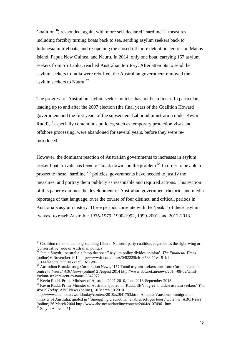Coalition<sup>50</sup>) responded, again, with more self-declared "hardline"<sup>51</sup> measures, including forcibly turning boats back to sea, sending asylum seekers back to Indonesia in lifeboats, and re-opening the closed offshore detention centres on Manus Island, Papua New Guinea, and Nauru. In 2014, only one boat, carrying 157 asylum seekers from Sri Lanka, reached Australian territory. After attempts to send the asylum seekers to India were rebuffed, the Australian government removed the asylum seekers to Nauru.<sup>52</sup>

The progress of Australian asylum seeker policies has not been linear. In particular, leading up to and after the 2007 election (the final years of the Coalition Howard government and the first years of the subsequent Labor administration under Kevin Rudd),<sup>53</sup> especially contentious policies, such as temporary protection visas and offshore processing, were abandoned for several years, before they were reintroduced.

However, the dominant reaction of Australian governments to increases in asylum seeker boat arrivals has been to "crack down" on the problem.<sup>54</sup> In order to be able to prosecute these "hardline"<sup>55</sup> policies, governments have needed to justify the measures, and portray them publicly as reasonable and required actions. This section of this paper examines the development of Australian government rhetoric, and media reportage of that language, over the course of four distinct, and critical, periods in Australia's asylum history. These periods correlate with the 'peaks' of these asylum 'waves' to reach Australia: 1976-1979, 1990-1992, 1999-2001, and 2012-2013.

<sup>&</sup>lt;sup>50</sup> Coalition refers to the long-standing Liberal-National party coalition, regarded as the right-wing or 'conservative' side of Australian politics

<sup>51</sup> Jamie Smyth, 'Australia's "stop the boats" asylum policy divides opinion', *The Financial Times* (online) 6 November 2014 http://www.ft.com/cms/s/0/82225b4c-6563-11e4-91b1- 00144feabdc0.html#axzz3fOBo2WtP

<sup>&</sup>lt;sup>52</sup> Australian Broadcasting Corporation News, '157 Tamil asylum seekers sent from Curtin detention centre to Nauru' *ABC News* (online) 2 August 2014 [http://www.abc.net.au/news/2014-08-02/tamil](http://www.abc.net.au/news/2014-08-02/tamil-asylum-seekers-sent-to-nauru/5642972)[asylum-seekers-sent-to-nauru/5642972](http://www.abc.net.au/news/2014-08-02/tamil-asylum-seekers-sent-to-nauru/5642972)

<sup>53</sup> Kevin Rudd, Prime Minister of Australia 2007-2010, June 2013-September 2013

<sup>54</sup> Kevin Rudd, Prime Minister of Australia, quoted in 'Rudd, SBY, agree to tackle asylum seekers' *The World Today*, ABC News (online), 10 March 10 2010

[http://www.abc.net.au/worldtoday/content/2010/s2841753.htm:](http://www.abc.net.au/worldtoday/content/2010/s2841753.htm) Amanda Vanstone, immigration minister of Australia, quoted in ''Smuggling crackdown' enables refugee boost' *Lateline*, ABC News (online) 26 March 2004 http://www.abc.net.au/lateline/content/2004/s1074961.htm

 $55$  Smyth Above n 51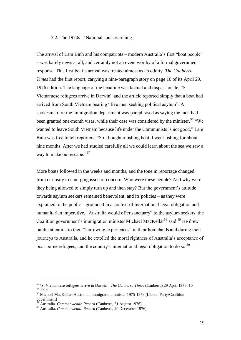#### 3.2: The 1970s - 'National soul-searching'

The arrival of Lam Binh and his compatriots – modern Australia's first "boat people" – was barely news at all, and certainly not an event worthy of a formal government response. This first boat's arrival was treated almost as an oddity. *The Canberra Times* had the first report, carrying a nine-paragraph story on page 10 of its April 29, 1976 edition. The language of the headline was factual and dispassionate, "S. Vietnamese refugees arrive in Darwin" and the article reported simply that a boat had arrived from South Vietnam bearing "five men seeking political asylum". A spokesman for the immigration department was paraphrased as saying the men had been granted one-month visas, while their case was considered by the minister.<sup>56</sup> "We wanted to leave South Vietnam because life under the Communists is not good," Lam Binh was free to tell reporters. "So I bought a fishing boat, I went fishing for about nine months. After we had studied carefully all we could learn about the sea we saw a way to make our escape."<sup>57</sup>

More boats followed in the weeks and months, and the tone in reportage changed from curiosity to emerging issue of concern. Who were these people? And why were they being allowed to simply turn up and then stay? But the government's attitude towards asylum seekers remained benevolent, and its policies – as they were explained to the public – grounded in a context of international legal obligation and humanitarian imperative. "Australia would offer sanctuary" to the asylum seekers, the Coalition government's immigration minister Michael MacKellar<sup>58</sup> said.<sup>59</sup> He drew public attention to their "harrowing experiences" in their homelands and during their journeys to Australia, and he extolled the moral rightness of Australia's acceptance of boat-borne refugees, and the country's international legal obligation to do so.<sup>60</sup>

<sup>56</sup> 'S. Vietnamese refugees arrive in Darwin', *The Canberra Times* (Canberra) 29 April 1976, 10 57 Ibid

<sup>58</sup> Michael MacKellar, Australian immigration minister 1975-1979 (Liberal Party/Coalition  $g$ overnment)

<sup>59</sup> Australia. *Commonwealth Record* (Canberra, 31 August 1976)

<sup>60</sup> Australia. *Commonwealth Record* (Canberra, 20 December 1976)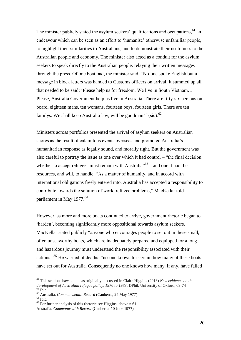The minister publicly stated the asylum seekers' qualifications and occupations,<sup>61</sup> an endeavour which can be seen as an effort to 'humanise' otherwise unfamiliar people, to highlight their similarities to Australians, and to demonstrate their usefulness to the Australian people and economy. The minister also acted as a conduit for the asylum seekers to speak directly to the Australian people, relaying their written messages through the press. Of one boatload, the minister said: "No-one spoke English but a message in block letters was handed to Customs officers on arrival. It summed up all that needed to be said: 'Please help us for freedom. We live in South Vietnam… Please, Australia Government help us live in Australia. There are fifty-six persons on board, eighteen mans, ten womans, fourteen boys, fourteen girls. There are ten familys. We shall keep Australia law, will be goodman' "(sic).<sup>62</sup>

Ministers across portfolios presented the arrival of asylum seekers on Australian shores as the result of calamitous events overseas and promoted Australia's humanitarian response as legally sound, and morally right. But the government was also careful to portray the issue as one over which it had control – "the final decision whether to accept refugees must remain with Australia<sup> $163$ </sup> – and one it had the resources, and will, to handle. "As a matter of humanity, and in accord with international obligations freely entered into, Australia has accepted a responsibility to contribute towards the solution of world refugee problems," MacKellar told parliament in May 1977.<sup>64</sup>

However, as more and more boats continued to arrive, government rhetoric began to 'harden', becoming significantly more oppositional towards asylum seekers. MacKellar stated publicly "anyone who encourages people to set out in these small, often unseaworthy boats, which are inadequately prepared and equipped for a long and hazardous journey must understand the responsibility associated with their actions."<sup>65</sup> He warned of deaths: "no-one knows for certain how many of these boats have set out for Australia. Consequently no one knows how many, if any, have failed

<sup>61</sup> This section draws on ideas originally discussed in Claire Higgins (2013) *New evidence on the development of Australian refugee policy, 1976 to 1983*. DPhil, University of Oxford, 69-74  $62$  Ibid

<sup>63</sup> Australia. *Commonwealth Record* (Canberra, 24 May 1977)

 $^{64}$ Ibid

<sup>65</sup> For further analysis of this rhetoric see Higgins, above n 61: Australia. *Commonwealth Record* (Canberra, 10 June 1977)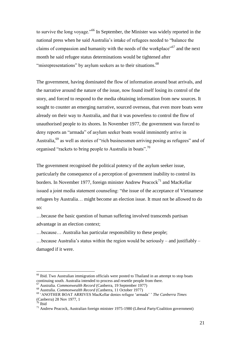to survive the long voyage."<sup>66</sup> In September, the Minister was widely reported in the national press when he said Australia's intake of refugees needed to "balance the claims of compassion and humanity with the needs of the workplace"<sup>67</sup> and the next month he said refugee status determinations would be tightened after "misrepresentations" by asylum seekers as to their situations.<sup>68</sup>

The government, having dominated the flow of information around boat arrivals, and the narrative around the nature of the issue, now found itself losing its control of the story, and forced to respond to the media obtaining information from new sources. It sought to counter an emerging narrative, sourced overseas, that even more boats were already on their way to Australia, and that it was powerless to control the flow of unauthorised people to its shores. In November 1977, the government was forced to deny reports an "armada" of asylum seeker boats would imminently arrive in Australia,<sup>69</sup> as well as stories of "rich businessmen arriving posing as refugees" and of organised "rackets to bring people to Australia in boats".<sup>70</sup>

The government recognised the political potency of the asylum seeker issue, particularly the consequence of a perception of government inability to control its borders. In November 1977, foreign minister Andrew Peacock<sup>71</sup> and MacKellar issued a joint media statement counseling: "the issue of the acceptance of Vietnamese refugees by Australia… might become an election issue. It must not be allowed to do so:

…because the basic question of human suffering involved transcends partisan advantage in an election context;

…because… Australia has particular responsibility to these people;

…because Australia's status within the region would be seriously – and justifiably – damaged if it were.

<sup>&</sup>lt;sup>66</sup> Ibid. Two Australian immigration officials were posted to Thailand in an attempt to stop boats continuing south. Australia intended to process and resettle people from there.

<sup>67</sup> Australia. *Commonwealth Record* (Canberra, 19 September 1977)

<sup>68</sup> Australia. *Commonwealth Record* (Canberra, 11 October 1977)

<sup>69</sup> 'ANOTHER BOAT ARRIVES MacKellar denies refugee 'armada' ' *The Canberra Times* (Canberra) 28 Nov 1977, 1<br>70 Ibid

<sup>&#</sup>x27;Ibid

<sup>71</sup> Andrew Peacock, Australian foreign minister 1975-1980 (Liberal Party/Coalition government)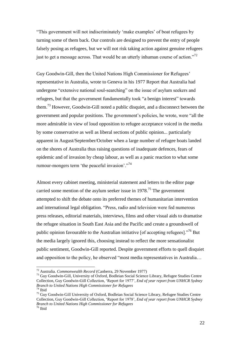"This government will not indiscriminately 'make examples' of boat refugees by turning some of them back. Our controls are designed to prevent the entry of people falsely posing as refugees, but we will not risk taking action against genuine refugees just to get a message across. That would be an utterly inhuman course of action."<sup>72</sup>

Guy Goodwin-Gill, then the United Nations High Commissioner for Refugees' representative in Australia, wrote to Geneva in his 1977 Report that Australia had undergone "extensive national soul-searching" on the issue of asylum seekers and refugees, but that the government fundamentally took "a benign interest" towards them.<sup>73</sup> However, Goodwin-Gill noted a public disquiet, and a disconnect between the government and popular positions. The government's policies, he wrote, were "all the more admirable in view of loud opposition to refugee acceptance voiced in the media by some conservative as well as liberal sections of public opinion... particularly apparent in August/September/October when a large number of refugee boats landed on the shores of Australia thus raising questions of inadequate defences, fears of epidemic and of invasion by cheap labour, as well as a panic reaction to what some rumour-mongers term 'the peaceful invasion'."<sup>74</sup>

Almost every cabinet meeting, ministerial statement and letters to the editor page carried some mention of the asylum seeker issue in 1978.<sup>75</sup> The government attempted to shift the debate onto its preferred themes of humanitarian intervention and international legal obligation. "Press, radio and television were fed numerous press releases, editorial materials, interviews, films and other visual aids to dramatise the refugee situation in South East Asia and the Pacific and create a groundswell of public opinion favourable to the Australian initiative [of accepting refugees]."<sup>76</sup> But the media largely ignored this, choosing instead to reflect the more sensationalist public sentiment, Goodwin-Gill reported. Despite government efforts to quell disquiet and opposition to the policy, he observed "most media representatives in Australia…

<sup>72</sup> Australia. *Commonwealth Record* (Canberra, 29 November 1977)

<sup>&</sup>lt;sup>73</sup> Guy Goodwin-Gill, University of Oxford, Bodleian Social Science Library, Refugee Studies Centre Collection, Guy Goodwin-Gill Collection, 'Report for 1977', *End of year report from UNHCR Sydney Branch to United Nations High Commissioner for Refugees*  $\overline{7}$ <sup>4</sup> Ibid

<sup>&</sup>lt;sup>75</sup> Guy Goodwin-Gill University of Oxford, Bodleian Social Science Library, Refugee Studies Centre Collection, Guy Goodwin-Gill Collection, 'Report for 1978', *End of year report from UNHCR Sydney Branch to United Nations High Commissioner for Refugees*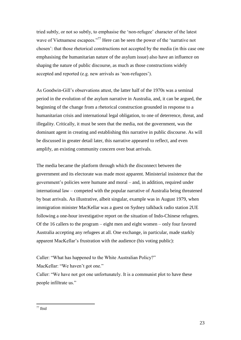tried subtly, or not so subtly, to emphasise the 'non-refugee' character of the latest wave of Vietnamese escapees."<sup>77</sup> Here can be seen the power of the 'narrative not chosen': that those rhetorical constructions not accepted by the media (in this case one emphasising the humanitarian nature of the asylum issue) also have an influence on shaping the nature of public discourse, as much as those constructions widely accepted and reported (e.g. new arrivals as 'non-refugees').

As Goodwin-Gill's observations attest, the latter half of the 1970s was a seminal period in the evolution of the asylum narrative in Australia, and, it can be argued, the beginning of the change from a rhetorical construction grounded in response to a humanitarian crisis and international legal obligation, to one of deterrence, threat, and illegality. Critically, it must be seen that the media, not the government, was the dominant agent in creating and establishing this narrative in public discourse. As will be discussed in greater detail later, this narrative appeared to reflect, and even amplify, an existing community concern over boat arrivals.

The media became the platform through which the disconnect between the government and its electorate was made most apparent. Ministerial insistence that the government's policies were humane and moral – and, in addition, required under international law – competed with the popular narrative of Australia being threatened by boat arrivals. An illustrative, albeit singular, example was in August 1979, when immigration minister MacKellar was a guest on Sydney talkback radio station 2UE following a one-hour investigative report on the situation of Indo-Chinese refugees. Of the 16 callers to the program – eight men and eight women – only four favored Australia accepting any refugees at all. One exchange, in particular, made starkly apparent MacKellar's frustration with the audience (his voting public):

Caller: "What has happened to the White Australian Policy?"

MacKellar: "We haven't got one."

Caller: "We have not got one unfortunately. It is a communist plot to have these people infiltrate us."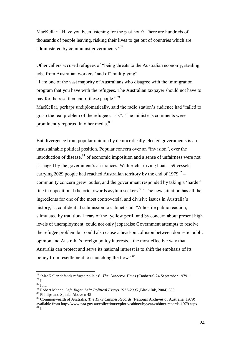MacKellar: "Have you been listening for the past hour? There are hundreds of thousands of people leaving, risking their lives to get out of countries which are administered by communist governments."<sup>78</sup>

Other callers accused refugees of "being threats to the Australian economy, stealing jobs from Australian workers" and of "multiplying".

"I am one of the vast majority of Australians who disagree with the immigration program that you have with the refugees. The Australian taxpayer should not have to pay for the resettlement of these people."<sup>79</sup>

MacKellar, perhaps undiplomatically, said the radio station's audience had "failed to grasp the real problem of the refugee crisis". The minister's comments were prominently reported in other media.<sup>80</sup>

But divergence from popular opinion by democratically-elected governments is an unsustainable political position. Popular concern over an "invasion", over the introduction of disease, $81$  of economic imposition and a sense of unfairness were not assuaged by the government's assurances. With each arriving boat  $-59$  vessels carrying 2029 people had reached Australian territory by the end of  $1979^{82}$  – community concern grew louder, and the government responded by taking a 'harder' line in oppositional rhetoric towards asylum seekers. $83$  "The new situation has all the ingredients for one of the most controversial and divisive issues in Australia's history," a confidential submission to cabinet said. "A hostile public reaction, stimulated by traditional fears of the 'yellow peril' and by concern about present high levels of unemployment, could not only jeopardise Government attempts to resolve the refugee problem but could also cause a head-on collision between domestic public opinion and Australia's foreign policy interests... the most effective way that Australia can protect and serve its national interest is to shift the emphasis of its policy from resettlement to staunching the flow."<sup>84</sup>

<sup>78</sup> 'MacKellar defends refugee policies', *The Canberra Times* (Canberra) 24 September 1979 1 <sup>79</sup> Ibid

 $^{\,80}$  Ibid

<sup>81</sup> Robert Manne, *Left, Right, Left: Political Essays 1977-2005* (Black Ink, 2004) 383

<sup>82</sup> Phillips and Spinks Above n 45

<sup>83</sup> Commonwealth of Australia, *The 1979 Cabinet Records* (National Archives of Australia, 1979) available from http://www.naa.gov.au/collection/explore/cabinet/byyear/cabinet-records-1979.aspx  $84$  Ibid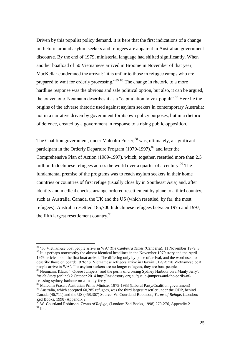Driven by this populist policy demand, it is here that the first indications of a change in rhetoric around asylum seekers and refugees are apparent in Australian government discourse. By the end of 1979, ministerial language had shifted significantly. When another boatload of 50 Vietnamese arrived in Broome in November of that year, MacKellar condemned the arrival: "it is unfair to those in refugee camps who are prepared to wait for orderly processing."<sup>85</sup> <sup>86</sup> The change in rhetoric to a more hardline response was the obvious and safe political option, but also, it can be argued, the craven one. Neumann describes it as a "capitulation to vox populi".<sup>87</sup> Here lie the origins of the adverse rhetoric used against asylum seekers in contemporary Australia: not in a narrative driven by government for its own policy purposes, but in a rhetoric of defence, created by a government in response to a rising public opposition.

The Coalition government, under Malcolm Fraser,<sup>88</sup> was, ultimately, a significant participant in the Orderly Departure Program  $(1979-1997)$ ,  $89$  and later the Comprehensive Plan of Action (1989-1997), which, together, resettled more than 2.5 million Indochinese refugees across the world over a quarter of a century.<sup>90</sup> The fundamental premise of the programs was to reach asylum seekers in their home countries or countries of first refuge (usually close by in Southeast Asia) and, after identity and medical checks, arrange ordered resettlement by plane to a third country, such as Australia, Canada, the UK and the US (which resettled, by far, the most refugees). Australia resettled 185,700 Indochinese refugees between 1975 and 1997, the fifth largest resettlement country. $91$ 

 $\overline{a}$ 

88 Malcolm Fraser, Australian Prime Minister 1975-1983 (Liberal Party/Coalition government)

<sup>85</sup> '50 Vietnamese boat people arrive in WA' *The Canberra Times* (Canberra), 11 November 1979, 3 <sup>86</sup> It is perhaps noteworthy the almost identical headlines in the November 1979 story and the April 1976 article about the first boat arrival. The differing only by place of arrival, and the word used to describe those on board: 1976: 'S. Vietnamese refugees arrive in Darwin', 1979: '50 Vietnamese boat people arrive in WA'. The asylum seekers are no longer refugees, they are boat people.

<sup>87</sup> Neumann, Klaus, '"Queue Jumpers" and the perils of crossing Sydney Harbour on a Manly ferry', *Inside Story* (online) 2 October 2014 [http://insidestory.org.au/queue-jumpers-and-the-perils-of](http://insidestory.org.au/queue-jumpers-and-the-perils-of-crossing-sydney-harbour-on-a-manly-ferry)[crossing-sydney-harbour-on-a-manly-ferry](http://insidestory.org.au/queue-jumpers-and-the-perils-of-crossing-sydney-harbour-on-a-manly-ferry)

<sup>&</sup>lt;sup>89</sup> Australia, which accepted 60,285 refugees, was the third largest resettler under the ODP, behind Canada (46,711) and the US (458,367) Source: W. Courtland Robinson, *Terms of Refuge*, (London: Zed Books, 1998) Appendix 2

<sup>90</sup> W. Courtland Robinson, *Terms of Refuge*, (London: Zed Books, 1998) 270-276, Appendix 2  $91$  Ibid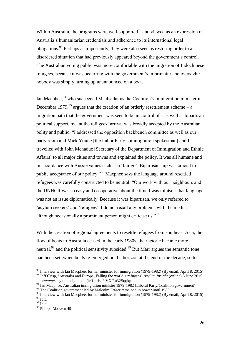Within Australia, the programs were well-supported<sup>92</sup> and viewed as an expression of Australia's humanitarian credentials and adherence to its international legal obligations.<sup>93</sup> Perhaps as importantly, they were also seen as restoring order to a disordered situation that had previously appeared beyond the government's control. The Australian voting public was more comfortable with the migration of Indochinese refugees, because it was occurring with the government's imprimatur and oversight: nobody was simply turning up unannounced on a boat.

Ian Macphee,<sup>94</sup> who succeeded MacKellar as the Coalition's immigration minister in December 1979, <sup>95</sup> argues that the creation of an orderly resettlement scheme – a migration path that the government was seen to be in control of  $-$  as well as bipartisan political support, meant the refugees' arrival was broadly accepted by the Australian polity and public. "I addressed the opposition backbench committee as well as our party room and Mick Young [the Labor Party's immigration spokesman] and I travelled with John Menadue [Secretary of the Department of Immigration and Ethnic Affairs] to all major cities and towns and explained the policy. It was all humane and in accordance with Aussie values such as a 'fair go'. Bipartisanship was crucial to public acceptance of our policy."<sup>96</sup> Macphee says the language around resettled refugees was carefully constructed to be neutral. "Our work with our neighbours and the UNHCR was so easy and co-operative about the time I was minister that language was not an issue diplomatically. Because it was bipartisan, we only referred to 'asylum seekers' and 'refugees'. I do not recall any problems with the media, although occasionally a prominent person might criticise us."<sup>97</sup>

With the creation of regional agreements to resettle refugees from southeast Asia, the flow of boats to Australia ceased in the early 1980s, the rhetoric became more neutral,  $98$  and the political sensitivity subsided.  $99$  But Marr argues the semantic tone had been set: when boats re-emerged on the horizon at the end of the decade, so to

 $92$  Interview with Ian Macphee, former minister for immigration (1979-1982) (By email, April 8, 2015) <sup>93</sup> Jeff Crisp, 'Australia and Europe, Failing the world's refugees' *Asylum Insight* (online) 5 June 2015 <http://www.asyluminsight.com/jeff-crisp#.VXFm32Sqqkp>

 $^{94}$  Ian Macphee, Australian immigration minister 1979-1982 (Liberal Party/Coalition government)

<sup>&</sup>lt;sup>95</sup> The Coalition government led by Malcolm Fraser remained in power until 1983

<sup>&</sup>lt;sup>96</sup> Interview with Ian Macphee, former minister for immigration (1979-1982) (By email, April 8, 2015)  $^{\mathrm{97}}$  Ibid

 $^{98}$  Ibid

<sup>&</sup>lt;sup>99</sup> Philips Above n 49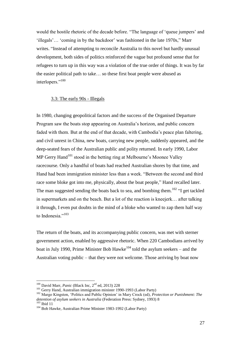would the hostile rhetoric of the decade before. "The language of 'queue jumpers' and 'illegals'… 'coming in by the backdoor' was fashioned in the late 1970s," Marr writes. "Instead of attempting to reconcile Australia to this novel but hardly unusual development, both sides of politics reinforced the vague but profound sense that for refugees to turn up in this way was a violation of the true order of things. It was by far the easier political path to take… so these first boat people were abused as interlopers."<sup>100</sup>

#### 3.3: The early 90s - Illegals

In 1980, changing geopolitical factors and the success of the Organised Departure Program saw the boats stop appearing on Australia's horizon, and public concern faded with them. But at the end of that decade, with Cambodia's peace plan faltering, and civil unrest in China, new boats, carrying new people, suddenly appeared, and the deep-seated fears of the Australian public and polity returned. In early 1990, Labor  $MP$  Gerry Hand<sup>101</sup> stood in the betting ring at Melbourne's Moonee Valley racecourse. Only a handful of boats had reached Australian shores by that time, and Hand had been immigration minister less than a week. "Between the second and third race some bloke got into me, physically, about the boat people," Hand recalled later. The man suggested sending the boats back to sea, and bombing them.<sup>102</sup> "I get tackled in supermarkets and on the beach. But a lot of the reaction is kneejerk… after talking it through, I even put doubts in the mind of a bloke who wanted to zap them half way to Indonesia."<sup>103</sup>

The return of the boats, and its accompanying public concern, was met with sterner government action, enabled by aggressive rhetoric. When 220 Cambodians arrived by boat in July 1990, Prime Minister Bob Hawke<sup>104</sup> told the asylum seekers – and the Australian voting public – that they were not welcome. Those arriving by boat now

<sup>&</sup>lt;sup>100</sup> David Marr, *Panic* (Black Inc, 2<sup>nd</sup> ed, 2013) 228

<sup>&</sup>lt;sup>101</sup> Gerry Hand, Australian immigration minister 1990-1993 (Labor Party)

<sup>102</sup> Margo Kingston, 'Politics and Public Opinion' in Mary Crock (ed), *Protection or Punishment: The detention of asylum seekers in Australia* (Federation Press: Sydney, 1993) 8  $\frac{103}{103}$  Ibid 11

<sup>104</sup> Bob Hawke, Australian Prime Minister 1983-1992 (Labor Party)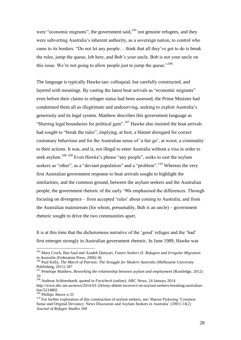were "economic migrants", the government said, $105$  not genuine refugees, and they were subverting Australia's inherent authority, as a sovereign nation, to control who came to its borders. "Do not let any people… think that all they've got to do is break the rules, jump the queue, lob here, and Bob's your uncle. Bob is not your uncle on this issue. We're not going to allow people just to jump the queue."<sup>106</sup>

The language is typically Hawke-ian: colloquial, but carefully constructed, and layered with meanings. By casting the latest boat arrivals as "economic migrants" even before their claims to refugee status had been assessed, the Prime Minister had condemned them all as illegitimate and undeserving, seeking to exploit Australia's generosity and its legal system. Matthew describes this government language as "blurring legal boundaries for political gain".<sup>107</sup> Hawke also insisted the boat arrivals had sought to "break the rules", implying, at best, a blatant disregard for correct customary behaviour and for the Australian sense of 'a fair go', at worst, a criminality to their actions. It was, and is, not illegal to enter Australia without a visa in order to seek asylum.<sup>108 109</sup> Even Hawke's phrase "any people", seeks to cast the asylum seekers as "other", as a "deviant population" and a "problem".<sup>110</sup> Whereas the very first Australian government response to boat arrivals sought to highlight the similarities, and the common ground, between the asylum seekers and the Australian people, the government rhetoric of the early '90s emphasised the differences. Through focusing on divergence – from accepted 'rules' about coming to Australia, and from the Australian mainstream (for whom, presumably, Bob *is* an uncle) – government rhetoric sought to drive the two communities apart.

It is at this time that the dichotomous narrative of the 'good' refugee and the 'bad' first emerges strongly in Australian government rhetoric. In June 1989, Hawke was

<sup>105</sup> Mary Crock, Ben Saul and Azadeh Dastyari, *Future Seekers II: Refugees and Irregular Migration in Australia* (Federation Press, 2006) 36

<sup>106</sup> Paul Kelly, *The March of Patriots: The Struggle for Modern Australia* (Melbourne University Publishing, 2011) 187

<sup>&</sup>lt;sup>107</sup> Penelope Matthew, *Reworking the relationship between asylum and employment* (Routledge, 2012) 10

<sup>108</sup> Andreas Schloenhardt, quoted in *Factcheck* (online), ABC News, 24 January 2014 [http://www.abc.net.au/news/2014-01-24/tony-abbott-incorrect-on-asylum-seekers-breaking-australian](http://www.abc.net.au/news/2014-01-24/tony-abbott-incorrect-on-asylum-seekers-breaking-australian-law/5214802)[law/5214802](http://www.abc.net.au/news/2014-01-24/tony-abbott-incorrect-on-asylum-seekers-breaking-australian-law/5214802)

<sup>109</sup> Phillips Above n 33

<sup>&</sup>lt;sup>110</sup> For further exploration of this construction of asylum seekers, see: Sharon Pickering 'Common Sense and Original Deviancy: News Discourses and Asylum Seekers in Australia' (2001) 14(2) *Journal of Refugee Studies* 169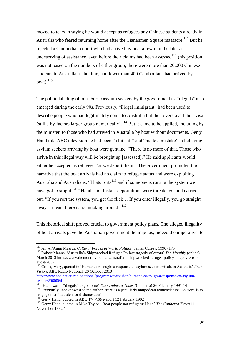moved to tears in saying he would accept as refugees any Chinese students already in Australia who feared returning home after the Tiananmen Square massacre.<sup>111</sup> But he rejected a Cambodian cohort who had arrived by boat a few months later as undeserving of assistance, even before their claims had been assessed  $112$  (his position was not based on the numbers of either group, there were more than 20,000 Chinese students in Australia at the time, and fewer than 400 Cambodians had arrived by boat). $^{113}$ 

The public labeling of boat-borne asylum seekers by the government as "illegals" also emerged during the early 90s. Previously, "illegal immigrant" had been used to describe people who had legitimately come to Australia but then overstayed their visa (still a by-factors larger group numerically).<sup>114</sup> But it came to be applied, including by the minister, to those who had arrived in Australia by boat without documents. Gerry Hand told ABC television he had been "a bit soft" and "made a mistake" in believing asylum seekers arriving by boat were genuine. "There is no more of that. Those who arrive in this illegal way will be brought up [assessed]." He said applicants would either be accepted as refugees "or we deport them". The government promoted the narrative that the boat arrivals had no claim to refugee status and were exploiting Australia and Australians. "I hate rorts<sup>115</sup> and if someone is rorting the system we have got to stop it,"<sup>116</sup> Hand said. Instant deportations were threatened, and carried out. "If you rort the system, you get the flick… If you enter illegally, you go straight away: I mean, there is no mucking around."<sup>117</sup>

This rhetorical shift proved crucial to government policy plans. The alleged illegality of boat arrivals gave the Australian government the impetus, indeed the imperative, to

<sup>111</sup> Ali Al'Amin Mazrui, *Cultural Forces in World Politics* (James Currey, 1990) 175

<sup>112</sup> Robert Manne, 'Australia's Shipwrecked Refugee Policy: tragedy of errors' *The Monthly* (online) March 2013 https://www.themonthly.com.au/australia-s-shipwrecked-refugee-policy-tragedy-errorsguest-7637

<sup>113</sup> Crock, Mary, quoted in 'Humane or Tough: a response to asylum seeker arrivals in Australia' *Rear Vision*, ABC Radio National, 20 October 2010

[http://www.abc.net.au/radionational/programs/rearvision/humane-or-tough-a-response-to-asylum](http://www.abc.net.au/radionational/programs/rearvision/humane-or-tough-a-response-to-asylum-seeker/2960064)[seeker/2960064](http://www.abc.net.au/radionational/programs/rearvision/humane-or-tough-a-response-to-asylum-seeker/2960064)

<sup>114</sup> 'Hand warns "illegals" to go home' *The Canberra Times* (Canberra) 26 February 1991 14

<sup>&</sup>lt;sup>115</sup> Previously unbeknownst to the author, 'rort' is a peculiarly antipodean nomenclature. To 'rort' is to 'engage in a fraudulent or dishonest act'.

<sup>116</sup> Gerry Hand, quoted in ABC TV *7:30 Report* 12 February 1992

<sup>117</sup> Gerry Hand, quoted in Mike Taylor, 'Boat people not refugees: Hand' *The Canberra Times* 11 November 1992 5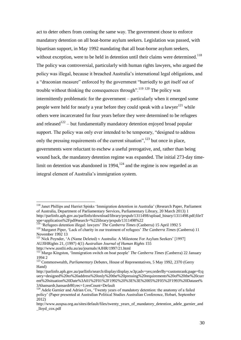act to deter others from coming the same way. The government chose to enforce mandatory detention on all boat-borne asylum seekers. Legislation was passed, with bipartisan support, in May 1992 mandating that all boat-borne asylum seekers, without exception, were to be held in detention until their claims were determined.<sup>118</sup> The policy was controversial, particularly with human rights lawyers, who argued the policy was illegal, because it breached Australia's international legal obligations, and a "draconian measure" enforced by the government "hurriedly to get itself out of trouble without thinking the consequences through".<sup>119 120</sup> The policy was intermittently problematic for the government – particularly when it emerged some people were held for nearly a year before they could speak with a lawyer $121$  while others were incarcerated for four years before they were determined to be refugees and released $122$  – but fundamentally mandatory detention enjoyed broad popular support. The policy was only ever intended to be temporary, "designed to address only the pressing requirements of the current situation",  $123$  but once in place, governments were reluctant to eschew a useful prerogative, and, rather than being wound back, the mandatory detention regime was expanded. The initial 273-day timelimit on detention was abandoned in 1994, $124$  and the regime is now regarded as an integral element of Australia's immigration system.

<sup>&</sup>lt;sup>118</sup> Janet Phillips and Harriet Spinks 'Immigration detention in Australia' (Research Paper, Parliament of Australia, Department of Parliamentary Services, Parliamentary Library, 20 March 2013) 1 http://parlinfo.aph.gov.au/parlInfo/download/library/prspub/1311498/upload\_binary/1311498.pdf;fileT ype=application%2Fpdf#search=%22library/prspub/1311498%22

<sup>&</sup>lt;sup>119</sup> 'Refugees detention illegal: lawyers' *The Canberra Times* (Canberra) 15 April 1992 5 <sup>120</sup> Margaret Piper, 'Lack of charity in our treatment of refugees' *The Canberra Times* (Canberra) 11 November 1992 13

<sup>&</sup>lt;sup>121</sup> Nick Poynder, 'A (Name Deleted) v Australia: A Milestone For Asylum Seekers' [1997] AUJlHRights 21, (1997) 4(1) *Australian Journal of Human Rights* 155

http://www.austlii.edu.au/au/journals/AJHR/1997/21.html

<sup>&</sup>lt;sup>122</sup> Margo Kingston, 'Immigration switch on boat people' *The Canberra Times* (Canberra) 22 January 1994 2

<sup>123</sup> Commonwealth, *Parliamentary Debates*, House of Representatives, 5 May 1992, 2370 (Gerry Hand)

[http://parlinfo.aph.gov.au/parlInfo/search/display/display.w3p;adv=yes;orderBy=customrank;page=0;q](http://parlinfo.aph.gov.au/parlInfo/search/display/display.w3p;adv=yes;orderBy=customrank;page=0;query=designed%20to%20address%20only%20the%20pressing%20requirements%20of%20the%20current%20situation%20Date%3A01%2F01%2F1992%20%3E%3E%2005%2F05%2F1993%20Datas) [uery=designed%20to%20address%20only%20the%20pressing%20requirements%20of%20the%20curr](http://parlinfo.aph.gov.au/parlInfo/search/display/display.w3p;adv=yes;orderBy=customrank;page=0;query=designed%20to%20address%20only%20the%20pressing%20requirements%20of%20the%20current%20situation%20Date%3A01%2F01%2F1992%20%3E%3E%2005%2F05%2F1993%20Datas) [ent%20situation%20Date%3A01%2F01%2F1992%20%3E%3E%2005%2F05%2F1993%20Dataset%](http://parlinfo.aph.gov.au/parlInfo/search/display/display.w3p;adv=yes;orderBy=customrank;page=0;query=designed%20to%20address%20only%20the%20pressing%20requirements%20of%20the%20current%20situation%20Date%3A01%2F01%2F1992%20%3E%3E%2005%2F05%2F1993%20Datas) [3Ahansardr,hansardr80;rec=1;resCount=Default](http://parlinfo.aph.gov.au/parlInfo/search/display/display.w3p;adv=yes;orderBy=customrank;page=0;query=designed%20to%20address%20only%20the%20pressing%20requirements%20of%20the%20current%20situation%20Date%3A01%2F01%2F1992%20%3E%3E%2005%2F05%2F1993%20Datas)

<sup>&</sup>lt;sup>124</sup> Adele Garnier and Adrian Cox, 'Twenty years of mandatory detention: the anatomy of a failed policy' (Paper presented at Australian Political Studies Australian Conference, Hobart, September 2012)

http://www.auspsa.org.au/sites/default/files/twenty\_vears\_of\_mandatory\_detention\_adele\_garnier\_and \_lloyd\_cox.pdf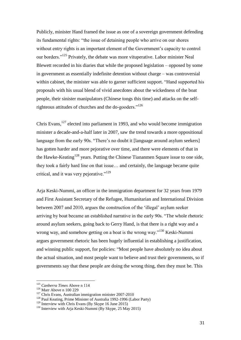Publicly, minister Hand framed the issue as one of a sovereign government defending its fundamental rights: "the issue of detaining people who arrive on our shores without entry rights is an important element of the Government's capacity to control our borders."<sup>125</sup> Privately, the debate was more vituperative. Labor minister Neal Blewett recorded in his diaries that while the proposed legislation – opposed by some in government as essentially indefinite detention without charge – was controversial within cabinet, the minister was able to garner sufficient support. "Hand supported his proposals with his usual blend of vivid anecdotes about the wickedness of the boat people, their sinister manipulators (Chinese tongs this time) and attacks on the selfrighteous attitudes of churches and the do-gooders."<sup>126</sup>

Chris Evans, $127$  elected into parliament in 1993, and who would become immigration minister a decade-and-a-half later in 2007, saw the trend towards a more oppositional language from the early 90s. "There's no doubt it [language around asylum seekers] has gotten harder and more pejorative over time, and there were elements of that in the Hawke-Keating<sup>128</sup> years. Putting the Chinese Tiananmen Square issue to one side, they took a fairly hard line on that issue… and certainly, the language became quite critical, and it was very pejorative."<sup>129</sup>

Arja Keski-Nummi, an officer in the immigration department for 32 years from 1979 and First Assistant Secretary of the Refugee, Humanitarian and International Division between 2007 and 2010, argues the construction of the 'illegal' asylum seeker arriving by boat became an established narrative in the early 90s. "The whole rhetoric around asylum seekers, going back to Gerry Hand, is that there is a right way and a wrong way, and somehow getting on a boat is the wrong way."<sup>130</sup> Keski-Nummi argues government rhetoric has been hugely influential in establishing a justification, and winning public support, for policies: "Most people have absolutely no idea about the actual situation, and most people want to believe and trust their governments, so if governments say that these people are doing the wrong thing, then they must be. This

<sup>125</sup> *Canberra Times* Above n 114

<sup>126</sup> Marr Above n 100 229

<sup>&</sup>lt;sup>127</sup> Chris Evans, Australian immigration minister 2007-2010

<sup>&</sup>lt;sup>128</sup> Paul Keating, Prime Minister of Australia 1992-1996 (Labor Party)

<sup>129</sup> Interview with Chris Evans (By Skype 16 June 2015)

<sup>&</sup>lt;sup>130</sup> Interview with Arja Keski-Nummi (By Skype, 25 May 2015)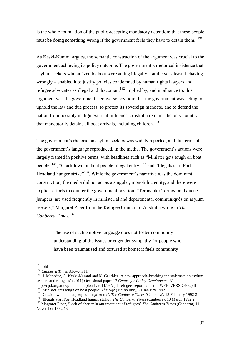is the whole foundation of the public accepting mandatory detention: that these people must be doing something wrong if the government feels they have to detain them."<sup>131</sup>

As Keski-Nummi argues, the semantic construction of the argument was crucial to the government achieving its policy outcome. The government's rhetorical insistence that asylum seekers who arrived by boat were acting illegally – at the very least, behaving wrongly – enabled it to justify policies condemned by human rights lawyers and refugee advocates as illegal and draconian.<sup>132</sup> Implied by, and in alliance to, this argument was the government's converse position: that the government was acting to uphold the law and due process, to protect its sovereign mandate, and to defend the nation from possibly malign external influence. Australia remains the only country that mandatorily detains all boat arrivals, including children.<sup>133</sup>

The government's rhetoric on asylum seekers was widely reported, and the terms of the government's language reproduced, in the media. The government's actions were largely framed in positive terms, with headlines such as "Minister gets tough on boat people"<sup>134</sup>, "Crackdown on boat people, illegal entry"<sup>135</sup> and "Illegals start Port Headland hunger strike"<sup>136</sup>. While the government's narrative was the dominant construction, the media did not act as a singular, monolithic entity, and there were explicit efforts to counter the government position. "Terms like 'rorters' and queuejumpers' are used frequently in ministerial and departmental communiqués on asylum seekers," Margaret Piper from the Refugee Council of Australia wrote in *The Canberra Times*. 137

> The use of such emotive language does not foster community understanding of the issues or engender sympathy for people who have been traumatised and tortured at home; it fuels community

 $131$  Ibid

<sup>132</sup> *Canberra Times* Above n 114

<sup>&</sup>lt;sup>133</sup> J. Menadue, A. Keski-Nummi and K. Gauthier 'A new approach–breaking the stalemate on asylum seekers and refugees' (2011) Occasional paper 13 *Centre for Policy Development* 31 [http://cpd.org.au/wp-content/uploads/2011/08/cpd\\_refugee\\_report\\_2nd-run-WEB-VERSION3.pdf](http://cpd.org.au/wp-content/uploads/2011/08/cpd_refugee_report_2nd-run-WEB-VERSION3.pdf)

<sup>&</sup>lt;sup>134</sup> 'Minister gets tough on boat people' *The Age* (Melbourne), 21 January 1992 1

<sup>135</sup> 'Crackdown on boat people, illegal entry', *The Canberra Times* (Canberra), 13 February 1992 2

<sup>136</sup> 'Illegals start Port Headland hunger strike', *The Canberra Times* (Canberra), 10 March 1992 2

<sup>137</sup> Margaret Piper, 'Lack of charity in our treatment of refugees' *The Canberra Times* (Canberra) 11 November 1992 13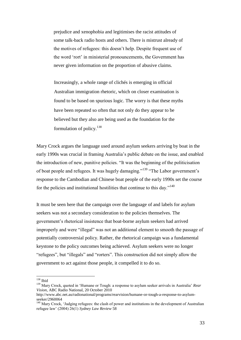prejudice and xenophobia and legitimises the racist attitudes of some talk-back radio hosts and others. There is mistrust already of the motives of refugees: this doesn't help. Despite frequent use of the word 'rort' in ministerial pronouncements, the Government has never given information on the proportion of abusive claims.

Increasingly, a whole range of clichés is emerging in official Australian immigration rhetoric, which on closer examination is found to be based on spurious logic. The worry is that these myths have been repeated so often that not only do they appear to be believed but they also are being used as the foundation for the formulation of policy.<sup>138</sup>

Mary Crock argues the language used around asylum seekers arriving by boat in the early 1990s was crucial in framing Australia's public debate on the issue, and enabled the introduction of new, punitive policies. "It was the beginning of the politicisation of boat people and refugees. It was hugely damaging."<sup>139</sup> "The Labor government's response to the Cambodian and Chinese boat people of the early 1990s set the course for the policies and institutional hostilities that continue to this day."<sup>140</sup>

It must be seen here that the campaign over the language of and labels for asylum seekers was not a secondary consideration to the policies themselves. The government's rhetorical insistence that boat-borne asylum seekers had arrived improperly and were "illegal" was not an additional element to smooth the passage of potentially controversial policy. Rather, the rhetorical campaign was a fundamental keystone to the policy outcomes being achieved. Asylum seekers were no longer "refugees", but "illegals" and "rorters". This construction did not simply allow the government to act against those people, it compelled it to do so.

 $138$  Ibid

<sup>139</sup> Mary Crock, quoted in 'Humane or Tough: a response to asylum seeker arrivals in Australia' *Rear Vision*, ABC Radio National, 20 October 2010

[http://www.abc.net.au/radionational/programs/rearvision/humane-or-tough-a-response-to-asylum](http://www.abc.net.au/radionational/programs/rearvision/humane-or-tough-a-response-to-asylum-seeker/2960064)[seeker/2960064](http://www.abc.net.au/radionational/programs/rearvision/humane-or-tough-a-response-to-asylum-seeker/2960064)

<sup>&</sup>lt;sup>140</sup> Mary Crock, 'Judging refugees: the clash of power and institutions in the development of Australian refugee law' (2004) 26(1) *Sydney Law Review* 58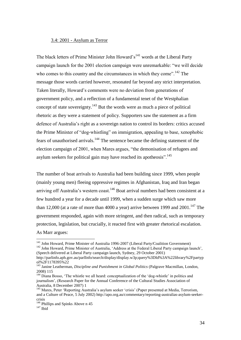#### 3.4: 2001 - Asylum as Terror

The black letters of Prime Minister John Howard's<sup>141</sup> words at the Liberal Party campaign launch for the 2001 election campaign were unremarkable: "we will decide who comes to this country and the circumstances in which they come".<sup>142</sup> The message those words carried however, resonated far beyond any strict interpretation. Taken literally, Howard's comments were no deviation from generations of government policy, and a reflection of a fundamental tenet of the Westphalian concept of state sovereignty. $143$  But the words were as much a piece of political rhetoric as they were a statement of policy. Supporters saw the statement as a firm defence of Australia's right as a sovereign nation to control its borders: critics accused the Prime Minister of "dog-whistling" on immigration, appealing to base, xenophobic fears of unauthorised arrivals.<sup>144</sup> The sentence became the defining statement of the election campaign of 2001, when Mares argues, "the demonisation of refugees and asylum seekers for political gain may have reached its apotheosis".<sup>145</sup>

The number of boat arrivals to Australia had been building since 1999, when people (mainly young men) fleeing oppressive regimes in Afghanistan, Iraq and Iran began arriving off Australia's western coast.<sup>146</sup> Boat arrival numbers had been consistent at a few hundred a year for a decade until 1999, when a sudden surge which saw more than 12,000 (at a rate of more than 4000 a year) arrive between 1999 and 2001.<sup>147</sup> The government responded, again with more stringent, and then radical, such as temporary protection, legislation, but crucially, it reacted first with greater rhetorical escalation. As Marr argues:

<sup>142</sup> John Howard, Prime Minister of Australia, 'Address at the Federal Liberal Party campaign launch', (Speech delivered at Liberal Party campaign launch, Sydney, 29 October 2001)

<sup>&</sup>lt;sup>141</sup> John Howard, Prime Minister of Australia 1996-2007 (Liberal Party/Coalition Government)

http://parlinfo.aph.gov.au/parlInfo/search/display/display.w3p;query%3DId%3A%22library%2Fpartyp ol%2F1178395%22

<sup>&</sup>lt;sup>143</sup> Janine Leatherman, *Discipline and Punishment in Global Politics* (Palgrave Macmillan, London, 2008) 115

<sup>&</sup>lt;sup>144</sup> Diana Bosso, 'The whistle we all heard: conceptualization of the 'dog-whistle' in politics and journalism', (Research Paper for the Annual Conference of the Cultural Studies Association of Australia, 8 December 2007) 1

<sup>145</sup> Mares, Peter 'Reporting Australia's asylum seeker 'crisis' (Paper presented at Media, Terrorism, and a Culture of Peace, 5 July 2002) http://apo.org.au/commentary/reporting-australias-asylum-seekercrisis

<sup>&</sup>lt;sup>146</sup> Phillips and Spinks Above n 45

 $147$  Ibid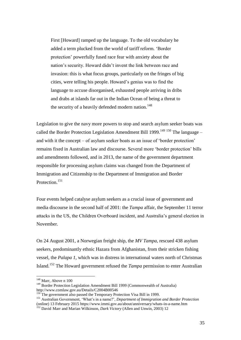First [Howard] ramped up the language. To the old vocabulary he added a term plucked from the world of tariff reform. 'Border protection' powerfully fused race fear with anxiety about the nation's security. Howard didn't invent the link between race and invasion: this is what focus groups, particularly on the fringes of big cities, were telling his people. Howard's genius was to find the language to accuse disorganised, exhausted people arriving in dribs and drabs at islands far out in the Indian Ocean of being a threat to the security of a heavily defended modern nation.<sup>148</sup>

Legislation to give the navy more powers to stop and search asylum seeker boats was called the Border Protection Legislation Amendment Bill 1999.<sup>149 150</sup> The language – and with it the concept – of asylum seeker boats as an issue of 'border protection' remains fixed in Australian law and discourse. Several more 'border protection' bills and amendments followed, and in 2013, the name of the government department responsible for processing asylum claims was changed from the Department of Immigration and Citizenship to the Department of Immigration and Border Protection.<sup>151</sup>

Four events helped catalyse asylum seekers as a crucial issue of government and media discourse in the second half of 2001: the *Tampa* affair, the September 11 terror attacks in the US, the Children Overboard incident, and Australia's general election in November.

On 24 August 2001, a Norwegian freight ship, the *MV Tampa*, rescued 438 asylum seekers, predominantly ethnic Hazara from Afghanistan, from their stricken fishing vessel, the *Palapa 1*, which was in distress in international waters north of Christmas Island.<sup>152</sup> The Howard government refused the *Tampa* permission to enter Australian

<sup>&</sup>lt;sup>148</sup> Marr, Above n 100

<sup>&</sup>lt;sup>149</sup> Border Protection Legislation Amendment Bill 1999 (Commonwealth of Australia) <http://www.comlaw.gov.au/Details/C2004B00546>

<sup>&</sup>lt;sup>150</sup> The government also passed the Temporary Protection Visa Bill in 1999.

<sup>151</sup> Australian Government, 'What's in a name?', *Department of Immigration and Border Protection* (online) 13 February 2015<https://www.immi.gov.au/about/anniversary/whats-in-a-name.htm>

<sup>&</sup>lt;sup>152</sup> David Marr and Marian Wilkinson, *Dark Victory* (Allen and Unwin, 2003) 12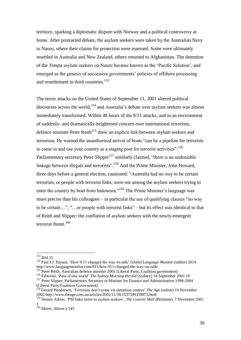territory, sparking a diplomatic dispute with Norway and a political controversy at home. After protracted debate, the asylum seekers were taken by the Australian Navy to Nauru, where their claims for protection were assessed. Some were ultimately resettled in Australia and New Zealand, others returned to Afghanistan. The detention of the *Tampa* asylum seekers on Nauru became known as the 'Pacific Solution', and emerged as the genesis of successive governments' policies of offshore processing and resettlement in third countries. 153

The terror attacks on the United States of September 11, 2001 altered political discourses across the world,  $154$  and Australia's debate over asylum seekers was almost immediately transformed. Within 48 hours of the 9/11 attacks, and in an environment of suddenly- and dramatically-heightened concern over international terrorism, defence minister Peter Reith<sup>155</sup> drew an explicit link between asylum seekers and terrorism. He warned the unauthorised arrival of boats "can be a pipeline for terrorists to come in and use your country as a staging post for terrorist activities".<sup>156</sup> Parliamentary secretary Peter Slipper<sup>157</sup> similarly claimed, "there is an undeniable linkage between illegals and terrorists".<sup>158</sup> And the Prime Minister, John Howard, three days before a general election, cautioned: "Australia had no way to be certain terrorists, or people with terrorist links, were not among the asylum seekers trying to enter the country by boat from Indonesia."<sup>159</sup> The Prime Minister's language was more precise than his colleagues – in particular the use of qualifying clauses "no way to be certain…", "…or people with terrorist links" – but its effect was identical to that of Reith and Slipper: the conflation of asylum seekers with the newly-emergent terrorist threat.<sup>160</sup>

<sup>153</sup> Ibid 15

<sup>154</sup> Paul J.J. Payack, 'How 9/11 changed the way we talk' *Global Language Monitor* (online) 2014 <http://www.languagemonitor.com/911/how-911-changed-the-way-we-talk/>

<sup>&</sup>lt;sup>155</sup> Peter Reith, Australian defence minister 2001 (Liberal Party, Coalition government)

<sup>&</sup>lt;sup>156</sup> Editorial, 'Pain of one world' *The Sydney Morning Herald* (Sydney) 14 September 2001 10

<sup>&</sup>lt;sup>157</sup> Peter Slipper, Parliamentary Secretary to Minister for Finance and Administration 1998-2004 (Liberal Party/Coalition Government)

<sup>158</sup> Gerard Henderson, 'Terrorists don't come via detention centres' *The Age* (online) 19 November 2002 http://www.theage.com.au/articles/2002/11/18/1037599359073.html

<sup>159</sup> Dennis Atkins, 'PM links terror to asylum seekers', *The Courier Mail* (Brisbane), 7 November 2001 1

<sup>&</sup>lt;sup>160</sup> Mares, Above n 145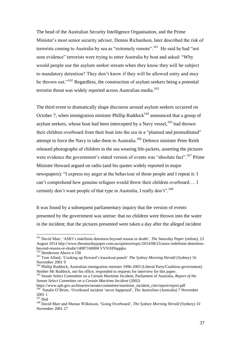The head of the Australian Security Intelligence Organisation, and the Prime Minister's most senior security adviser, Dennis Richardson, later described the risk of terrorists coming to Australia by sea as "extremely remote".<sup>161</sup> He said he had "not seen evidence" terrorists were trying to enter Australia by boat and asked: "Why would people use the asylum seeker stream when they know they will be subject to mandatory detention? They don't know if they will be allowed entry and may be thrown out."<sup>162</sup> Regardless, the construction of asylum seekers being a potential terrorist threat was widely reported across Australian media.<sup>163</sup>

The third event to dramatically shape discourse around asylum seekers occurred on October 7, when immigration minister Phillip Ruddock<sup>164</sup> announced that a group of asylum seekers, whose boat had been intercepted by a Navy vessel,  $165$  had thrown their children overboard from their boat into the sea in a "planned and premeditated" attempt to force the Navy to take them to Australia.<sup>166</sup> Defence minister Peter Reith released photographs of children in the sea wearing life-jackets, asserting the pictures were evidence the government's stated version of events was "absolute fact".<sup>167</sup> Prime Minister Howard argued on radio (and his quotes widely reported in major newspapers): "I express my anger at the behaviour of those people and I repeat it: I can't comprehend how genuine refugees would throw their children overboard…. I certainly don't want people of that type in Australia, I really don't".<sup>168</sup>

It was found by a subsequent parliamentary inquiry that the version of events presented by the government was untrue: that no children were thrown into the water in the incident; that the pictures presented were taken a day after the alleged incident

<sup>161</sup> David Marr, 'ASIO's indefinite detention beyond reason or doubt', *The Saturday Paper* (online), 23 August 2014 [http://www.thesaturdaypaper.com.au/opinion/topic/2014/08/23/asios-indefinite-detention](http://www.thesaturdaypaper.com.au/opinion/topic/2014/08/23/asios-indefinite-detention-beyond-reason-or-doubt/1408716000#.VVS1HNqqqko)[beyond-reason-or-doubt/1408716000#.VVS1HNqqqko](http://www.thesaturdaypaper.com.au/opinion/topic/2014/08/23/asios-indefinite-detention-beyond-reason-or-doubt/1408716000#.VVS1HNqqqko)

<sup>&</sup>lt;sup>162</sup> Henderson Above n 158

<sup>&</sup>lt;sup>163</sup> Tom Allard, 'Cooking up Howard's knockout punch' *The Sydney Morning Herald* (Sydney) 16 November 2001 9

<sup>&</sup>lt;sup>164</sup> Phillip Ruddock, Australian immigration minister 1996-2003 (Liberal Party/Coalition government) Neither Mr Ruddock, nor his office, responded to requests for interview for this paper.

<sup>165</sup> Senate Select Committee on a Certain Maritime Incident, Parliament of Australia, *Report of the Senate Select Committee on a Certain Maritime Incident* (2002)

https://www.aph.gov.au/binaries/senate/committee/maritime\_incident\_ctte/report/report.pdf <sup>166</sup> Natalie O'Brien, 'Overboard incident 'never happened', *The Australian* (Australia) 7 November 2001 1

<sup>167</sup> Ibid

<sup>168</sup> David Marr and Marian Wilkinson, 'Going Overboard', *The Sydney Morning Herald* (Sydney) 10 November 2001 27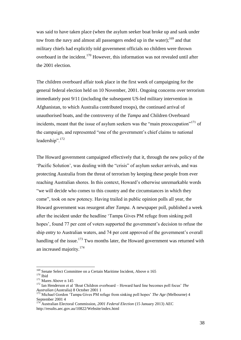was said to have taken place (when the asylum seeker boat broke up and sank under tow from the navy and almost all passengers ended up in the water);  $169$  and that military chiefs had explicitly told government officials no children were thrown overboard in the incident.<sup>170</sup> However, this information was not revealed until after the 2001 election.

The children overboard affair took place in the first week of campaigning for the general federal election held on 10 November, 2001. Ongoing concerns over terrorism immediately post 9/11 (including the subsequent US-led military intervention in Afghanistan, to which Australia contributed troops), the continued arrival of unauthorised boats, and the controversy of the *Tampa* and Children Overboard incidents, meant that the issue of asylum seekers was the "main preoccupation"<sup>171</sup> of the campaign, and represented "one of the government's chief claims to national leadership".<sup>172</sup>

The Howard government campaigned effectively that it, through the new policy of the 'Pacific Solution', was dealing with the "crisis" of asylum seeker arrivals, and was protecting Australia from the threat of terrorism by keeping these people from ever reaching Australian shores. In this context, Howard's otherwise unremarkable words "we will decide who comes to this country and the circumstances in which they come", took on new potency. Having trailed in public opinion polls all year, the Howard government was resurgent after *Tampa*. A newspaper poll, published a week after the incident under the headline 'Tampa Gives PM refuge from sinking poll hopes', found 77 per cent of voters supported the government's decision to refuse the ship entry to Australian waters, and 74 per cent approved of the government's overall handling of the issue.<sup>173</sup> Two months later, the Howard government was returned with an increased majority.<sup>174</sup>

<sup>&</sup>lt;sup>169</sup> Senate Select Committee on a Certain Maritime Incident, Above n 165

 $170$  Ibid

<sup>&</sup>lt;sup>171</sup> Mares Above n 145

<sup>172</sup> Ian Henderson et al 'Boat Children overboard – Howard hard line becomes poll focus' *The Australian* (Australia) 8 October 2001 1

<sup>&</sup>lt;sup>173</sup> Michael Gordon 'Tampa Gives PM refuge from sinking poll hopes' *The Age* (Melbourne) 4 September 2001 4

<sup>174</sup> Australian Electoral Commission, *2001 Federal Election* (15 January 2013) AEC http://results.aec.gov.au/10822/Website/index.html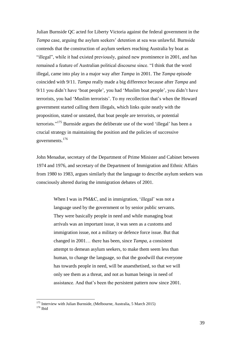Julian Burnside QC acted for Liberty Victoria against the federal government in the *Tampa* case, arguing the asylum seekers' detention at sea was unlawful. Burnside contends that the construction of asylum seekers reaching Australia by boat as "illegal", while it had existed previously, gained new prominence in 2001, and has remained a feature of Australian political discourse since. "I think that the word illegal, came into play in a major way after *Tampa* in 2001. The *Tampa* episode coincided with 9/11. *Tampa* really made a big difference because after *Tampa* and 9/11 you didn't have 'boat people', you had 'Muslim boat people', you didn't have terrorists, you had 'Muslim terrorists'. To my recollection that's when the Howard government started calling them illegals, which links quite neatly with the proposition, stated or unstated, that boat people are terrorists, or potential terrorists."<sup>175</sup> Burnside argues the deliberate use of the word 'illegal' has been a crucial strategy in maintaining the position and the policies of successive governments. 176

John Menadue, secretary of the Department of Prime Minister and Cabinet between 1974 and 1976, and secretary of the Department of Immigration and Ethnic Affairs from 1980 to 1983, argues similarly that the language to describe asylum seekers was consciously altered during the immigration debates of 2001.

> When I was in PM&C, and in immigration, 'illegal' was not a language used by the government or by senior public servants. They were basically people in need and while managing boat arrivals was an important issue, it was seen as a customs and immigration issue, not a military or defence force issue. But that changed in 2001… there has been, since *Tampa*, a consistent attempt to demean asylum seekers, to make them seem less than human, to change the language, so that the goodwill that everyone has towards people in need, will be anaesthetised, so that we will only see them as a threat, and not as human beings in need of assistance. And that's been the persistent pattern now since 2001.

<sup>&</sup>lt;sup>175</sup> Interview with Julian Burnside, (Melbourne, Australia, 5 March 2015)

<sup>176</sup> Ibid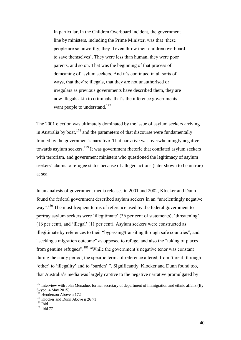In particular, in the Children Overboard incident, the government line by ministers, including the Prime Minister, was that 'these people are so unworthy, they'd even throw their children overboard to save themselves'. They were less than human, they were poor parents, and so on. That was the beginning of that process of demeaning of asylum seekers. And it's continued in all sorts of ways, that they're illegals, that they are not unauthorised or irregulars as previous governments have described them, they are now illegals akin to criminals, that's the inference governments want people to understand.<sup>177</sup>

The 2001 election was ultimately dominated by the issue of asylum seekers arriving in Australia by boat,  $178$  and the parameters of that discourse were fundamentally framed by the government's narrative. That narrative was overwhelmingly negative towards asylum seekers.<sup>179</sup> It was government rhetoric that conflated asylum seekers with terrorism, and government ministers who questioned the legitimacy of asylum seekers' claims to refugee status because of alleged actions (later shown to be untrue) at sea.

In an analysis of government media releases in 2001 and 2002, Klocker and Dunn found the federal government described asylum seekers in an "unrelentingly negative way".<sup>180</sup> The most frequent terms of reference used by the federal government to portray asylum seekers were 'illegitimate' (36 per cent of statements), 'threatening' (16 per cent), and 'illegal' (11 per cent). Asylum seekers were constructed as illegitimate by references to their "bypassing/transiting through safe countries", and "seeking a migration outcome" as opposed to refuge, and also the "taking of places from genuine refugees".<sup>181</sup> "While the government's negative tenor was constant during the study period, the specific terms of reference altered, from 'threat' through 'other' to 'illegality' and to 'burden' ". Significantly, Klocker and Dunn found too, that Australia's media was largely captive to the negative narrative promulgated by

 $177$  Interview with John Menadue, former secretary of department of immigration and ethnic affairs (By Skype, 4 May 2015)

 $8$  Henderson Above n 172

<sup>&</sup>lt;sup>179</sup> Klocker and Dunn Above n 26 71

 $180$  Ibid

<sup>181</sup> Ibid 77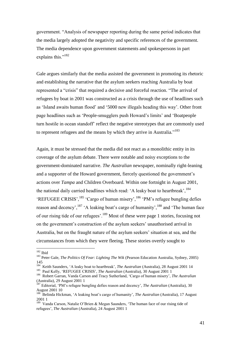government. "Analysis of newspaper reporting during the same period indicates that the media largely adopted the negativity and specific references of the government. The media dependence upon government statements and spokespersons in part explains this."<sup>182</sup>

Gale argues similarly that the media assisted the government in promoting its rhetoric and establishing the narrative that the asylum seekers reaching Australia by boat represented a "crisis" that required a decisive and forceful reaction. "The arrival of refugees by boat in 2001 was constructed as a crisis through the use of headlines such as 'Island awaits human flood' and '5000 new illegals heading this way'. Other front page headlines such as 'People-smugglers push Howard's limits' and 'Boatpeople turn hostile in ocean standoff' reflect the negative stereotypes that are commonly used to represent refugees and the means by which they arrive in Australia."<sup>183</sup>

Again, it must be stressed that the media did not react as a monolithic entity in its coverage of the asylum debate. There were notable and noisy exceptions to the government-dominated narrative. *The Australian* newspaper, nominally right-leaning and a supporter of the Howard government, fiercely questioned the government's actions over *Tampa* and Children Overboard. Within one fortnight in August 2001, the national daily carried headlines which read: 'A leaky boat to heartbreak', <sup>184</sup> 'REFUGEE CRISIS', <sup>185</sup> 'Cargo of human misery', <sup>186</sup> 'PM's refugee bungling defies reason and decency',<sup>187</sup> 'A leaking boat's cargo of humanity',<sup>188</sup> and 'The human face of our rising tide of our refugees'.<sup>189</sup> Most of these were page 1 stories, focusing not on the government's construction of the asylum seekers' unauthorised arrival in Australia, but on the fraught nature of the asylum seekers' situation at sea, and the circumstances from which they were fleeing. These stories overtly sought to

 $182$  Ibid

<sup>&</sup>lt;sup>183</sup> Peter Gale. *The Politics Of Fear: Lighting The Wik* (Pearson Education Australia, Sydney, 2005) 145

<sup>184</sup> Keith Saunders, 'A leaky boat to heartbreak', *The Australian* (Australia), 28 August 2001 14

<sup>&</sup>lt;sup>185</sup> Paul Kelly, 'REFUGEE CRISIS', *The Australian* (Australia), 30 August 2001 1

<sup>186</sup> Robert Garran, Vanda Carson and Tracy Sutherland, 'Cargo of human misery', *The Australian*  (Australia), 29 August 2001 1

<sup>187</sup> Editorial, 'PM's refugee bungling defies reason and decency', *The Australian* (Australia), 30 August 2001 10

<sup>188</sup> Belinda Hickman, 'A leaking boat's cargo of humanity', *The Australian* (Australia), 17 August 2001 1

<sup>&</sup>lt;sup>189</sup> Vanda Carson, Natalie O'Brien & Megan Saunders, 'The human face of our rising tide of refugees', *The Australian* (Australia), 24 August 2001 1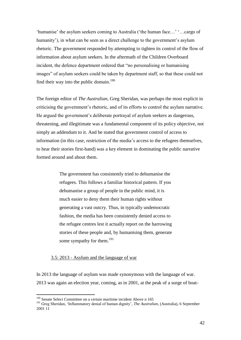'humanise' the asylum seekers coming to Australia ('the human face…' '…cargo of humanity'), in what can be seen as a direct challenge to the government's asylum rhetoric. The government responded by attempting to tighten its control of the flow of information about asylum seekers. In the aftermath of the Children Overboard incident, the defence department ordered that "no personalising or humanising images" of asylum seekers could be taken by department staff, so that these could not find their way into the public domain.<sup>190</sup>

The foreign editor of *The Australian*, Greg Sheridan, was perhaps the most explicit in criticising the government's rhetoric, and of its efforts to control the asylum narrative. He argued the government's deliberate portrayal of asylum seekers as dangerous, threatening, and illegitimate was a fundamental component of its policy objective, not simply an addendum to it. And he stated that government control of access to information (in this case, restriction of the media's access to the refugees themselves, to hear their stories first-hand) was a key element in dominating the public narrative formed around and about them.

> The government has consistently tried to dehumanise the refugees. This follows a familiar historical pattern. If you dehumanise a group of people in the public mind, it is much easier to deny them their human rights without generating a vast outcry. Thus, in typically undemocratic fashion, the media has been consistently denied access to the refugee centres lest it actually report on the harrowing stories of these people and, by humanising them, generate some sympathy for them.<sup>191</sup>

## 3.5: 2013 - Asylum and the language of war

In 2013 the language of asylum was made synonymous with the language of war. 2013 was again an election year, coming, as in 2001, at the peak of a surge of boat-

<sup>&</sup>lt;sup>190</sup> Senate Select Committee on a certain maritime incident Above n 165

<sup>191</sup> Greg Sheridan, 'Inflammatory denial of human dignity', *The Australian*, (Australia), 6 September 2001 11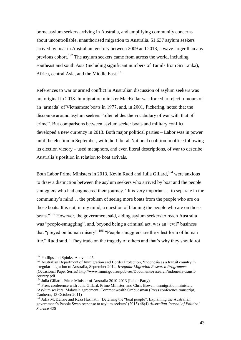borne asylum seekers arriving in Australia, and amplifying community concerns about uncontrollable, unauthorised migration to Australia. 51,637 asylum seekers arrived by boat in Australian territory between 2009 and 2013, a wave larger than any previous cohort.<sup>192</sup> The asylum seekers came from across the world, including southeast and south Asia (including significant numbers of Tamils from Sri Lanka), Africa, central Asia, and the Middle East.<sup>193</sup>

References to war or armed conflict in Australian discussion of asylum seekers was not original in 2013. Immigration minister MacKellar was forced to reject rumours of an 'armada' of Vietnamese boats in 1977, and, in 2001, Pickering, noted that the discourse around asylum seekers "often elides the vocabulary of war with that of crime". But comparisons between asylum seeker boats and military conflict developed a new currency in 2013. Both major political parties – Labor was in power until the election in September, with the Liberal-National coalition in office following its election victory – used metaphors, and even literal descriptions, of war to describe Australia's position in relation to boat arrivals.

Both Labor Prime Ministers in 2013, Kevin Rudd and Julia Gillard,<sup>194</sup> were anxious to draw a distinction between the asylum seekers who arrived by boat and the people smugglers who had engineered their journey. "It is very important… to separate in the community's mind… the problem of seeing more boats from the people who are on those boats. It is not, in my mind, a question of blaming the people who are on those boats."<sup>195</sup> However, the government said, aiding asylum seekers to reach Australia was "people-smuggling", and, beyond being a criminal act, was an "evil" business that "preyed on human misery".<sup>196</sup> "People smugglers are the vilest form of human life," Rudd said. "They trade on the tragedy of others and that's why they should rot

<sup>&</sup>lt;sup>192</sup> Phillips and Spinks, Above n 45

<sup>&</sup>lt;sup>193</sup> Australian Department of Immigration and Border Protection, 'Indonesia as a transit country in irregular migration to Australia, September 2014*, Irregular Migration Research Programme* (Occasional Paper Series) [http://www.immi.gov.au/pub-res/Documents/research/indonesia-transit](http://www.immi.gov.au/pub-res/Documents/research/indonesia-transit-country.pdf)[country.pdf](http://www.immi.gov.au/pub-res/Documents/research/indonesia-transit-country.pdf)

<sup>&</sup>lt;sup>194</sup> Julia Gillard, Prime Minister of Australia 2010-2013 (Labor Party)

<sup>&</sup>lt;sup>195</sup> Press conference with Julia Gillard, Prime Minister, and Chris Bowen, immigration minister, 'Asylum seekers; Malaysia agreement; Commonwealth Ombudsman (Press conference transcript, Canberra, 13 October 2011)

<sup>&</sup>lt;sup>196</sup> Jaffa McKenzie and Reza Hasmath, 'Deterring the "boat people": Explaining the Australian government's People Swap response to asylum seekers' (2013) 48(4) *Australian Journal of Political Science* 420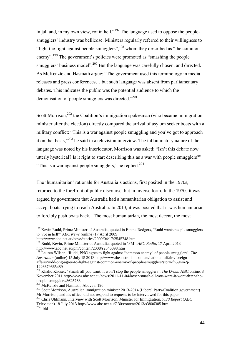in jail and, in my own view, rot in hell."<sup>197</sup> The language used to oppose the peoplesmugglers' industry was bellicose. Ministers regularly referred to their willingness to "fight the fight against people smugglers",  $198$  whom they described as "the common" enemy".<sup>199</sup> The government's policies were promoted as "smashing the people smugglers' business model".<sup>200</sup> But the language was carefully chosen, and directed. As McKenzie and Hasmath argue: "The government used this terminology in media releases and press conferences… but such language was absent from parliamentary debates. This indicates the public was the potential audience to which the demonisation of people smugglers was directed."<sup>201</sup>

Scott Morrison, $202$  the Coalition's immigration spokesman (who became immigration minister after the election) directly compared the arrival of asylum seeker boats with a military conflict: "This is a war against people smuggling and you've got to approach it on that basis,"<sup>203</sup> he said in a television interview. The inflammatory nature of the language was noted by his interlocutor, Morrison was asked: "Isn't this debate now utterly hysterical? Is it right to start describing this as a war with people smugglers?" "This is a war against people smugglers," he replied.<sup>204</sup>

The 'humanitarian' rationale for Australia's actions, first posited in the 1970s, returned to the forefront of public discourse, but in inverse form. In the 1970s it was argued by government that Australia had a humanitarian obligation to assist and accept boats trying to reach Australia. In 2013, it was posited that it was humanitarian to forcibly push boats back. "The most humanitarian, the most decent, the most

 $197$  Kevin Rudd, Prime Minister of Australia, quoted in Emma Rodgers, 'Rudd wants people smugglers to "rot in hell"' *ABC News* (online) 17 April 2009

http://www.abc.net.au/news/stories/2009/04/17/2545748.htm

<sup>198</sup> Rudd, Kevin, Prime Minister of Australia, quoted in 'PM', *ABC Radio*, 17 April 2013 http://www.abc.net.au/pm/content/2008/s2546098.htm

<sup>199</sup> Lauren Wilson, 'Rudd, PNG agree to fight against "common enemy" of people smugglers', *The Australian* (online) 15 July 15 201[3 http://www.theaustralian.com.au/national-affairs/foreign](http://www.theaustralian.com.au/national-affairs/foreign-affairs/rudd-png-agree-to-fight-against-common-enemy-of-people-smugglers/story-fn59nm2j-1226679665489)[affairs/rudd-png-agree-to-fight-against-common-enemy-of-people-smugglers/story-fn59nm2j-](http://www.theaustralian.com.au/national-affairs/foreign-affairs/rudd-png-agree-to-fight-against-common-enemy-of-people-smugglers/story-fn59nm2j-1226679665489)[1226679665489](http://www.theaustralian.com.au/national-affairs/foreign-affairs/rudd-png-agree-to-fight-against-common-enemy-of-people-smugglers/story-fn59nm2j-1226679665489)

<sup>200</sup> Khalid Khoser, 'Smash all you want; it won't stop the people smugglers', *The Drum*, ABC online, 3 November 2011 [http://www.abc.net.au/news/2011-11-04/koser-smash-all-you-want-it-wont-deter-the](http://www.abc.net.au/news/2011-11-04/koser-smash-all-you-want-it-wont-deter-the-people-smugglers/3625768)[people-smugglers/3625768](http://www.abc.net.au/news/2011-11-04/koser-smash-all-you-want-it-wont-deter-the-people-smugglers/3625768)

<sup>&</sup>lt;sup>201</sup> McKenzie and Hasmath, Above n 196

<sup>&</sup>lt;sup>202</sup> Scott Morrison, Australian immigration minister 2013-2014 (Liberal Party/Coalition government) Mr Morrison, and his office, did not respond to requests to be interviewed for this paper

<sup>203</sup> Chris Uhlmann, Interview with Scott Morrison, Minister for Immigration, *7:30 Report* (ABC Television) 18 July 2013<http://www.abc.net.au/7.30/content/2013/s3806305.htm>

 $204$  Ibid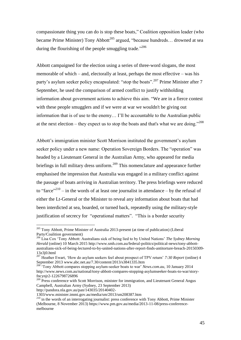compassionate thing you can do is stop these boats," Coalition opposition leader (who became Prime Minister) Tony Abbott<sup>205</sup> argued, "because hundreds... drowned at sea during the flourishing of the people smuggling trade."<sup>206</sup>

Abbott campaigned for the election using a series of three-word slogans, the most memorable of which – and, electorally at least, perhaps the most effective – was his party's asylum seeker policy encapsulated: "stop the boats".<sup>207</sup> Prime Minister after 7 September, he used the comparison of armed conflict to justify withholding information about government actions to achieve this aim. "We are in a fierce contest with these people smugglers and if we were at war we wouldn't be giving out information that is of use to the enemy… I'll be accountable to the Australian public at the next election – they expect us to stop the boats and that's what we are doing."<sup>208</sup>

Abbott's immigration minister Scott Morrison instituted the government's asylum seeker policy under a new name: Operation Sovereign Borders. The "operation" was headed by a Lieutenant General in the Australian Army, who appeared for media briefings in full military dress uniform.<sup>209</sup> This nomenclature and appearance further emphasised the impression that Australia was engaged in a military conflict against the passage of boats arriving in Australian territory. The press briefings were reduced to "farce"<sup>210</sup> – in the words of at least one journalist in attendance – by the refusal of either the Lt-General or the Minister to reveal any information about boats that had been interdicted at sea, boarded, or turned back, repeatedly using the military-style justification of secrecy for "operational matters". "This is a border security

http://pandora.nla.gov.au/pan/143035/20140402-

 $205$  Tony Abbott, Prime Minister of Australia 2013-present (at time of publication) (Liberal Party/Coalition government)

<sup>206</sup> Lisa Cox 'Tony Abbott: Australians sick of being lied to by United Nations' *The Sydney Morning Herald* (online) 10 March 2015 [http://www.smh.com.au/federal-politics/political-news/tony-abbott](http://www.smh.com.au/federal-politics/political-news/tony-abbott-australians-sick-of-being-lectured-to-by-united-nations-after-report-finds-antitorture-breach-20150309-13z3j0.html)[australians-sick-of-being-lectured-to-by-united-nations-after-report-finds-antitorture-breach-20150309-](http://www.smh.com.au/federal-politics/political-news/tony-abbott-australians-sick-of-being-lectured-to-by-united-nations-after-report-finds-antitorture-breach-20150309-13z3j0.html) [13z3j0.html](http://www.smh.com.au/federal-politics/political-news/tony-abbott-australians-sick-of-being-lectured-to-by-united-nations-after-report-finds-antitorture-breach-20150309-13z3j0.html)

<sup>207</sup> Heather Ewart, 'How do asylum seekers feel about prospect of TPV return' *7:30 Report* (online) 4 September 2013 www.abc.net.au/7.30/content/2013/s3841335.htm

<sup>&</sup>lt;sup>208</sup> Tony Abbott compares stopping asylum-seeker boats to war' *News.com.au*, 10 January 2014 [http://www.news.com.au/national/tony-abbott-compares-stopping-asylumseeker-boats-to-war/story](http://www.news.com.au/national/tony-abbott-compares-stopping-asylumseeker-boats-to-war/story-fncynjr2-1226798726896)[fncynjr2-1226798726896](http://www.news.com.au/national/tony-abbott-compares-stopping-asylumseeker-boats-to-war/story-fncynjr2-1226798726896)

<sup>&</sup>lt;sup>209</sup> Press conference with Scott Morrison, minister for immigration, and Lieutenant General Angus Campbell, Australian Army (Sydney, 23 September 2013)

<sup>1303/</sup>www.minister.immi.gov.au/media/sm/2013/sm208387.htm

<sup>&</sup>lt;sup>210</sup> in the words of an interrogating journalist: press conference with Tony Abbott, Prime Minister (Melbourne, 8 November 2013) https://www.pm.gov.au/media/2013-11-08/press-conferencemelbourne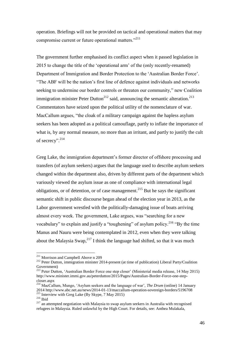operation. Briefings will not be provided on tactical and operational matters that may compromise current or future operational matters."<sup>211</sup>

The government further emphasised its conflict aspect when it passed legislation in 2015 to change the title of the 'operational arm' of the (only recently-renamed) Department of Immigration and Border Protection to the 'Australian Border Force'. "The ABF will be the nation's first line of defence against individuals and networks seeking to undermine our border controls or threaten our community," new Coalition immigration minister Peter Dutton<sup>212</sup> said, announcing the semantic alteration.<sup>213</sup> Commentators have seized upon the political utility of the nomenclature of war. MacCallum argues, "the cloak of a military campaign against the hapless asylum seekers has been adopted as a political camouflage, partly to inflate the importance of what is, by any normal measure, no more than an irritant, and partly to justify the cult of secrecy". 214

Greg Lake, the immigration department's former director of offshore processing and transfers (of asylum seekers) argues that the language used to describe asylum seekers changed within the department also, driven by different parts of the department which variously viewed the asylum issue as one of compliance with international legal obligations, or of detention, or of case management.<sup>215</sup> But he says the significant semantic shift in public discourse began ahead of the election year in 2013, as the Labor government wrestled with the politically-damaging issue of boats arriving almost every week. The government, Lake argues, was "searching for a new vocabulary" to explain and justify a "toughening" of asylum policy.<sup>216</sup> "By the time Manus and Nauru were being contemplated in 2012, even when they were talking about the Malaysia Swap,  $2^{17}$  I think the language had shifted, so that it was much

<sup>&</sup>lt;sup>211</sup> Morrison and Campbell Above n 209

<sup>&</sup>lt;sup>212</sup> Peter Dutton, immigration minister 2014-present (at time of publication) Liberal Party/Coalition Government)

<sup>&</sup>lt;sup>213</sup> Peter Dutton, 'Australian Border Force one step closer' (Ministerial media release, 14 May 2015) http://www.minister.immi.gov.au/peterdutton/2015/Pages/Australian-Border-Force-one-stepcloser.aspx

<sup>214</sup> MacCallum, Mungo, 'Asylum seekers and the language of war', *The Drum* (online) 14 January 2014 http://www.abc.net.au/news/2014-01-13/maccallum-operation-sovereign-borders/5196708 <sup>215</sup> Interview with Greg Lake (By Skype, 7 May 2015)

 $^{216}$  Ibid

<sup>&</sup>lt;sup>217</sup> an attempted negotiation with Malaysia to swap asylum seekers in Australia with recognised refugees in Malaysia. Ruled unlawful by the High Court. For details, see: Anthea Mulakala,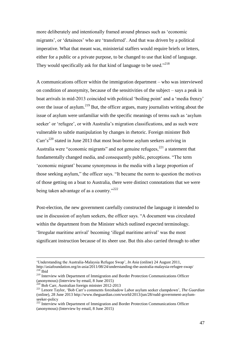more deliberately and intentionally framed around phrases such as 'economic migrants', or 'detainees' who are 'transferred'. And that was driven by a political imperative. What that meant was, ministerial staffers would require briefs or letters, either for a public or a private purpose, to be changed to use that kind of language. They would specifically ask for that kind of language to be used."<sup>218</sup>

A communications officer within the immigration department – who was interviewed on condition of anonymity, because of the sensitivities of the subject – says a peak in boat arrivals in mid-2013 coincided with political 'boiling point' and a 'media frenzy' over the issue of asylum.<sup>219</sup> But, the officer argues, many journalists writing about the issue of asylum were unfamiliar with the specific meanings of terms such as 'asylum seeker' or 'refugee', or with Australia's migration classifications, and as such were vulnerable to subtle manipulation by changes in rhetoric. Foreign minister Bob  $Carr's^{220}$  stated in June 2013 that most boat-borne asylum seekers arriving in Australia were "economic migrants" and not genuine refugees,  $221$  a statement that fundamentally changed media, and consequently public, perceptions. "The term 'economic migrant' became synonymous in the media with a large proportion of those seeking asylum," the officer says. "It became the norm to question the motives of those getting on a boat to Australia, there were distinct connotations that we were being taken advantage of as a country."<sup>222</sup>

Post-election, the new government carefully constructed the language it intended to use in discussion of asylum seekers, the officer says. "A document was circulated within the department from the Minister which outlined expected terminology. 'Irregular maritime arrival' becoming 'illegal maritime arrival' was the most significant instruction because of its sheer use. But this also carried through to other

<sup>&#</sup>x27;Understanding the Australia-Malaysia Refugee Swap', *In Asia* (online) 24 August 2011,

http://asiafoundation.org/in-asia/2011/08/24/understanding-the-australia-malaysia-refugee-swap/  $218$  Ibid

<sup>&</sup>lt;sup>219</sup> Interview with Department of Immigration and Border Protection Communications Officer (anonymous) (Interview by email, 8 June 2015)

<sup>&</sup>lt;sup>220</sup> Bob Carr, Australian foreign minister 2012-2013

<sup>221</sup> Lenore Taylor, 'Bob Carr's comments foreshadow Labor asylum seeker clampdown', *The Guardian* (online), 28 June 2013 http://www.theguardian.com/world/2013/jun/28/rudd-government-asylumseeker-policy

<sup>&</sup>lt;sup>222</sup> Interview with Department of Immigration and Border Protection Communications Officer (anonymous) (Interview by email, 8 June 2015)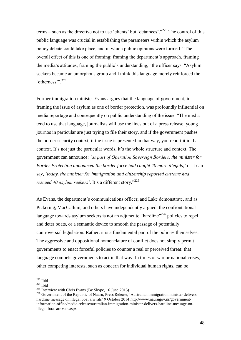terms – such as the directive not to use 'clients' but 'detainees'."<sup>223</sup> The control of this public language was crucial in establishing the parameters within which the asylum policy debate could take place, and in which public opinions were formed. "The overall effect of this is one of framing: framing the department's approach, framing the media's attitudes, framing the public's understanding," the officer says. "Asylum seekers became an amorphous group and I think this language merely reinforced the 'otherness'".<sup>224</sup>

Former immigration minister Evans argues that the language of government, in framing the issue of asylum as one of border protection, was profoundly influential on media reportage and consequently on public understanding of the issue. "The media tend to use that language, journalists will use the lines out of a press release, young journos in particular are just trying to file their story, and if the government pushes the border security context, if the issue is presented in that way, you report it in that context. It's not just the particular words, it's the whole structure and context. The government can announce: *'as part of Operation Sovereign Borders, the minister for Border Protection announced the border force had caught 40 more illegals,'* or it can say, *'today, the minister for immigration and citizenship reported customs had rescued 40 asylum seekers'*. It's a different story."<sup>225</sup>

As Evans, the department's communications officer, and Lake demonstrate, and as Pickering, MacCallum, and others have independently argued, the confrontational language towards asylum seekers is not an adjunct to "hardline"<sup>226</sup> policies to repel and deter boats, or a semantic device to smooth the passage of potentially controversial legislation. Rather, it is a fundamental part of the policies themselves. The aggressive and oppositional nomenclature of conflict does not simply permit governments to enact forceful policies to counter a real or perceived threat: that language compels governments to act in that way. In times of war or national crises, other competing interests, such as concern for individual human rights, can be

 $223$  Ibid

 $224$  Ibid

<sup>225</sup> Interview with Chris Evans (By Skype, 16 June 2015)

<sup>&</sup>lt;sup>226</sup> Government of the Republic of Nauru, Press Release, 'Australian immigration minister delivers hardline message on illegal boat arrivals' 9 October 2014 http://www.naurugov.nr/governmentinformation-office/media-release/australian-immigration-minister-delivers-hardline-message-onillegal-boat-arrivals.aspx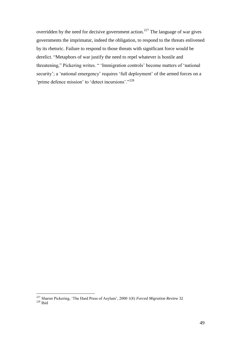overridden by the need for decisive government action.<sup>227</sup> The language of war gives governments the imprimatur, indeed the obligation, to respond to the threats enlivened by its rhetoric. Failure to respond to those threats with significant force would be derelict. "Metaphors of war justify the need to repel whatever is hostile and threatening," Pickering writes. " 'Immigration controls' become matters of 'national security'; a 'national emergency' requires 'full deployment' of the armed forces on a 'prime defence mission' to 'detect incursions'."<sup>228</sup>

<sup>227</sup> Sharon Pickering, 'The Hard Press of Asylum', 2000 1(8) *Forced Migration Review* 32  $228$  Ibid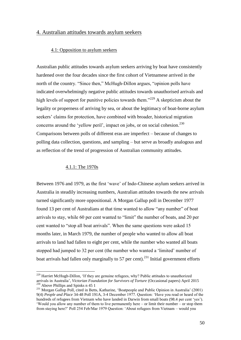# 4. Australian attitudes towards asylum seekers

## 4.1: Opposition to asylum seekers

Australian public attitudes towards asylum seekers arriving by boat have consistently hardened over the four decades since the first cohort of Vietnamese arrived in the north of the country. "Since then," McHugh-Dillon argues, "opinion polls have indicated overwhelmingly negative public attitudes towards unauthorised arrivals and high levels of support for punitive policies towards them."<sup>229</sup> A skepticism about the legality or properness of arriving by sea, or about the legitimacy of boat-borne asylum seekers' claims for protection, have combined with broader, historical migration concerns around the 'yellow peril', impact on jobs, or on social cohesion.<sup>230</sup> Comparisons between polls of different eras are imperfect – because of changes to polling data collection, questions, and sampling – but serve as broadly analogous and as reflection of the trend of progression of Australian community attitudes.

## 4.1.1: The 1970s

 $\overline{a}$ 

Between 1976 and 1979, as the first 'wave' of Indo-Chinese asylum seekers arrived in Australia in steadily increasing numbers, Australian attitudes towards the new arrivals turned significantly more oppositional. A Morgan Gallup poll in December 1977 found 13 per cent of Australians at that time wanted to allow "any number" of boat arrivals to stay, while 60 per cent wanted to "limit" the number of boats, and 20 per cent wanted to "stop all boat arrivals". When the same questions were asked 15 months later, in March 1979, the number of people who wanted to allow all boat arrivals to land had fallen to eight per cent, while the number who wanted all boats stopped had jumped to 32 per cent (the number who wanted a 'limited' number of boat arrivals had fallen only marginally to 57 per cent).<sup>231</sup> Initial government efforts

 $229$  Harriet McHugh-Dillon, 'If they are genuine refugees, why? Public attitudes to unauthorized arrivals in Australia', *Victorian Foundation for Survivors of Torture* (Occasional papers) April 2015  $230$  Above Phillips and Spinks n 45 1

<sup>&</sup>lt;sup>231</sup> Morgan Gallup Poll, cited in Betts, Katharine, 'Boatpeople and Public Opinion in Australia' (2001) 9(4) *People and Place* 34-48 Poll 191A, 3-4 December 1977. Question: 'Have you read or heard of the hundreds of refugees from Vietnam who have landed in Darwin from small boats (98.4 per cent 'yes'). 'Would you allow any number of them to live permanently here – or limit their number – or stop them from staying here?' Poll 254 Feb/Mar 1979 Question: 'About refugees from Vietnam – would you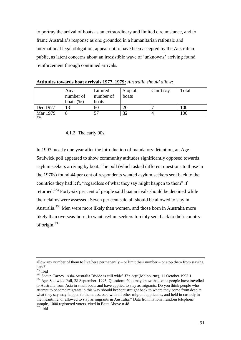to portray the arrival of boats as an extraordinary and limited circumstance, and to frame Australia's response as one grounded in a humanitarian rationale and international legal obligation, appear not to have been accepted by the Australian public, as latent concerns about an irresistible wave of 'unknowns' arriving found reinforcement through continued arrivals.

|          | Any<br>number of<br>boats $(\%)$ | Limited<br>number of<br>boats | Stop all<br>boats | Can't say | Total |
|----------|----------------------------------|-------------------------------|-------------------|-----------|-------|
| Dec 1977 | 13                               | 60                            |                   |           | 100   |
| Mar 1979 |                                  | 57                            |                   |           | .00   |
| 232      |                                  |                               |                   |           |       |

**Attitudes towards boat arrivals 1977, 1979:** *Australia should allow:*

#### 4.1.2: The early 90s

In 1993, nearly one year after the introduction of mandatory detention, an Age-Saulwick poll appeared to show community attitudes significantly opposed towards asylum seekers arriving by boat. The poll (which asked different questions to those in the 1970s) found 44 per cent of respondents wanted asylum seekers sent back to the countries they had left, "regardless of what they say might happen to them" if returned.<sup>233</sup> Forty-six per cent of people said boat arrivals should be detained while their claims were assessed. Seven per cent said all should be allowed to stay in Australia.<sup>234</sup> Men were more likely than women, and those born in Australia more likely than overseas-born, to want asylum seekers forcibly sent back to their country of origin.<sup>235</sup>

allow any number of them to live here permanently – or limit their number – or stop them from staying here?'

 $232$  Ibid

<sup>233</sup> Shaun Carney 'Asia-Australia Divide is still wide' *The Age* (Melbourne), 11 October 1993 1 <sup>234</sup> Age-Saulwick Poll, 28 September, 1993. Question: 'You may know that some people have travelled to Australia from Asia in small boats and have applied to stay as migrants. Do you think people who attempt to become migrants in this way should be: sent straight back to where they come from despite what they say may happen to them: assessed with all other migrant applicants, and held in custody in the meantime: or allowed to stay as migrants in Australia?' Data from national random telephone sample, 1000 registered voters. cited in Betts Above n 48  $\frac{235}{235}$  Ibid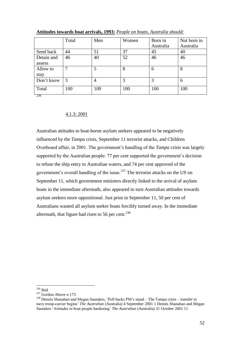|                      | Total | Men | Women | Born in<br>Australia | Not born in<br>Australia |
|----------------------|-------|-----|-------|----------------------|--------------------------|
| Send back            | 44    | 51  | 37    | 45                   | 40                       |
| Detain and<br>assess | 46    | 40  | 52    | 46                   | 46                       |
| Allow to<br>stay     |       | 5   | 8     | 6                    | 8                        |
| Don't know           | 3     | 4   | 3     | 3                    | 6                        |
| Total<br>236         | 100   | 100 | 100   | 100                  | 100                      |

**Attitudes towards boat arrivals, 1993:** *People on boats, Australia should:*

4.1.3: 2001

Australian attitudes to boat-borne asylum seekers appeared to be negatively influenced by the *Tampa* crisis, September 11 terrorist attacks, and Children Overboard affair, in 2001. The government's handling of the *Tampa* crisis was largely supported by the Australian people: 77 per cent supported the government's decision to refuse the ship entry to Australian waters, and 74 per cent approved of the government's overall handling of the issue.<sup>237</sup> The terrorist attacks on the US on September 11, which government ministers directly linked to the arrival of asylum boats in the immediate aftermath, also appeared to turn Australian attitudes towards asylum seekers more oppositional. Just prior to September 11, 50 per cent of Australians wanted all asylum seeker boats forcibly turned away. In the immediate aftermath, that figure had risen to 56 per cent. $^{238}$ 

 $^{236}$  Ibid

<sup>237</sup> Gordon Above n 173

<sup>238</sup> Dennis Shanahan and Megan Saunders, 'Poll backs PM's stand – The Tampa crisis – transfer to navy troop-carrier begins' *The Australian* (Australia) 4 September 2001 1 Dennis Shanahan and Megan Saunders 'Attitudes to boat people hardening' *The Australian* (Australia) 31 October 2001 11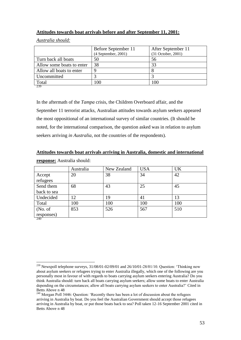# **Attitudes towards boat arrivals before and after September 11, 2001:**

*Australia should:*

|                           | Before September 11   | After September 11 |
|---------------------------|-----------------------|--------------------|
|                           | $(4$ September, 2001) | (31 October, 2001) |
| Turn back all boats       | 50                    | 56                 |
| Allow some boats to enter | 38                    | 33                 |
| Allow all boats to enter  |                       |                    |
| Uncommitted               |                       |                    |
| Total                     | 100                   | 100                |
| -239                      |                       |                    |

In the aftermath of the *Tampa* crisis, the Children Overboard affair, and the September 11 terrorist attacks, Australian attitudes towards asylum seekers appeared the most oppositional of an international survey of similar countries. (It should be noted, for the international comparison, the question asked was in relation to asylum seekers arriving *in Australia*, not the countries of the respondents).

|  | Attitudes towards boat arrivals arriving in Australia, domestic and international |  |  |  |  |
|--|-----------------------------------------------------------------------------------|--|--|--|--|
|--|-----------------------------------------------------------------------------------|--|--|--|--|

|                    | Australia | New Zealand | <b>USA</b> | <b>UK</b> |
|--------------------|-----------|-------------|------------|-----------|
| Accept<br>refugees | 20        | 38          | 34         | 42        |
| Send them          | 68        | 43          | 25         | 45        |
| back to sea        |           |             |            |           |
| Undecided          | 12        | 19          | 41         | 13        |
| Total              | 100       | 100         | 100        | 100       |
| (No. of)           | 853       | 526         | 567        | 510       |
| responses)<br>240  |           |             |            |           |

**response:** Australia should:

<sup>&</sup>lt;sup>239</sup> Newspoll telephone surveys, 31/08/01-02/09/01 and 26/10/01-28/01/10. Question: 'Thinking now about asylum seekers or refugees trying to enter Australia illegally, which one of the following are you personally most in favour of with regards to boats carrying asylum seekers entering Australia? Do you think Australia should: turn back all boats carrying asylum seekers; allow some boats to enter Australia depending on the circumstances; allow all boats carrying asylum seekers to enter Australia?' Cited in Betts Above n 48

<sup>&</sup>lt;sup>240</sup> Morgan Poll 3446: Question: 'Recently there has been a lot of discussion about the refugees arriving in Australia by boat. Do you feel the Australian Government should accept those refugees arriving in Australia by boat, or put those boats back to sea? Poll taken 12-16 September 2001 cited in Betts Above n 48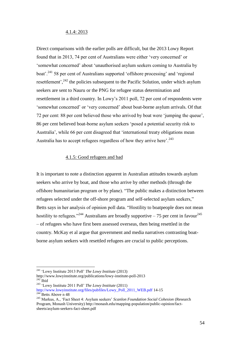### 4.1.4: 2013

Direct comparisons with the earlier polls are difficult, but the 2013 Lowy Report found that in 2013, 74 per cent of Australians were either 'very concerned' or 'somewhat concerned' about 'unauthorised asylum seekers coming to Australia by boat'.<sup>241</sup> 58 per cent of Australians supported 'offshore processing' and 'regional resettlement',<sup>242</sup> the policies subsequent to the Pacific Solution, under which asylum seekers are sent to Nauru or the PNG for refugee status determination and resettlement in a third country. In Lowy's 2011 poll, 72 per cent of respondents were 'somewhat concerned' or 'very concerned' about boat-borne asylum arrivals. Of that 72 per cent: 88 per cent believed those who arrived by boat were 'jumping the queue', 86 per cent believed boat-borne asylum seekers 'posed a potential security risk to Australia', while 66 per cent disagreed that 'international treaty obligations mean Australia has to accept refugees regardless of how they arrive here'.<sup>243</sup>

## 4.1.5: Good refugees and bad

It is important to note a distinction apparent in Australian attitudes towards asylum seekers who arrive by boat, and those who arrive by other methods (through the offshore humanitarian program or by plane). "The public makes a distinction between refugees selected under the off-shore program and self-selected asylum seekers," Betts says in her analysis of opinion poll data. "Hostility to boatpeople does not mean hostility to refugees."<sup>244</sup> Australians are broadly supportive – 75 per cent in favour.<sup>245</sup> – of refugees who have first been assessed overseas, then being resettled in the country. McKay et al argue that government and media narratives contrasting boatborne asylum seekers with resettled refugees are crucial to public perceptions.

<sup>241</sup> 'Lowy Institute 2013 Poll' *The Lowy Institute* (2013)

http://www.lowyinstitute.org/publications/lowy-institute-poll-2013  $242$  Ibid

<sup>243</sup> 'Lowy Institute 2011 Poll' *The Lowy Institute* (2011)

[http://www.lowyinstitute.org/files/pubfiles/Lowy\\_Poll\\_2011\\_WEB.pdf](http://www.lowyinstitute.org/files/pubfiles/Lowy_Poll_2011_WEB.pdf) 14-15  $244$ Betts Above n 48

<sup>245</sup> Markus, A., 'Fact Sheet 4: Asylum seekers' *Scanlon Foundation Social Cohesion* (Research Program, Monash University) http://monash.edu/mapping-population/public-opinion/factsheets/asylum-seekers-fact-sheet.pdf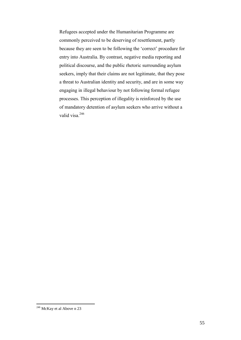Refugees accepted under the Humanitarian Programme are commonly perceived to be deserving of resettlement, partly because they are seen to be following the 'correct' procedure for entry into Australia. By contrast, negative media reporting and political discourse, and the public rhetoric surrounding asylum seekers, imply that their claims are not legitimate, that they pose a threat to Australian identity and security, and are in some way engaging in illegal behaviour by not following formal refugee processes. This perception of illegality is reinforced by the use of mandatory detention of asylum seekers who arrive without a valid visa.<sup>246</sup>

 $246$  McKay et al Above n 23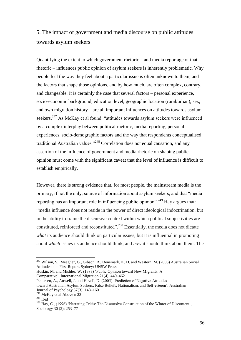# 5. The impact of government and media discourse on public attitudes towards asylum seekers

Quantifying the extent to which government rhetoric – and media reportage of that rhetoric – influences public opinion of asylum seekers is inherently problematic. Why people feel the way they feel about a particular issue is often unknown to them, and the factors that shape those opinions, and by how much, are often complex, contrary, and changeable. It is certainly the case that several factors – personal experience, socio-economic background, education level, geographic location (rural/urban), sex, and own migration history – are all important influences on attitudes towards asylum seekers.<sup>247</sup> As McKay et al found: "attitudes towards asylum seekers were influenced by a complex interplay between political rhetoric, media reporting, personal experiences, socio-demographic factors and the way that respondents conceptualised traditional Australian values."<sup>248</sup> Correlation does not equal causation, and any assertion of the influence of government and media rhetoric on shaping public opinion must come with the significant caveat that the level of influence is difficult to establish empirically.

However, there is strong evidence that, for most people, the mainstream media is the primary, if not the only, source of information about asylum seekers, and that "media reporting has an important role in influencing public opinion".<sup>249</sup> Hay argues that: "media influence does not reside in the power of direct ideological indoctrination, but in the ability to frame the discursive context within which political subjectivities are constituted, reinforced and reconstituted".<sup>250</sup> Essentially, the media does not dictate *what* its audience should think on particular issues, but it is influential in promoting about *which* issues its audience should think, and *how* it should think about them. The

 $^{247}$  Wilson, S., Meagher, G., Gibson, R., Denemark, K. D. and Western, M. (2005) Australian Social Attitudes: the First Report. Sydney: UNSW Press.

Hoskin, M. and Mishler, W. (1983) 'Public Opinion toward New Migrants: A Comparative'. International Migration 21(4): 440–462

Pedersen, A., Attwell, J. and Heveli, D. (2005) 'Prediction of Negative Attitudes

toward Australian Asylum Seekers: False Beliefs, Nationalism, and Self-esteem'. Australian Journal of Psychology 57(3): 148–160

<sup>248</sup> McKay et al Above n 23

 $249$  Ibid

<sup>250</sup> Hay, C., (1996) 'Narrating Crisis: The Discursive Construction of the Winter of Discontent', Sociology 30 (2): 253–77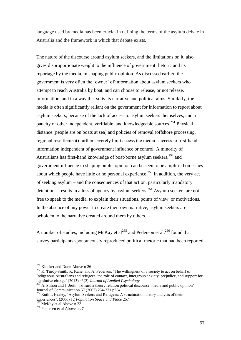language used by media has been crucial in defining the terms of the asylum debate in Australia and the framework in which that debate exists.

The nature of the discourse around asylum seekers, and the limitations on it, also gives disproportionate weight to the influence of government rhetoric and its reportage by the media, in shaping public opinion. As discussed earlier, the government is very often the 'owner' of information about asylum seekers who attempt to reach Australia by boat, and can choose to release, or not release, information, and in a way that suits its narrative and political aims. Similarly, the media is often significantly reliant on the government for information to report about asylum seekers, because of the lack of access to asylum seekers themselves, and a paucity of other independent, verifiable, and knowledgeable sources.<sup>251</sup> Physical distance (people are on boats at sea) and policies of removal (offshore processing, regional resettlement) further severely limit access the media's access to first-hand information independent of government influence or control. A minority of Australians has first-hand knowledge of boat-borne asylum seekers, <sup>252</sup> and government influence in shaping public opinion can be seen to be amplified on issues about which people have little or no personal experience.<sup>253</sup> In addition, the very act of seeking asylum – and the consequences of that action, particularly mandatory detention – results in a loss of agency by asylum seekers.<sup>254</sup> Asylum seekers are not free to speak to the media, to explain their situations, points of view, or motivations. In the absence of any power to create their own narrative, asylum seekers are beholden to the narrative created around them by others.

A number of studies, including McKay et al<sup>255</sup> and Pederson et al,<sup>256</sup> found that survey participants spontaneously reproduced political rhetoric that had been reported

<sup>&</sup>lt;sup>251</sup> Klocker and Dunn Above n 26

 $252$  K. Turoy-Smith, R. Kane, and A. Pederson, 'The willingness of a society to act on behalf of Indigenous Australians and refugees: the role of contact, intergroup anxiety, prejudice, and support for legislative change' (2013) 43(2) *Journal of Applied Psychology*

A. Simon and J. Jerit, 'Toward a theory relation political discourse, media and public opinion' Journal of Communication 57 (2007) 254-271 p254

<sup>&</sup>lt;sup>254</sup> Ruth L Healey, 'Asylum Seekers and Refugees: A structuration theory analysis of their experiences', (2006) 12 *Population Space and Place* 257

 $\overline{5}$  McKay et al Above n 23

<sup>256</sup> Pedersen et al Above n 27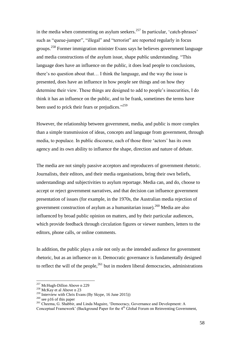in the media when commenting on asylum seekers.<sup>257</sup> In particular, 'catch-phrases' such as "queue-jumper", "illegal" and "terrorist" are reported regularly in focus groups.<sup>258</sup> Former immigration minister Evans says he believes government language and media constructions of the asylum issue, shape public understanding. "This language does have an influence on the public, it does lead people to conclusions, there's no question about that… I think the language, and the way the issue is presented, does have an influence in how people see things and on how they determine their view. These things are designed to add to people's insecurities, I do think it has an influence on the public, and to be frank, sometimes the terms have been used to prick their fears or prejudices."<sup>259</sup>

However, the relationship between government, media, and public is more complex than a simple transmission of ideas, concepts and language from government, through media, to populace. In public discourse, each of those three 'actors' has its own agency and its own ability to influence the shape, direction and nature of debate.

The media are not simply passive acceptors and reproducers of government rhetoric. Journalists, their editors, and their media organisations, bring their own beliefs, understandings and subjectivities to asylum reportage. Media can, and do, choose to accept or reject government narratives, and that decision can influence government presentation of issues (for example, in the 1970s, the Australian media rejection of government construction of asylum as a humanitarian issue).<sup>260</sup> Media are also influenced by broad public opinion on matters, and by their particular audiences, which provide feedback through circulation figures or viewer numbers, letters to the editors, phone calls, or online comments.

In addition, the public plays a role not only as the intended audience for government rhetoric, but as an influence on it. Democratic governance is fundamentally designed to reflect the will of the people, $^{261}$  but in modern liberal democracies, administrations

<sup>&</sup>lt;sup>257</sup> McHugh-Dillon Above n 229

<sup>&</sup>lt;sup>258</sup> McKay et al Above n 23

<sup>259</sup> Interview with Chris Evans (By Skype, 16 June 2015))

<sup>&</sup>lt;sup>260</sup> see p16 of this paper

<sup>&</sup>lt;sup>261</sup> Cheema, G. Shabbir, and Linda Maguire, 'Democracy, Governance and Development: A

Conceptual Framework' (Background Paper for the 4<sup>th</sup> Global Forum on Reinventing Government,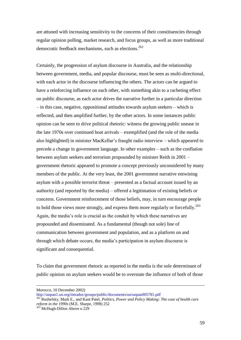are attuned with increasing sensitivity to the concerns of their constituencies through regular opinion polling, market research, and focus groups, as well as more traditional democratic feedback mechanisms, such as elections. 262

Certainly, the progression of asylum discourse in Australia, and the relationship between government, media, and popular discourse, must be seen as multi-directional, with each actor in the discourse influencing the others. The actors can be argued to have a reinforcing influence on each other, with something akin to a racheting effect on public discourse, as each actor drives the narrative further in a particular direction – in this case, negative, oppositional attitudes towards asylum seekers – which is reflected, and then amplified further, by the other actors. In some instances public opinion can be seen to drive political rhetoric: witness the growing public unease in the late 1970s over continued boat arrivals – exemplified (and the role of the media also highlighted) in minister MacKellar's fraught radio interview – which appeared to precede a change in government language. In other examples – such as the conflation between asylum seekers and terrorism propounded by minister Reith in 2001 – government rhetoric appeared to promote a concept previously unconsidered by many members of the public. At the very least, the 2001 government narrative entwining asylum with a possible terrorist threat – presented as a factual account issued by an authority (and reported by the media) – offered a legitimation of existing beliefs or concerns. Government reinforcement of those beliefs, may, in turn encourage people to hold those views more strongly, and express them more regularly or forcefully.<sup>263</sup> Again, the media's role is crucial as the conduit by which these narratives are propounded and disseminated. As a fundamental (though not sole) line of communication between government and population, and as a platform on and through which debate occurs, the media's participation in asylum discourse is significant and consequential.

To claim that government rhetoric as reported in the media is the sole determinant of public opinion on asylum seekers would be to overstate the influence of both of those

Morocco, 10 December 2002)

<http://unpan1.un.org/intradoc/groups/public/documents/un/unpan005781.pdf>

<sup>262</sup> Rushefsky, Mark E., and Kant Patel, *Politics, Power and Policy Making: The case of health care reform in the 1990s* (M.E. Sharpe, 1998) 252

 $26\frac{3}{3}$  McHugh-Dillon Above n 229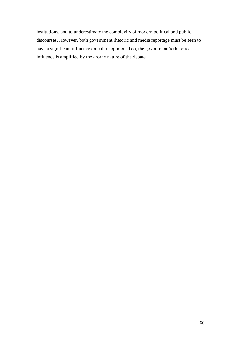institutions, and to underestimate the complexity of modern political and public discourses. However, both government rhetoric and media reportage must be seen to have a significant influence on public opinion. Too, the government's rhetorical influence is amplified by the arcane nature of the debate.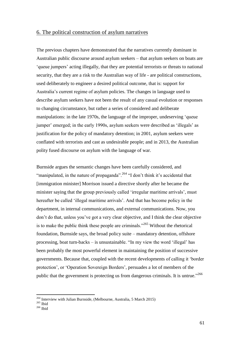# 6. The political construction of asylum narratives

The previous chapters have demonstrated that the narratives currently dominant in Australian public discourse around asylum seekers – that asylum seekers on boats are 'queue jumpers' acting illegally, that they are potential terrorists or threats to national security, that they are a risk to the Australian way of life - are political constructions, used deliberately to engineer a desired political outcome, that is: support for Australia's current regime of asylum policies. The changes in language used to describe asylum seekers have not been the result of any casual evolution or responses to changing circumstance, but rather a series of considered and deliberate manipulations: in the late 1970s, the language of the improper, undeserving 'queue jumper' emerged; in the early 1990s, asylum seekers were described as 'illegals' as justification for the policy of mandatory detention; in 2001, asylum seekers were conflated with terrorists and cast as undesirable people; and in 2013, the Australian polity fused discourse on asylum with the language of war.

Burnside argues the semantic changes have been carefully considered, and "manipulated, in the nature of propaganda".<sup>264</sup> "I don't think it's accidental that [immigration minister] Morrison issued a directive shortly after he became the minister saying that the group previously called 'irregular maritime arrivals', must hereafter be called 'illegal maritime arrivals'. And that has become policy in the department, in internal communications, and external communications. Now, you don't do that, unless you've got a very clear objective, and I think the clear objective is to make the public think these people are criminals."<sup>265</sup> Without the rhetorical foundation, Burnside says, the broad policy suite – mandatory detention, offshore processing, boat turn-backs – is unsustainable. "In my view the word 'illegal' has been probably the most powerful element in maintaining the position of successive governments. Because that, coupled with the recent developments of calling it 'border protection', or 'Operation Sovereign Borders', persuades a lot of members of the public that the government is protecting us from dangerous criminals. It is untrue."<sup>266</sup>

<sup>&</sup>lt;sup>264</sup> Interview with Julian Burnside, (Melbourne, Australia, 5 March 2015)

 $265$  Ibid

 $266$  Ibid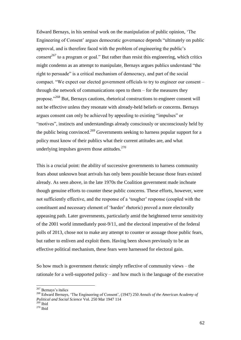Edward Bernays, in his seminal work on the manipulation of public opinion, 'The Engineering of Consent' argues democratic governance depends "ultimately on public approval, and is therefore faced with the problem of engineering the public's *consent<sup>267</sup>* to a program or goal." But rather than resist this engineering, which critics might condemn as an attempt to manipulate, Bernays argues publics understand "the right to persuade" is a critical mechanism of democracy, and part of the social compact. "We expect our elected government officials to try to engineer our consent – through the network of communications open to them – for the measures they propose."<sup>268</sup> But, Bernays cautions, rhetorical constructions to engineer consent will not be effective unless they resonate with already-held beliefs or concerns. Bernays argues consent can only be achieved by appealing to existing "impulses" or "motives", instincts and understandings already consciously or unconsciously held by the public being convinced.<sup>269</sup> Governments seeking to harness popular support for a policy must know of their publics what their current attitudes are, and what underlying impulses govern those attitudes. $270$ 

This is a crucial point: the ability of successive governments to harness community fears about unknown boat arrivals has only been possible because those fears existed already. As seen above, in the late 1970s the Coalition government made inchoate though genuine efforts to counter these public concerns. These efforts, however, were not sufficiently effective, and the response of a 'tougher' response (coupled with the constituent and necessary element of 'harder' rhetoric) proved a more electorally appeasing path. Later governments, particularly amid the heightened terror sensitivity of the 2001 world immediately post-9/11, and the electoral imperative of the federal polls of 2013, chose not to make any attempt to counter or assuage those public fears, but rather to enliven and exploit them. Having been shown previously to be an effective political mechanism, these fears were harnessed for electoral gain.

So how much is government rhetoric simply reflective of community views – the rationale for a well-supported policy – and how much is the language of the executive

<sup>&</sup>lt;sup>267</sup> Bernays's italics

<sup>268</sup> Edward Bernays, 'The Engineering of Consent', (1947) 250 *Annals of the American Academy of Political and Social Science* Vol. 250 Mar 1947 114  $269$  Ibid

 $270$  Ibid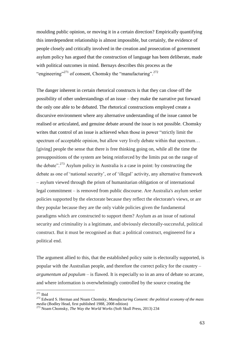moulding public opinion, or moving it in a certain direction? Empirically quantifying this interdependent relationship is almost impossible, but certainly, the evidence of people closely and critically involved in the creation and prosecution of government asylum policy has argued that the construction of language has been deliberate, made with political outcomes in mind. Bernays describes this process as the "engineering"<sup>271</sup> of consent, Chomsky the "manufacturing".<sup>272</sup>

The danger inherent in certain rhetorical constructs is that they can close off the possibility of other understandings of an issue – they make the narrative put forward the only one able to be debated. The rhetorical constructions employed create a discursive environment where any alternative understanding of the issue cannot be realised or articulated, and genuine debate around the issue is not possible. Chomsky writes that control of an issue is achieved when those in power "strictly limit the spectrum of acceptable opinion, but allow very lively debate within that spectrum… [giving] people the sense that there is free thinking going on, while all the time the presuppositions of the system are being reinforced by the limits put on the range of the debate".<sup>273</sup> Asylum policy in Australia is a case in point: by constructing the debate as one of 'national security', or of 'illegal' activity, any alternative framework – asylum viewed through the prism of humanitarian obligation or of international legal commitment – is removed from public discourse. Are Australia's asylum seeker policies supported by the electorate because they reflect the electorate's views, or are they popular because they are the only viable policies given the fundamental paradigms which are constructed to support them? Asylum as an issue of national security and criminality is a legitimate, and obviously electorally-successful, political construct. But it must be recognised as that: a political construct, engineered for a political end.

The argument allied to this, that the established policy suite is electorally supported, is popular with the Australian people, and therefore the correct policy for the country – *argumentum ad populum* – is flawed. It is especially so in an area of debate so arcane, and where information is overwhelmingly controlled by the source creating the

 $271$  Ibid

<sup>272</sup> Edward S. Herman and Noam Chomsky, *Manufacturing Consent: the political economy of the mass media* (Bodley Head, first published 1988, 2008 edition)

<sup>273</sup> Noam Chomsky, *The Way the World Works* (Soft Skull Press, 2013) 234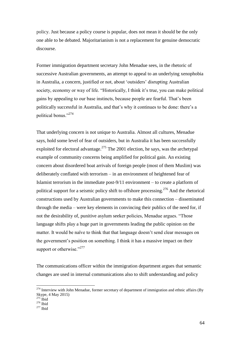policy. Just because a policy course is popular, does not mean it should be the only one able to be debated. Majoritarianism is not a replacement for genuine democratic discourse.

Former immigration department secretary John Menadue sees, in the rhetoric of successive Australian governments, an attempt to appeal to an underlying xenophobia in Australia, a concern, justified or not, about 'outsiders' disrupting Australian society, economy or way of life. "Historically, I think it's true, you can make political gains by appealing to our base instincts, because people are fearful. That's been politically successful in Australia, and that's why it continues to be done: there's a political bonus."<sup>274</sup>

That underlying concern is not unique to Australia. Almost all cultures, Menadue says, hold some level of fear of outsiders, but in Australia it has been successfully exploited for electoral advantage.<sup>275</sup> The 2001 election, he says, was the archetypal example of community concerns being amplified for political gain. An existing concern about disordered boat arrivals of foreign people (most of them Muslim) was deliberately conflated with terrorism – in an environment of heightened fear of Islamist terrorism in the immediate post-9/11 environment – to create a platform of political support for a seismic policy shift to offshore processing.<sup>276</sup> And the rhetorical constructions used by Australian governments to make this connection – disseminated through the media – were key elements in convincing their publics of the need for, if not the desirability of, punitive asylum seeker policies, Menadue argues. "Those language shifts play a huge part in governments leading the public opinion on the matter. It would be naïve to think that that language doesn't send clear messages on the government's position on something. I think it has a massive impact on their support or otherwise."<sup>277</sup>

The communications officer within the immigration department argues that semantic changes are used in internal communications also to shift understanding and policy

 $^{274}$  Interview with John Menadue, former secretary of department of immigration and ethnic affairs (By Skype, 4 May 2015)

 $275$  Ibid

 $276$  Ibid

 $277$  Ibid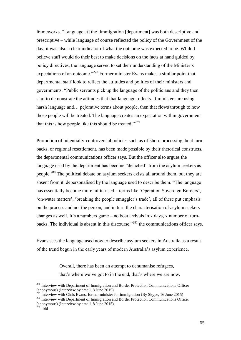frameworks. "Language at [the] immigration [department] was both descriptive and prescriptive – while language of course reflected the policy of the Government of the day, it was also a clear indicator of what the outcome was expected to be. While I believe staff would do their best to make decisions on the facts at hand guided by policy directives, the language served to set their understanding of the Minister's expectations of an outcome."<sup>278</sup> Former minister Evans makes a similar point that departmental staff look to reflect the attitudes and politics of their ministers and governments. "Public servants pick up the language of the politicians and they then start to demonstrate the attitudes that that language reflects. If ministers are using harsh language and... pejorative terms about people, then that flows through to how those people will be treated. The language creates an expectation within government that this is how people like this should be treated." $279$ 

Promotion of potentially-controversial policies such as offshore processing, boat turnbacks, or regional resettlement, has been made possible by their rhetorical constructs, the departmental communications officer says. But the officer also argues the language used by the department has become "detached" from the asylum seekers as people.<sup>280</sup> The political debate on asylum seekers exists all around them, but they are absent from it, depersonalised by the language used to describe them. "The language has essentially become more militarised – terms like 'Operation Sovereign Borders', 'on-water matters', 'breaking the people smuggler's trade', all of these put emphasis on the process and not the person, and in turn the characterisation of asylum seekers changes as well. It's a numbers game – no boat arrivals in x days, x number of turnbacks. The individual is absent in this discourse," $^{281}$  the communications officer says.

Evans sees the language used now to describe asylum seekers in Australia as a result of the trend begun in the early years of modern Australia's asylum experience.

> Overall, there has been an attempt to dehumanise refugees, that's where we've got to in the end, that's where we are now.

<sup>&</sup>lt;sup>278</sup> Interview with Department of Immigration and Border Protection Communications Officer (anonymous) (Interview by email, 8 June 2015)

 $279$  Interview with Chris Evans, former minister for immigration (By Skype, 16 June 2015) <sup>280</sup> Interview with Department of Immigration and Border Protection Communications Officer (anonymous) (Interview by email, 8 June 2015)

 $281$  Ibid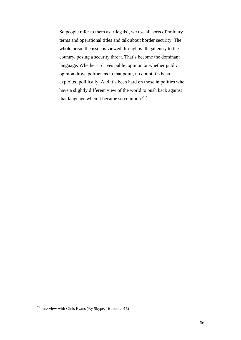So people refer to them as 'illegals', we use all sorts of military terms and operational titles and talk about border security. The whole prism the issue is viewed through is illegal entry to the country, posing a security threat. That's become the dominant language. Whether it drives public opinion or whether public opinion drove politicians to that point, no doubt it's been exploited politically. And it's been hard on those in politics who have a slightly different view of the world to push back against that language when it became so common.<sup>282</sup>

 $282$  Interview with Chris Evans (By Skype, 16 June 2015)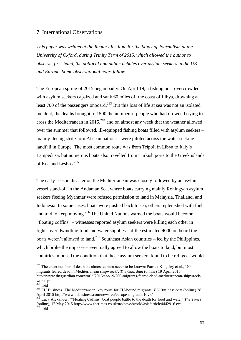# 7. International Observations

*This paper was written at the Reuters Institute for the Study of Journalism at the University of Oxford, during Trinity Term of 2015, which allowed the author to observe, first-hand, the political and public debates over asylum seekers in the UK and Europe. Some observational notes follow:*

The European spring of 2015 began badly. On April 19, a fishing boat overcrowded with asylum seekers capsized and sank 60 miles off the coast of Libya, drowning at least 700 of the passengers onboard.<sup>283</sup> But this loss of life at sea was not an isolated incident, the deaths brought to 1500 the number of people who had drowned trying to cross the Mediterranean in  $2015$ <sup>284</sup> and on almost any week that the weather allowed over the summer that followed, ill-equipped fishing boats filled with asylum seekers – mainly fleeing strife-torn African nations – were piloted across the water seeking landfall in Europe. The most common route was from Tripoli in Libya to Italy's Lampedusa, but numerous boats also travelled from Turkish ports to the Greek islands of Kos and Lesbos.<sup>285</sup>

The early-season disaster on the Mediterranean was closely followed by an asylum vessel stand-off in the Andaman Sea, where boats carrying mainly Rohingyan asylum seekers fleeing Myanmar were refused permission to land in Malaysia, Thailand, and Indonesia. In some cases, boats were pushed back to sea, others replenished with fuel and told to keep moving.<sup>286</sup> The United Nations warned the boats would become "floating coffins" – witnesses reported asylum seekers were killing each other in fights over dwindling food and water supplies – if the estimated 4000 on board the boats weren't allowed to land.<sup>287</sup> Southeast Asian countries – led by the Philippines, which broke the impasse – eventually agreed to allow the boats to land, but most countries imposed the condition that those asylum seekers found to be refugees would

 $^{283}$  The exact number of deaths is almost certain never to be known: Patrick Kingsley et al., '700 migrants feared dead in Mediterranean shipwreck', *The Guardian* (online) 19 April 2015 [http://www.theguardian.com/world/2015/apr/19/700-migrants-feared-dead-mediterranean-shipwreck](http://www.theguardian.com/world/2015/apr/19/700-migrants-feared-dead-mediterranean-shipwreck-worst-yet)[worst-yet](http://www.theguardian.com/world/2015/apr/19/700-migrants-feared-dead-mediterranean-shipwreck-worst-yet)

 $284$  Ibid

<sup>285</sup> EU Business 'The Mediterranean: key route for EU-bound migrants' *EU Business.com* (online) 28 April 2015<http://www.eubusiness.com/news-eu/europe-migrants.10vk/>

Lucy Alexander, "Floating Coffins" boat people battle to the death for food and water' *The Times* (online), 17 May 2015 http://www.thetimes.co.uk/tto/news/world/asia/article4442916.ece  $287$  Ibid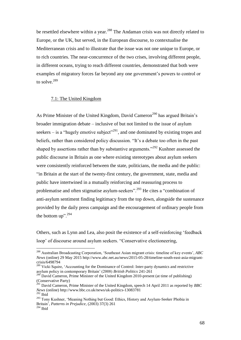be resettled elsewhere within a year.<sup>288</sup> The Andaman crisis was not directly related to Europe, or the UK, but served, in the European discourse, to contextualise the Mediterranean crisis and to illustrate that the issue was not one unique to Europe, or to rich countries. The near-concurrence of the two crises, involving different people, in different oceans, trying to reach different countries, demonstrated that both were examples of migratory forces far beyond any one government's powers to control or to solve.<sup>289</sup>

## 7.1: The United Kingdom

As Prime Minister of the United Kingdom, David Cameron<sup>290</sup> has argued Britain's broader immigration debate – inclusive of but not limited to the issue of asylum seekers – is a "hugely emotive subject"<sup>291</sup>, and one dominated by existing tropes and beliefs, rather than considered policy discussion. "It's a debate too often in the past shaped by assertions rather than by substantive arguments."<sup>292</sup> Kushner assessed the public discourse in Britain as one where existing stereotypes about asylum seekers were consistently reinforced between the state, politicians, the media and the public: "in Britain at the start of the twenty-first century, the government, state, media and public have intertwined in a mutually reinforcing and reassuring process to problematise and often stigmatise asylum-seekers".<sup>293</sup> He cites a "combination of anti-asylum sentiment finding legitimacy from the top down, alongside the sustenance provided by the daily press campaign and the encouragement of ordinary people from the bottom up".<sup>294</sup>

Others, such as Lynn and Lea, also posit the existence of a self-reinforcing 'feedback loop' of discourse around asylum seekers. "Conservative electioneering,

<sup>288</sup> Australian Broadcasting Corporation, 'Southeast Asian migrant crisis: timeline of key events', *ABC News* (online) 29 May 2015 [http://www.abc.net.au/news/2015-05-28/timeline-south-east-asia-migrant](http://www.abc.net.au/news/2015-05-28/timeline-south-east-asia-migrant-crisis/6498794)[crisis/6498794](http://www.abc.net.au/news/2015-05-28/timeline-south-east-asia-migrant-crisis/6498794)

<sup>&</sup>lt;sup>289</sup> Vicki Squire, 'Accounting for the Dominance of Control: Inter-party dynamics and restrictive asylum policy in contemporary Britain' (2008) *British Politics* 241-261

<sup>&</sup>lt;sup>290</sup> David Cameron, Prime Minister of the United Kingdom 2010-present (at time of publishing) (Conservative Party)

<sup>291</sup> David Cameron, Prime Minister of the United Kingdom, speech 14 April 2011 as reported by *BBC News* (online) http://www.bbc.co.uk/news/uk-politics-13083781 <sup>292</sup> Ibid

<sup>&</sup>lt;sup>293</sup> Tony Kushner, 'Meaning Nothing but Good: Ethics, History and Asylum-Seeker Phobia in Britain', *Patterns in Prejudice*, (2003) 37(3) 261

 $^{294}$  Ibid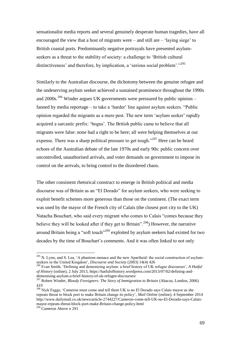sensationalist media reports and several genuinely desperate human tragedies, have all encouraged the view that a host of migrants were – and still are – 'laying siege' to British coastal ports. Predominantly negative portrayals have presented asylumseekers as a threat to the stability of society: a challenge to 'British cultural distinctiveness' and therefore, by implication, a 'serious social problem'."<sup>295</sup>

Similarly to the Australian discourse, the dichotomy between the genuine refugee and the undeserving asylum seeker achieved a sustained prominence throughout the 1990s and 2000s.<sup>296</sup> Winder argues UK governments were pressured by public opinion – fanned by media reportage – to take a 'harder' line against asylum seekers. "Public opinion regarded the migrants as a mere pest. The new term 'asylum seeker' rapidly acquired a sarcastic prefix: 'bogus'. The British public came to believe that all migrants were false: none had a right to be here; all were helping themselves at our expense. There was a sharp political pressure to get tough."<sup>297</sup> Here can be heard echoes of the Australian debate of the late 1970s and early 90s: public concern over uncontrolled, unauthorised arrivals, and voter demands on government to impose its control on the arrivals, to bring control to the disordered chaos.

The other consistent rhetorical construct to emerge in British political and media discourse was of Britain as an "El Dorado" for asylum seekers, who were seeking to exploit benefit schemes more generous than those on the continent. (The exact term was used by the mayor of the French city of Calais (the closest port city to the UK) Natacha Bouchart, who said every migrant who comes to Calais "comes because they believe they will be looked after if they get to Britain".<sup>298</sup>) However, the narrative around Britain being a "soft touch"<sup>299</sup> exploited by asylum seekers had existed for two decades by the time of Bouchart's comments. And it was often linked to not only

<sup>&</sup>lt;sup>295</sup> N. Lynn, and S. Lea, 'A phantom menace and the new Apartheid: the social construction of asylumseekers in the United Kingdom', *Discourse and Society* (2003) 14(4) 426

<sup>296</sup> Evan Smith, 'Defining and demonizing asylum: a brief history of UK refugee discourses', *A Hatful of History* (online), 2 July 2013, [https://hatfulofhistory.wordpress.com/2013/07/02/defining-and](https://hatfulofhistory.wordpress.com/2013/07/02/defining-and-demonising-asylum-a-brief-history-of-uk-refugee-discourses/)[demonising-asylum-a-brief-history-of-uk-refugee-discourses/](https://hatfulofhistory.wordpress.com/2013/07/02/defining-and-demonising-asylum-a-brief-history-of-uk-refugee-discourses/)

<sup>297</sup> Robert Winder, *Bloody Foreigners: The Story of Immigration to Britain* (Abacus, London, 2006) 419

<sup>&</sup>lt;sup>298</sup> Nick Fagge, 'Cameron must come and tell them UK is no El Dorado says Calais mayor as she repeats threat to block port to make Britain change its policy', *Mail Online* (online), 4 September 2014 [http://www.dailymail.co.uk/news/article-2744227/Cameron-come-tell-UK-no-El-Dorado-says-Calais](http://www.dailymail.co.uk/news/article-2744227/Cameron-come-tell-UK-no-El-Dorado-says-Calais-mayor-repeats-threat-block-port-make-Britain-change-policy.html)[mayor-repeats-threat-block-port-make-Britain-change-policy.html](http://www.dailymail.co.uk/news/article-2744227/Cameron-come-tell-UK-no-El-Dorado-says-Calais-mayor-repeats-threat-block-port-make-Britain-change-policy.html)

<sup>&</sup>lt;sup>299</sup> Cameron Above n 291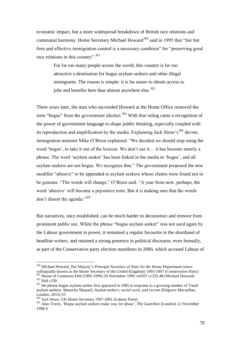economic impact, but a more widespread breakdown of British race relations and communal harmony. Home Secretary Michael Howard<sup>300</sup> said in 1995 that "fair but firm and effective immigration control is a necessary condition" for "preserving good race relations in this country".<sup>301</sup>

> For far too many people across the world, this country is far too attractive a destination for bogus asylum seekers and other illegal immigrants. The reason is simple: it is far easier to obtain access to jobs and benefits here than almost anywhere else.<sup>302</sup>

Three years later, the man who succeeded Howard at the Home Office removed the term "bogus" from the government idiolect. $303$  With that ruling came a recognition of the power of government language to shape public thinking, especially coupled with its reproduction and amplification by the media. Explaining Jack Straw's<sup>304</sup> decree, immigration minister Mike O'Brien explained: "We decided we should stop using the word 'bogus', to take it out of the lexicon. We don't use it… it has become merely a phrase. The word 'asylum seeker' has been linked in the media to 'bogus', and all asylum seekers are not bogus. We recognize that." The government proposed the new modifier "abusive" to be appended to asylum seekers whose claims were found not to be genuine. "The words will change," O'Brien said. "A year from now, perhaps, the word 'abusive' will become a pejorative term. But it is making sure that the words don't distort the agenda."<sup>305</sup>

But narratives, once established, can be much harder to deconstruct and remove from prominent public use. While the phrase "bogus asylum seeker" was not used again by the Labour government in power, it remained a regular favourite in the shorthand of headline writers, and retained a strong presence in political discourse, even formally, as part of the Conservative party election manifesto in 2000, which accused Labour of

<sup>&</sup>lt;sup>300</sup> Michael Howard, Her Majesty's Principal Secretary of State for the Home Department (more colloquially known as the Home Secretary of the United Kingdom) 1993-1997 (Conservative Party) <sup>301</sup> House of Commons Deb (1995-1996) 20 November 1995 vol267 cc335-48 (Michael Howard)

<sup>302</sup> Ibid c338

<sup>&</sup>lt;sup>303</sup> the phrase bogus asylum seeker first appeared in 1985 in response to a growing number of Tamil asylum seekers: Masocha Shepard, *Asylum seekers, social work, and racism* (Palgrave Macmillan, London, 2015) 55

<sup>304</sup> Jack Straw, UK Home Secretary 1997-2001 (Labour Party)

<sup>305</sup> Alan Travis, 'Bogus asylum seekers make way for abuse', *The Guardian* (London) 12 November 1998 4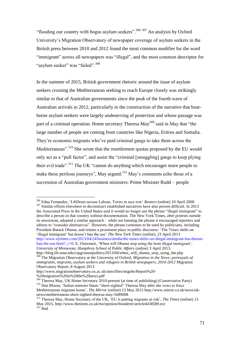"flooding our country with bogus asylum seekers".<sup>306 307</sup> An analysis by Oxford University's Migration Observatory of newspaper coverage of asylum seekers in the British press between 2010 and 2012 found the most common modifier for the word "immigrant" across all newspapers was "illegal", and the most common descriptor for "asylum seeker" was "failed".<sup>308</sup>

In the summer of 2015, British government rhetoric around the issue of asylum seekers crossing the Mediterranean seeking to reach Europe closely was strikingly similar to that of Australian governments since the peak of the fourth wave of Australian arrivals in 2012, particularly in the construction of the narrative that boatborne asylum seekers were largely undeserving of protection and whose passage was part of a criminal operation. Home secretary Theresa  $\text{May}^{309}$  said in May that "the large number of people are coming from countries like Nigeria, Eritrea and Somalia. They're economic migrants who've paid criminal gangs to take them across the Mediterranean".<sup>310</sup> She wrote that the resettlement quotas proposed by the EU would only act as a "pull factor", and assist the "criminal [smuggling] gangs to keep plying their evil trade".<sup>311</sup> The UK "cannot do anything which encourages more people to make these perilous journeys", May argued.<sup>312</sup> May's comments echo those of a succession of Australian government ministers: Prime Minister Rudd – people

the Associated Press in the United States said it would no longer use the phrase "illegal immigrant" to describe a person in that country without documentation. The New York Times, after protests outside its newsroom, adopted a similar approach – while not banning the phrase it encouraged reporters and editors to "consider alternatives". However, the phrase continues to be used by politicians, including President Barack Obama, and retains a prominent place in public discourse: 'The Times shifts on 'illegal immigrant' but doesn't ban the use' *The New York Times* (online), 23 April 2013 [http://www.nytimes.com/2013/04/24/business/media/the-times-shifts-on-illegal-immigrant-but-doesnt](http://www.nytimes.com/2013/04/24/business/media/the-times-shifts-on-illegal-immigrant-but-doesnt-ban-the-use.html?_r=0)ban-the-use.html?  $r=0$ : E. Ostermeir, 'When will Obama stop using the term illegal immigrant', *University of Minnesota, Humphrey School of Public Affairs* (online) 3 April 2013,

<sup>306</sup> Edna Fernandes, 'LibDems accuse Labour, Tories in race row' *Reuters* (online) 10 April 2000 <sup>307</sup> Similar efforts elsewhere to deconstruct established narratives have also proven difficult. In 2013

http://blog.lib.umn.edu/cspg/smartpolitics/2013/04/when\_will\_obama\_stop\_using\_the.php <sup>308</sup> The Migration Observatory at the University of Oxford, *Migration in the News: portrayals of* 

*immigrants, migrants, asylum seekers and refugees in British newspapers, 2010-2012* Migration Observatory Report, 8 August 2013

http://www.migrationobservatory.ox.ac.uk/sites/files/migobs/Report%20- %20migration%20in%20the%20news.pdf

 $309$  Theresa May, UK Home Secretary 2010-present (at time of publishing) (Conservative Party) <sup>310</sup> Dan Bloom, 'Italian minister blasts "short-sighted" Theresa May after she vows to force Mediterranean migrants home', *The Mirror* (online) 13 May 2015 http://www.mirror.co.uk/news/uknews/mediterranean-short-sighted-theresa-may-5689008

<sup>311</sup> Theresa May, Home Secretary of the UK, 'EU is putting migrants at risk', *The Times* (online) 13 May 2015, http://www.thetimes.co.uk/tto/opinion/thunderer/article4438589.ece  $312$  Ibid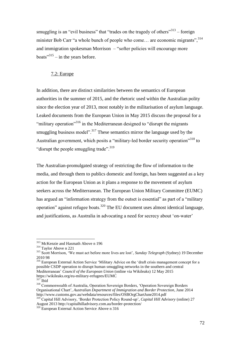smuggling is an "evil business" that "trades on the tragedy of others"<sup>313</sup> – foreign minister Bob Carr "a whole bunch of people who come... are economic migrants",  $314$ and immigration spokesman Morrison – "softer policies will encourage more boats<sup>"315</sup> – in the years before.

## 7.2: Europe

In addition, there are distinct similarities between the semantics of European authorities in the summer of 2015, and the rhetoric used within the Australian polity since the election year of 2013, most notably in the militarisation of asylum language. Leaked documents from the European Union in May 2015 discuss the proposal for a "military operation"<sup>316</sup> in the Mediterranean designed to "disrupt the migrants" smuggling business model".<sup>317</sup> These semantics mirror the language used by the Australian government, which posits a "military-led border security operation"<sup>318</sup> to "disrupt the people smuggling trade".<sup>319</sup>

The Australian-promulgated strategy of restricting the flow of information to the media, and through them to publics domestic and foreign, has been suggested as a key action for the European Union as it plans a response to the movement of asylum seekers across the Mediterranean. The European Union Military Committee (EUMC) has argued an "information strategy from the outset is essential" as part of a "military operation" against refugee boats.<sup>320</sup> The EU document uses almost identical language, and justifications, as Australia in advocating a need for secrecy about 'on-water'

<sup>313</sup> McKenzie and Hasmath Above n 196

<sup>314</sup> Taylor Above n 221

<sup>315</sup> Scott Morrison, 'We must act before more lives are lost', *Sunday Telegraph* (Sydney) 19 December 2010 98

<sup>&</sup>lt;sup>316</sup> European External Action Service 'Military Advice on the 'draft crisis management concept for a possible CSDP operation to disrupt human smuggling networks in the southern and central Mediterranean' *Council of the European Union* (online via Wikileaks) 12 May 2015 https://wikileaks.org/eu-military-refugees/EUMC

 $317$  Ibid

<sup>&</sup>lt;sup>318</sup> Commonwealth of Australia, Operation Sovereign Borders, 'Operation Sovereign Borders Organisational Chart', *Australian Department of Immigration and Border Protection*, June 2014 <http://www.customs.gov.au/webdata/resources/files/OSBOrgChartJune2014.pdf>

<sup>319</sup> Capital Hill Advisory, 'Border Protection Policy Round-up', *Capital Hill Advisory* (online) 27 August 2013<http://capitalhilladvisory.com.au/border-protection/>

<sup>320</sup> European External Action Service Above n 316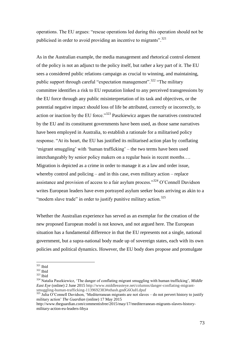operations. The EU argues: "rescue operations led during this operation should not be publicised in order to avoid providing an incentive to migrants".<sup>321</sup>

As in the Australian example, the media management and rhetorical control element of the policy is not an adjunct to the policy itself, but rather a key part of it. The EU sees a considered public relations campaign as crucial to winning, and maintaining, public support through careful "expectation management".<sup>322</sup> "The military" committee identifies a risk to EU reputation linked to any perceived transgressions by the EU force through any public misinterpretation of its task and objectives, or the potential negative impact should loss of life be attributed, correctly or incorrectly, to action or inaction by the EU force."<sup>323</sup> Paszkiewicz argues the narratives constructed by the EU and its constituent governments have been used, as those same narratives have been employed in Australia, to establish a rationale for a militarised policy response. "At its heart, the EU has justified its militarised action plan by conflating 'migrant smuggling' with 'human trafficking' – the two terms have been used interchangeably by senior policy makers on a regular basis in recent months…. Migration is depicted as a crime in order to manage it as a law and order issue, whereby control and policing – and in this case, even military action – replace assistance and provision of access to a fair asylum process." $324$  O'Connell Davidson writes European leaders have even portrayed asylum seeker boats arriving as akin to a "modern slave trade" in order to justify punitive military action.<sup>325</sup>

Whether the Australian experience has served as an exemplar for the creation of the new proposed European model is not known, and not argued here. The European situation has a fundamental difference in that the EU represents not a single, national government, but a supra-national body made up of sovereign states, each with its own policies and political dynamics. However, the EU body does propose and promulgate

 $321$  Ibid

 $322$  Ibid

<sup>323</sup> Ibid

<sup>324</sup> Natalia Paszkiewicz, 'The danger of conflating migrant smuggling with human trafficking', *Middle East Eye* (online) 2 June 2015 http://www.middleeasteye.net/columns/danger-conflating-migrantsmuggling-human-trafficking-1139692383#sthash.gndG6OaH.dpuf

 $325$  Julia O'Connell Davidson, 'Mediterranean migrants are not slaves – do not pervert history to justify military action' *The Guardian* (online) 17 May 2015

http://www.theguardian.com/commentisfree/2015/may/17/mediterranean-migrants-slaves-historymilitary-action-eu-leaders-libya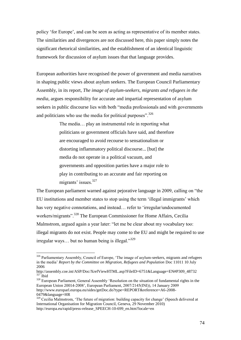policy 'for Europe', and can be seen as acting as representative of its member states. The similarities and divergences are not discussed here, this paper simply notes the significant rhetorical similarities, and the establishment of an identical linguistic framework for discussion of asylum issues that that language provides.

European authorities have recognised the power of government and media narratives in shaping public views about asylum seekers. The European Council Parliamentary Assembly, in its report, *The image of asylum-seekers, migrants and refugees in the media*, argues responsibility for accurate and impartial representation of asylum seekers in public discourse lies with both "media professionals and with governments and politicians who use the media for political purposes".<sup>326</sup>

> The media… play an instrumental role in reporting what politicians or government officials have said, and therefore are encouraged to avoid recourse to sensationalism or distorting inflammatory political discourse... [but] the media do not operate in a political vacuum, and governments and opposition parties have a major role to play in contributing to an accurate and fair reporting on migrants' issues.<sup>327</sup>

The European parliament warned against pejorative language in 2009, calling on "the EU institutions and member states to stop using the term 'illegal immigrants' which has very negative connotations, and instead... refer to 'irregular/undocumented workers/migrants".<sup>328</sup> The European Commissioner for Home Affairs, Cecilia Malmstrom, argued again a year later: "let me be clear about my vocabulary too: illegal migrants do not exist. People may come to the EU and might be required to use irregular ways… but no human being is illegal."<sup>329</sup>

<sup>&</sup>lt;sup>326</sup> Parliamentary Assembly, Council of Europe, 'The image of asylum-seekers, migrants and refugees in the media' *Report by the Committee on Migration, Refugees and Population* Doc 11011 10 July 2006

[http://assembly.coe.int/ASP/Doc/XrefViewHTML.asp?FileID=6751&Language=EN#P309\\_48732](http://assembly.coe.int/ASP/Doc/XrefViewHTML.asp?FileID=6751&Language=EN#P309_48732)  $327$  Ibid

<sup>&</sup>lt;sup>328</sup> European Parliament, General Assembly 'Resolution on the situation of fundamental rights in the European Union 20014-2008', European Parliament, 2007/2145(INI)), 14 January 2009 http://www.europarl.europa.eu/sides/getDoc.do?type=REPORT&reference=A6-2008- 0479&language=HR

<sup>&</sup>lt;sup>329</sup> Cecilia Malmstrom, 'The future of migration: building capacity for change' (Speech delivered at International Organisation for Migration Council, Geneva, 29 November 2010) http://europa.eu/rapid/press-release\_SPEECH-10-699\_en.htm?locale=en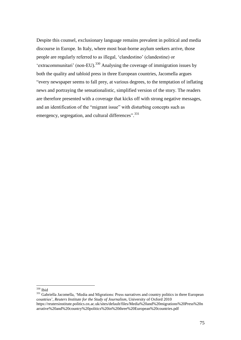Despite this counsel, exclusionary language remains prevalent in political and media discourse in Europe. In Italy, where most boat-borne asylum seekers arrive, those people are regularly referred to as illegal, 'clandestino' (clandestine) or 'extracommunitari' (non-EU).<sup>330</sup> Analysing the coverage of immigration issues by both the quality and tabloid press in three European countries, Jacomella argues "every newspaper seems to fall prey, at various degrees, to the temptation of inflating news and portraying the sensationalistic, simplified version of the story. The readers are therefore presented with a coverage that kicks off with strong negative messages, and an identification of the "migrant issue" with disturbing concepts such as emergency, segregation, and cultural differences".<sup>331</sup>

 $\overline{a}$ <sup>330</sup> Ibid

<sup>&</sup>lt;sup>331</sup> Gabriella Jacomella, 'Media and Migrations: Press narratives and country politics in three European countries', *Reuters Institute for the Study of Journalism*, University of Oxford 2010 https://reutersinstitute.politics.ox.ac.uk/sites/default/files/Media%20and%20migrations%20Press%20n arrative%20and%20country%20politics%20in%20three%20European%20countries.pdf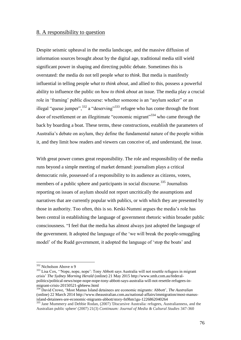## 8. A responsibility to question

Despite seismic upheaval in the media landscape, and the massive diffusion of information sources brought about by the digital age, traditional media still wield significant power in shaping and directing public debate. Sometimes this is overstated: the media do not tell people *what to think*. But media is manifestly influential in telling people *what to think about*, and allied to this, possess a powerful ability to influence the public on *how to think about* an issue. The media play a crucial role in 'framing' public discourse: whether someone is an "asylum seeker" or an illegal "queue jumper",  $332$  a "deserving"<sup>333</sup> refugee who has come through the front door of resettlement or an illegitimate "economic migrant"<sup>334</sup> who came through the back by boarding a boat. These terms, these constructions, establish the parameters of Australia's debate on asylum, they define the fundamental nature of the people within it, and they limit how readers and viewers can conceive of, and understand, the issue.

With great power comes great responsibility. The role and responsibility of the media runs beyond a simple meeting of market demand: journalism plays a critical democratic role, possessed of a responsibility to its audience as citizens, voters, members of a public sphere and participants in social discourse.<sup>335</sup> Journalists reporting on issues of asylum should not report uncritically the assumptions and narratives that are currently popular with publics, or with which they are presented by those in authority. Too often, this is so. Keski-Nummi argues the media's role has been central in establishing the language of government rhetoric within broader public consciousness. "I feel that the media has almost always just adopted the language of the government. It adopted the language of the 'we will break the people-smuggling model' of the Rudd government, it adopted the language of 'stop the boats' and

<sup>332</sup> Nicholson Above n 9

<sup>&</sup>lt;sup>333</sup> Lisa Cox, "Nope, nope, nope": Tony Abbott says Australia will not resettle refugees in migrant crisis' *The Sydney Morning Herald* (online) 21 May 2015 http://www.smh.com.au/federalpolitics/political-news/nope-nope-nope-tony-abbott-says-australia-will-not-resettle-refugees-inmigrant-crisis-20150521-gh6eew.html

<sup>334</sup> David Crowe, 'Most Manus Island detainees are economic migrants: Abbott', *The Australian* (online) 22 March 2014 http://www.theaustralian.com.au/national-affairs/immigration/most-manusisland-detainees-are-economic-migrants-abbott/story-fn9hm1gu-1226862040264

<sup>&</sup>lt;sup>335</sup> Jane Mummery and Debbie Rodan, (2007) 'Discursive Australia: refugees, Australianness, and the Australian public sphere' (2007) 21(3) *Continuum: Journal of Media & Cultural Studies* 347-360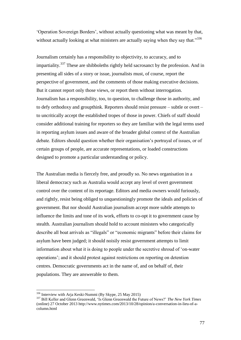'Operation Sovereign Borders', without actually questioning what was meant by that, without actually looking at what ministers are actually saying when they say that."<sup>336</sup>

Journalism certainly has a responsibility to objectivity, to accuracy, and to impartiality.<sup>337</sup> These are shibboleths rightly held sacrosanct by the profession. And in presenting all sides of a story or issue, journalists must, of course, report the perspective of government, and the comments of those making executive decisions. But it cannot report only those views, or report them without interrogation. Journalism has a responsibility, too, to question, to challenge those in authority, and to defy orthodoxy and groupthink. Reporters should resist pressure – subtle or overt – to uncritically accept the established tropes of those in power. Chiefs of staff should consider additional training for reporters so they are familiar with the legal terms used in reporting asylum issues and aware of the broader global context of the Australian debate. Editors should question whether their organisation's portrayal of issues, or of certain groups of people, are accurate representations, or loaded constructions designed to promote a particular understanding or policy.

The Australian media is fiercely free, and proudly so. No news organisation in a liberal democracy such as Australia would accept any level of overt government control over the content of its reportage. Editors and media owners would furiously, and rightly, resist being obliged to unquestioningly promote the ideals and policies of government. But nor should Australian journalism accept more subtle attempts to influence the limits and tone of its work, efforts to co-opt it to government cause by stealth. Australian journalism should hold to account ministers who categorically describe all boat arrivals as "illegals" or "economic migrants" before their claims for asylum have been judged; it should noisily resist government attempts to limit information about what it is doing to people under the secretive shroud of 'on-water operations'; and it should protest against restrictions on reporting on detention centres. Democratic governments act in the name of, and on behalf of, their populations. They are answerable to them.

<sup>&</sup>lt;sup>336</sup> Interview with Arja Keski-Nummi (By Skype, 25 May 2015)

<sup>337</sup> Bill Keller and Glenn Greenwald, 'Is Glenn Greenwald the Future of News?' *The New York Times* (online) 27 October 2013 http://www.nytimes.com/2013/10/28/opinion/a-conversation-in-lieu-of-acolumn.html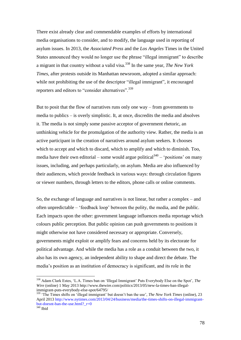There exist already clear and commendable examples of efforts by international media organisations to consider, and to modify, the language used in reporting of asylum issues. In 2013, the *Associated Press* and the *Los Angeles* Times in the United States announced they would no longer use the phrase "illegal immigrant" to describe a migrant in that country without a valid visa.<sup>338</sup> In the same year, *The New York Times*, after protests outside its Manhattan newsroom, adopted a similar approach: while not prohibiting the use of the descriptor "illegal immigrant", it encouraged reporters and editors to "consider alternatives".<sup>339</sup>

But to posit that the flow of narratives runs only one way – from governments to media to publics – is overly simplistic. It, at once, discredits the media and absolves it. The media is not simply some passive acceptor of government rhetoric, an unthinking vehicle for the promulgation of the authority view. Rather, the media is an active participant in the creation of narratives around asylum seekers. It chooses which to accept and which to discard, which to amplify and which to diminish. Too, media have their own editorial – some would argue political<sup>340</sup> – 'positions' on many issues, including, and perhaps particularly, on asylum. Media are also influenced by their audiences, which provide feedback in various ways: through circulation figures or viewer numbers, through letters to the editors, phone calls or online comments.

So, the exchange of language and narratives is not linear, but rather a complex – and often unpredictable – 'feedback loop' between the polity, the media, and the public. Each impacts upon the other: government language influences media reportage which colours public perception. But public opinion can push governments to positions it might otherwise not have considered necessary or appropriate. Conversely, governments might exploit or amplify fears and concerns held by its electorate for political advantage. And while the media has a role as a conduit between the two, it also has its own agency, an independent ability to shape and direct the debate. The media's position as an institution of democracy is significant, and its role in the

<sup>338</sup> Adam Clark Estes, 'L.A. Times ban on 'Illegal Immigrant' Puts Everybody Else on the Spot', *The Wire* (online) 1 May 2013 http://www.thewire.com/politics/2013/05/new-la-times-ban-illegalimmigrant-puts-everybody-else-spot/64795/

<sup>339</sup> 'The Times shifts on 'illegal immigrant' but doesn't ban the use', *The New York Times* (online), 23 April 2013 [http://www.nytimes.com/2013/04/24/business/media/the-times-shifts-on-illegal-immigrant](http://www.nytimes.com/2013/04/24/business/media/the-times-shifts-on-%09illegal-immigrant-but-doesnt-ban-the-use.html?_r=0)but-doesnt-ban-the-use.html? $r=0$  $340$  Ibid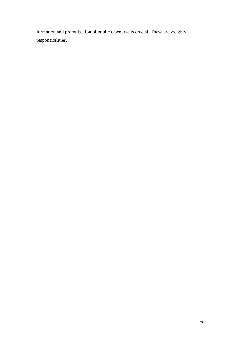formation and promulgation of public discourse is crucial. These are weighty responsibilities.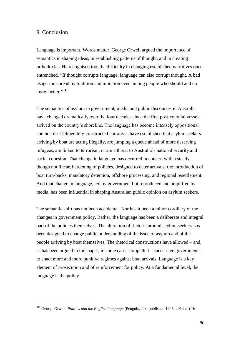## 9. Conclusion

Language is important. Words matter. George Orwell argued the importance of semantics in shaping ideas, in establishing patterns of thought, and in creating orthodoxies. He recognised too, the difficulty in changing established narratives once entrenched. "If thought corrupts language, language can also corrupt thought. A bad usage can spread by tradition and imitation even among people who should and do know better."<sup>341</sup>

The semantics of asylum in government, media and public discourses in Australia have changed dramatically over the four decades since the first post-colonial vessels arrived on the country's shoreline. The language has become intensely oppositional and hostile. Deliberately-constructed narratives have established that asylum seekers arriving by boat are acting illegally, are jumping a queue ahead of more deserving refugees, are linked to terrorism, or are a threat to Australia's national security and social cohesion. That change in language has occurred in concert with a steady, though not linear, hardening of policies, designed to deter arrivals: the introduction of boat turn-backs, mandatory detention, offshore processing, and regional resettlement. And that change in language, led by government but reproduced and amplified by media, has been influential in shaping Australian public opinion on asylum seekers.

The semantic shift has not been accidental. Nor has it been a minor corollary of the changes in government policy. Rather, the language has been a deliberate and integral part of the policies themselves. The alteration of rhetoric around asylum seekers has been designed to change public understanding of the issue of asylum and of the people arriving by boat themselves. The rhetorical constructions have allowed – and, as has been argued in this paper, in some cases compelled – successive governments to enact more and more punitive regimes against boat arrivals. Language is a key element of prosecution and of reinforcement for policy. At a fundamental level, the language is the policy.

<sup>341</sup> George Orwell, *Politics and the English Language* (Penguin, first published 1945, 2013 ed) 16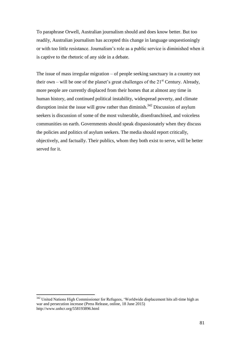To paraphrase Orwell, Australian journalism should and does know better. But too readily, Australian journalism has accepted this change in language unquestioningly or with too little resistance. Journalism's role as a public service is diminished when it is captive to the rhetoric of any side in a debate.

The issue of mass irregular migration – of people seeking sanctuary in a country not their own – will be one of the planet's great challenges of the  $21<sup>st</sup>$  Century. Already, more people are currently displaced from their homes that at almost any time in human history, and continued political instability, widespread poverty, and climate disruption insist the issue will grow rather than diminish.<sup>342</sup> Discussion of asylum seekers is discussion of some of the most vulnerable, disenfranchised, and voiceless communities on earth. Governments should speak dispassionately when they discuss the policies and politics of asylum seekers. The media should report critically, objectively, and factually. Their publics, whom they both exist to serve, will be better served for it.

<sup>&</sup>lt;sup>342</sup> United Nations High Commissioner for Refugees, 'Worldwide displacement hits all-time high as war and persecution increase (Press Release, online, 18 June 2015) http://www.unhcr.org/558193896.html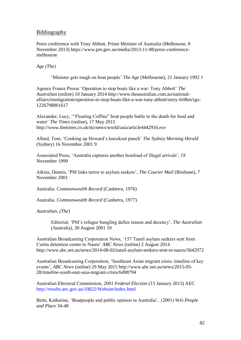# **Bibliography**

Press conference with Tony Abbott, Prime Minister of Australia (Melbourne, 8 November 2013) https://www.pm.gov.au/media/2013-11-08/press-conferencemelbourne

*Age (The)*

'Minister gets tough on boat people' *The Age* (Melbourne), 21 January 1992 1

Agence France Presse 'Operation to stop boats like a war: Tony Abbott' *The Australian* (online) 10 January 2014 http://www.theaustralian.com.au/nationalaffairs/immigration/operation-to-stop-boats-like-a-war-tony-abbott/story-fn9hm1gu-1226798801617

Alexander, Lucy, '"Floating Coffins" boat people battle to the death for food and water' *The Times* (online), 17 May 2015 http://www.thetimes.co.uk/tto/news/world/asia/article4442916.ece

Allard, Tom, 'Cooking up Howard's knockout punch' *The Sydney Morning Herald* (Sydney) 16 November 2001 9

Associated Press, 'Australia captures another boatload of illegal arrivals', 18 November 1999

Atkins, Dennis, 'PM links terror to asylum seekers', *The Courier Mail* (Brisbane), 7 November 2001

Australia. *Commonwealth Record* (Canberra, 1976)

Australia. *Commonwealth Record* (Canberra, 1977)

*Australian, (The)*

Editorial, 'PM's refugee bungling defies reason and decency', *The Australian*  (Australia), 30 August 2001 10

Australian Broadcasting Corporation News, '157 Tamil asylum seekers sent from Curtin detention centre to Nauru' *ABC News* (online) 2 August 2014 <http://www.abc.net.au/news/2014-08-02/tamil-asylum-seekers-sent-to-nauru/5642972>

Australian Broadcasting Corporation, 'Southeast Asian migrant crisis: timeline of key events', *ABC News* (online) 29 May 2015 [http://www.abc.net.au/news/2015-05-](http://www.abc.net.au/news/2015-05-28/timeline-south-east-asia-migrant-crisis/6498794) [28/timeline-south-east-asia-migrant-crisis/6498794](http://www.abc.net.au/news/2015-05-28/timeline-south-east-asia-migrant-crisis/6498794)

Australian Electoral Commission, *2001 Federal Election* (15 January 2013) AEC <http://results.aec.gov.au/10822/Website/index.html>

Betts, Katharine, 'Boatpeople and public opinion in Australia', (2001) 9(4) *People and Place* 34-48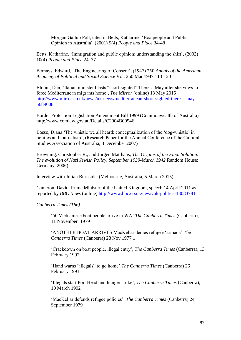Morgan Gallup Poll, cited in Betts, Katharine, 'Boatpeople and Public Opinion in Australia' (2001) 9(4) *People and Place* 34-48

Betts, Katharine, 'Immigration and public opinion: understanding the shift', (2002) 10(4) *People and Place* 24–37

Bernays, Edward, 'The Engineering of Consent', (1947) 250 *Annals of the American Academy of Political and Social Science* Vol. 250 Mar 1947 113-120

Bloom, Dan, 'Italian minister blasts "short-sighted" Theresa May after she vows to force Mediterranean migrants home', *The Mirror* (online) 13 May 2015 [http://www.mirror.co.uk/news/uk-news/mediterranean-short-sighted-theresa-may-](http://www.mirror.co.uk/news/uk-news/mediterranean-short-sighted-theresa-may-5689008)[5689008](http://www.mirror.co.uk/news/uk-news/mediterranean-short-sighted-theresa-may-5689008)

Border Protection Legislation Amendment Bill 1999 (Commonwealth of Australia) <http://www.comlaw.gov.au/Details/C2004B00546>

Bosso, Diana 'The whistle we all heard: conceptualization of the 'dog-whistle' in politics and journalism', (Research Paper for the Annual Conference of the Cultural Studies Association of Australia, 8 December 2007)

Browning, Christopher R., and Jurgen Matthaus, *The Origins of the Final Solution: The evolution of Nazi Jewish Policy, September 1939-March 1942* Random House: Germany, 2006)

Interview with Julian Burnside, (Melbourne, Australia, 5 March 2015)

Cameron, David, Prime Minister of the United Kingdom, speech 14 April 2011 as reported by *BBC News* (online)<http://www.bbc.co.uk/news/uk-politics-13083781>

*Canberra Times (The)*

'50 Vietnamese boat people arrive in WA' *The Canberra Times* (Canberra), 11 November 1979

'ANOTHER BOAT ARRIVES MacKellar denies refugee 'armada' *The Canberra Times* (Canberra) 28 Nov 1977 1

'Crackdown on boat people, illegal entry', *The Canberra Times* (Canberra), 13 February 1992

'Hand warns "illegals" to go home' *The Canberra Times* (Canberra) 26 February 1991

'Illegals start Port Headland hunger strike', *The Canberra Times* (Canberra), 10 March 1992

'MacKellar defends refugee policies', *The Canberra Times* (Canberra) 24 September 1979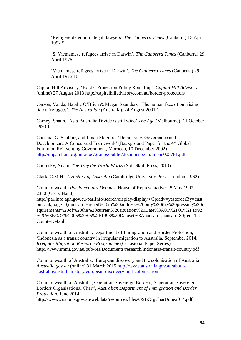'Refugees detention illegal: lawyers' *The Canberra Times* (Canberra) 15 April 1992 5

'S. Vietnamese refugees arrive in Darwin', *The Canberra Times* (Canberra) 29 April 1976

'Vietnamese refugees arrive in Darwin', *The Canberra Times* (Canberra) 29 April 1976 10

Capital Hill Advisory, 'Border Protection Policy Round-up', *Capital Hill Advisory* (online) 27 August 2013<http://capitalhilladvisory.com.au/border-protection/>

Carson, Vanda, Natalie O'Brien & Megan Saunders, 'The human face of our rising tide of refugees', *The Australian* (Australia), 24 August 2001 1

Carney, Shaun, 'Asia-Australia Divide is still wide' *The Age* (Melbourne), 11 October 1993 1

Cheema, G. Shabbir, and Linda Maguire, 'Democracy, Governance and Development: A Conceptual Framework' (Background Paper for the 4<sup>th</sup> Global Forum on Reinventing Government, Morocco, 10 December 2002) <http://unpan1.un.org/intradoc/groups/public/documents/un/unpan005781.pdf>

Chomsky, Noam, *The Way the World Works* (Soft Skull Press, 2013)

Clark, C.M.H., *A History of Australia* (Cambridge University Press: London, 1962)

Commonwealth, *Parliamentary Debates*, House of Representatives, 5 May 1992, 2370 (Gerry Hand)

[http://parlinfo.aph.gov.au/parlInfo/search/display/display.w3p;adv=yes;orderBy=cust](http://parlinfo.aph.gov.au/parlInfo/search/display/display.w3p;adv=yes;orderBy=customrank;page=0;query=designed%20to%20address%20only%20the%20pressing%20requirements%20of%20the%20current%20situation%20Date%3A01%2F01%2F1992%20%3E%3E%2005%2F05%2F1993%20Datas) [omrank;page=0;query=designed%20to%20address%20only%20the%20pressing%20r](http://parlinfo.aph.gov.au/parlInfo/search/display/display.w3p;adv=yes;orderBy=customrank;page=0;query=designed%20to%20address%20only%20the%20pressing%20requirements%20of%20the%20current%20situation%20Date%3A01%2F01%2F1992%20%3E%3E%2005%2F05%2F1993%20Datas) [equirements%20of%20the%20current%20situation%20Date%3A01%2F01%2F1992](http://parlinfo.aph.gov.au/parlInfo/search/display/display.w3p;adv=yes;orderBy=customrank;page=0;query=designed%20to%20address%20only%20the%20pressing%20requirements%20of%20the%20current%20situation%20Date%3A01%2F01%2F1992%20%3E%3E%2005%2F05%2F1993%20Datas) [%20%3E%3E%2005%2F05%2F1993%20Dataset%3Ahansardr,hansardr80;rec=1;res](http://parlinfo.aph.gov.au/parlInfo/search/display/display.w3p;adv=yes;orderBy=customrank;page=0;query=designed%20to%20address%20only%20the%20pressing%20requirements%20of%20the%20current%20situation%20Date%3A01%2F01%2F1992%20%3E%3E%2005%2F05%2F1993%20Datas) [Count=Default](http://parlinfo.aph.gov.au/parlInfo/search/display/display.w3p;adv=yes;orderBy=customrank;page=0;query=designed%20to%20address%20only%20the%20pressing%20requirements%20of%20the%20current%20situation%20Date%3A01%2F01%2F1992%20%3E%3E%2005%2F05%2F1993%20Datas)

Commonwealth of Australia, Department of Immigration and Border Protection, 'Indonesia as a transit country in irregular migration to Australia, September 2014*, Irregular Migration Research Programme* (Occasional Paper Series) <http://www.immi.gov.au/pub-res/Documents/research/indonesia-transit-country.pdf>

Commonwealth of Australia, 'European discovery and the colonisation of Australia' *Australia.gov.au* (online) 31 March 2015 [http://www.australia.gov.au/about](http://www.australia.gov.au/about-australia/australian-story/european-discovery-and-colonisation)[australia/australian-story/european-discovery-and-colonisation](http://www.australia.gov.au/about-australia/australian-story/european-discovery-and-colonisation)

Commonwealth of Australia, Operation Sovereign Borders, 'Operation Sovereign Borders Organisational Chart', *Australian Department of Immigration and Border Protection*, June 2014

<http://www.customs.gov.au/webdata/resources/files/OSBOrgChartJune2014.pdf>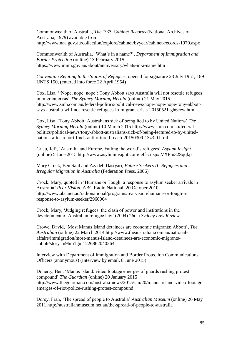Commonwealth of Australia, *The 1979 Cabinet Records* (National Archives of Australia, 1979) available from <http://www.naa.gov.au/collection/explore/cabinet/byyear/cabinet-records-1979.aspx>

Commonwealth of Australia, 'What's in a name?', *Department of Immigration and Border Protection* (online) 13 February 2015 <https://www.immi.gov.au/about/anniversary/whats-in-a-name.htm>

*Convention Relating to the Status of Refugees*, opened for signature 28 July 1951, 189 UNTS 150, (entered into force 22 April 1954)

Cox, Lisa, ''Nope, nope, nope': Tony Abbott says Australia will not resettle refugees in migrant crisis' *The Sydney Morning Herald* (online) 21 May 2015 http://www.smh.com.au/federal-politics/political-news/nope-nope-nope-tony-abbottsays-australia-will-not-resettle-refugees-in-migrant-crisis-20150521-gh6eew.html

Cox, Lisa, 'Tony Abbott: Australians sick of being lied to by United Nations' *The Sydney Morning Herald* (online) 10 March 2015 [http://www.smh.com.au/federal](http://www.smh.com.au/federal-politics/political-news/tony-abbott-australians-sick-of-being-lectured-to-by-united-nations-after-report-finds-antitorture-breach-20150309-13z3j0.html)[politics/political-news/tony-abbott-australians-sick-of-being-lectured-to-by-united](http://www.smh.com.au/federal-politics/political-news/tony-abbott-australians-sick-of-being-lectured-to-by-united-nations-after-report-finds-antitorture-breach-20150309-13z3j0.html)[nations-after-report-finds-antitorture-breach-20150309-13z3j0.html](http://www.smh.com.au/federal-politics/political-news/tony-abbott-australians-sick-of-being-lectured-to-by-united-nations-after-report-finds-antitorture-breach-20150309-13z3j0.html)

Crisp, Jeff, 'Australia and Europe, Failing the world's refugees' *Asylum Insight* (online) 5 June 2015<http://www.asyluminsight.com/jeff-crisp#.VXFm32Sqqkp>

Mary Crock, Ben Saul and Azadeh Dastyari, *Future Seekers II: Refugees and Irregular Migration in Australia* (Federation Press, 2006)

Crock, Mary, quoted in 'Humane or Tough: a response to asylum seeker arrivals in Australia' *Rear Vision*, ABC Radio National, 20 October 2010 [http://www.abc.net.au/radionational/programs/rearvision/humane-or-tough-a](http://www.abc.net.au/radionational/programs/rearvision/humane-or-tough-a-response-to-asylum-seeker/2960064)[response-to-asylum-seeker/2960064](http://www.abc.net.au/radionational/programs/rearvision/humane-or-tough-a-response-to-asylum-seeker/2960064)

Crock, Mary, 'Judging refugees: the clash of power and institutions in the development of Australian refugee law' (2004) 26(1) *Sydney Law Review*

Crowe, David, 'Most Manus Island detainees are economic migrants: Abbott', *The Australian* (online) 22 March 2014 http://www.theaustralian.com.au/nationalaffairs/immigration/most-manus-island-detainees-are-economic-migrantsabbott/story-fn9hm1gu-1226862040264

Interview with Department of Immigration and Border Protection Communications Officers (anonymous) (Interview by email, 8 June 2015)

Doherty, Ben, 'Manus Island: video footage emerges of guards rushing protest compound' *The Guardian* (online) 20 January 2015 http://www.theguardian.com/australia-news/2015/jan/20/manus-island-video-footageemerges-of-riot-police-rushing-protest-compound

Dorey, Fran, 'The spread of people to Australia' *Australian Museum* (online) 26 May 2011<http://australianmuseum.net.au/the-spread-of-people-to-australia>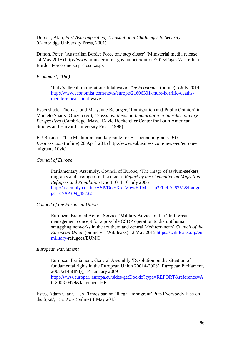Dupont, Alan, *East Asia Imperilled, Transnational Challenges to Security*  (Cambridge University Press, 2001)

Dutton, Peter, 'Australian Border Force one step closer' (Ministerial media release, 14 May 2015) http://www.minister.immi.gov.au/peterdutton/2015/Pages/Australian-Border-Force-one-step-closer.aspx

*Economist, (The)*

'Italy's illegal immigrations tidal wave' *The Economist* (online) 5 July 2014 [http://www.economist.com/news/europe/21606301-more-horrific-deaths](http://www.economist.com/news/europe/21606301-more-horrific-deaths-mediterranean-tidal-)[mediterranean-tidal-w](http://www.economist.com/news/europe/21606301-more-horrific-deaths-mediterranean-tidal-)ave

Espenshade, Thomas, and Maryanne Belanger, 'Immigration and Public Opinion' in Marcelo Suarez-Orozco (ed), *Crossings: Mexican Immigration in Interdisciplinary Perspectives* (Cambridge, Mass.: David Rockefeller Center for Latin American Studies and Harvard University Press, 1998)

EU Business 'The Mediterranean: key route for EU-bound migrants' *EU Business.com* (online) 28 April 2015 [http://www.eubusiness.com/news-eu/europe](http://www.eubusiness.com/news-eu/europe-migrants.10vk/)[migrants.10vk/](http://www.eubusiness.com/news-eu/europe-migrants.10vk/)

#### *Council of Europe*.

Parliamentary Assembly, Council of Europe, 'The image of asylum-seekers, migrants and refugees in the media' *Report by the Committee on Migration, Refugees and Population* Doc 11011 10 July 2006 [http://assembly.coe.int/ASP/Doc/XrefViewHTML.asp?FileID=6751&Langua](http://assembly.coe.int/ASP/Doc/XrefViewHTML.asp?FileID=6751&Language=EN#P309_48732) [ge=EN#P309\\_48732](http://assembly.coe.int/ASP/Doc/XrefViewHTML.asp?FileID=6751&Language=EN#P309_48732)

#### *Council of the European Union*

European External Action Service 'Military Advice on the 'draft crisis management concept for a possible CSDP operation to disrupt human smuggling networks in the southern and central Mediterranean' *Council of the European Union* (online via Wikileaks) 12 May 2015 [https://wikileaks.org/eu](https://wikileaks.org/eu-military-)[military-r](https://wikileaks.org/eu-military-)efugees/EUMC

## *European Parliament*

European Parliament, General Assembly 'Resolution on the situation of fundamental rights in the European Union 20014-2008', European Parliament, 2007/2145(INI)), 14 January 2009 <http://www.europarl.europa.eu/sides/getDoc.do?type=REPORT&reference=A> 6-2008-0479&language=HR

Estes, Adam Clark, 'L.A. Times ban on 'Illegal Immigrant' Puts Everybody Else on the Spot', *The Wire* (online) 1 May 2013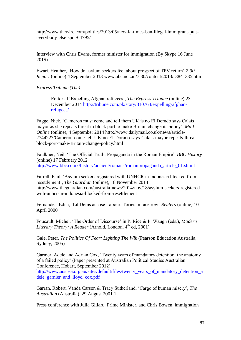http://www.thewire.com/politics/2013/05/new-la-times-ban-illegal-immigrant-putseverybody-else-spot/64795/

Interview with Chris Evans, former minister for immigration (By Skype 16 June 2015)

Ewart, Heather, 'How do asylum seekers feel about prospect of TPV return' *7:30 Report* (online) 4 September 2013 www.abc.net.au/7.30/content/2013/s3841335.htm

*Express Tribune (The)*

Editorial 'Expelling Afghan refugees', *The Express Tribune* (online) 23 December 2014 [http://tribune.com.pk/story/810763/expelling-afghan](http://tribune.com.pk/story/810763/expelling-afghan-refugees/)[refugees/](http://tribune.com.pk/story/810763/expelling-afghan-refugees/)

Fagge, Nick, 'Cameron must come and tell them UK is no El Dorado says Calais mayor as she repeats threat to block port to make Britain change its policy', *Mail Online* (online), 4 September 2014 [http://www.dailymail.co.uk/news/article-](http://www.dailymail.co.uk/news/article-2744227/Cameron-come-tell-UK-no-El-Dorado-says-Calais-mayor-repeats-threat-block-port-make-Britain-change-policy.html)[2744227/Cameron-come-tell-UK-no-El-Dorado-says-Calais-mayor-repeats-threat](http://www.dailymail.co.uk/news/article-2744227/Cameron-come-tell-UK-no-El-Dorado-says-Calais-mayor-repeats-threat-block-port-make-Britain-change-policy.html)[block-port-make-Britain-change-policy.html](http://www.dailymail.co.uk/news/article-2744227/Cameron-come-tell-UK-no-El-Dorado-says-Calais-mayor-repeats-threat-block-port-make-Britain-change-policy.html)

Faulkner, Neil, 'The Official Truth: Propaganda in the Roman Empire', *BBC History* (online) 17 February 2012 [http://www.bbc.co.uk/history/ancient/romans/romanpropaganda\\_article\\_01.shtml](http://www.bbc.co.uk/history/ancient/romans/romanpropaganda_article_01.shtml)

Farrell, Paul, 'Asylum seekers registered with UNHCR in Indonesia blocked from resettlement', *The Guardian* (online), 18 November 2014 [http://www.theguardian.com/australia-news/2014/nov/18/asylum-seekers-registered](http://www.theguardian.com/australia-news/2014/nov/18/asylum-seekers-registered-with-unhcr-in-indonesia-blocked-from-resettlement)[with-unhcr-in-indonesia-blocked-from-resettlement](http://www.theguardian.com/australia-news/2014/nov/18/asylum-seekers-registered-with-unhcr-in-indonesia-blocked-from-resettlement)

Fernandes, Edna, 'LibDems accuse Labour, Tories in race row' *Reuters* (online) 10 April 2000

Foucault, Michel, 'The Order of Discourse' in P. Rice & P. Waugh (eds.), *Modern Literary Theory: A Reader* (Arnold, London, 4<sup>th</sup> ed, 2001)

Gale, Peter, *The Politics Of Fear: Lighting The Wik* (Pearson Education Australia, Sydney, 2005)

Garnier, Adele and Adrian Cox, 'Twenty years of mandatory detention: the anatomy of a failed policy' (Paper presented at Australian Political Studies Australian Conference, Hobart, September 2012)

[http://www.auspsa.org.au/sites/default/files/twenty\\_years\\_of\\_mandatory\\_detention\\_a](http://www.auspsa.org.au/sites/default/files/twenty_years_of_mandatory_detention_adele_garnier_and_lloyd_cox.pdf) [dele\\_garnier\\_and\\_lloyd\\_cox.pdf](http://www.auspsa.org.au/sites/default/files/twenty_years_of_mandatory_detention_adele_garnier_and_lloyd_cox.pdf)

Garran, Robert, Vanda Carson & Tracy Sutherland, 'Cargo of human misery', *The Australian* (Australia), 29 August 2001 1

Press conference with Julia Gillard, Prime Minister, and Chris Bowen, immigration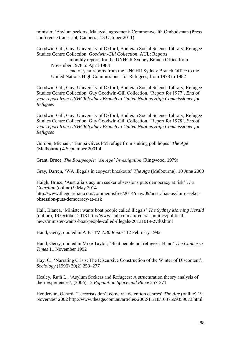minister, 'Asylum seekers; Malaysia agreement; Commonwealth Ombudsman (Press conference transcript, Canberra, 13 October 2011)

Goodwin-Gill, Guy, University of Oxford, Bodleian Social Science Library, Refugee Studies Centre Collection, *Goodwin-Gill Collection*, AUL: Reports - monthly reports for the UNHCR Sydney Branch Office from November 1978 to April 1983 - end of year reports from the UNCHR Sydney Branch Office to the United Nations High Commissioner for Refugees, from 1978 to 1982

Goodwin-Gill, Guy, University of Oxford, Bodleian Social Science Library, Refugee Studies Centre Collection, Guy Goodwin-Gill Collection, 'Report for 1977', *End of year report from UNHCR Sydney Branch to United Nations High Commissioner for Refugees*

Goodwin-Gill, Guy, University of Oxford, Bodleian Social Science Library, Refugee Studies Centre Collection, Guy Goodwin-Gill Collection, 'Report for 1978', *End of year report from UNHCR Sydney Branch to United Nations High Commissioner for Refugees*

Gordon, Michael, 'Tampa Gives PM refuge from sinking poll hopes' *The Age* (Melbourne) 4 September 2001 4

Grant, Bruce, *The Boatpeople: 'An Age' Investigation* (Ringwood, 1979)

Gray, Darren, 'WA illegals in copycat breakouts' *The Age* (Melbourne), 10 June 2000

Haigh, Bruce, 'Australia's asylum seeker obsessions puts democracy at risk' *The Guardian* (online) 9 May 2014 [http://www.theguardian.com/commentisfree/2014/may/09/australias-asylum-seeker](http://www.theguardian.com/commentisfree/2014/may/09/australias-asylum-seeker-obsession-puts-democracy-at-risk)[obsession-puts-democracy-at-risk](http://www.theguardian.com/commentisfree/2014/may/09/australias-asylum-seeker-obsession-puts-democracy-at-risk)

Hall, Bianca, 'Minister wants boat people called illegals' *The Sydney Morning Herald* (online), 19 October 2013 http://www.smh.com.au/federal-politics/politicalnews/minister-wants-boat-people-called-illegals-20131019-2vtl0.html

Hand, Gerry, quoted in ABC TV *7:30 Report* 12 February 1992

Hand, Gerry, quoted in Mike Taylor, 'Boat people not refugees: Hand' *The Canberra Times* 11 November 1992

Hay, C., 'Narrating Crisis: The Discursive Construction of the Winter of Discontent', *Sociology* (1996) 30(2) 253–277

Healey, Ruth L., 'Asylum Seekers and Refugees: A structuration theory analysis of their experiences', (2006) 12 *Population Space and Place* 257-271

Henderson, Gerard, 'Terrorists don't come via detention centres' *The Age* (online) 19 November 2002 http://www.theage.com.au/articles/2002/11/18/1037599359073.html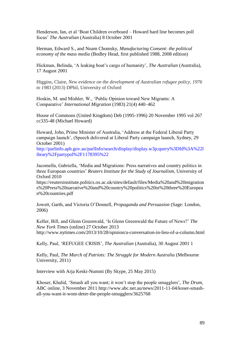Henderson, Ian, et al 'Boat Children overboard – Howard hard line becomes poll focus' *The Australian* (Australia) 8 October 2001

Herman, Edward S., and Noam Chomsky, *Manufacturing Consent: the political economy of the mass media* (Bodley Head, first published 1988, 2008 edition)

Hickman, Belinda, 'A leaking boat's cargo of humanity', *The Australian* (Australia), 17 August 2001

Higgins, Claire, *New evidence on the development of Australian refugee policy, 1976 to 1983* (2013) DPhil, University of Oxford

Hoskin, M. and Mishler, W., 'Public Opinion toward New Migrants: A Comparative' *International Migration* (1983) 21(4) 440–462

House of Commons (United Kingdom) Deb (1995-1996) 20 November 1995 vol 267 cc335-48 (Michael Howard)

Howard, John, Prime Minister of Australia, 'Address at the Federal Liberal Party campaign launch', (Speech delivered at Liberal Party campaign launch, Sydney, 29 October 2001)

[http://parlinfo.aph.gov.au/parlInfo/search/display/display.w3p;query%3DId%3A%22l](http://parlinfo.aph.gov.au/parlInfo/search/display/display.w3p;query%3DId%3A%22library%2Fpartypol%2F1178395%22) [ibrary%2Fpartypol%2F1178395%22](http://parlinfo.aph.gov.au/parlInfo/search/display/display.w3p;query%3DId%3A%22library%2Fpartypol%2F1178395%22)

Jacomella, Gabriella, 'Media and Migrations: Press narratives and country politics in three European countries' *Reuters Institute for the Study of Journalism*, University of Oxford 2010

https://reutersinstitute.politics.ox.ac.uk/sites/default/files/Media%20and%20migration s%20Press%20narrative%20and%20country%20politics%20in%20three%20Europea n%20countries.pdf

Jowett, Garth, and Victoria O'Donnell, *Propaganda and Persuasion* (Sage: London, 2006)

Keller, Bill, and Glenn Greenwald, 'Is Glenn Greenwald the Future of News?' *The New York Times* (online) 27 October 2013 http://www.nytimes.com/2013/10/28/opinion/a-conversation-in-lieu-of-a-column.html

Kelly, Paul, 'REFUGEE CRISIS', *The Australian* (Australia), 30 August 2001 1

Kelly, Paul, *The March of Patriots: The Struggle for Modern Australia* (Melbourne University, 2011)

Interview with Arja Keski-Nummi (By Skype, 25 May 2015)

Khoser, Khalid, 'Smash all you want; it won't stop the people smugglers', *The Drum*, ABC online, 3 November 2011 [http://www.abc.net.au/news/2011-11-04/koser-smash](http://www.abc.net.au/news/2011-11-04/koser-smash-all-you-want-it-wont-deter-the-people-smugglers/3625768)[all-you-want-it-wont-deter-the-people-smugglers/3625768](http://www.abc.net.au/news/2011-11-04/koser-smash-all-you-want-it-wont-deter-the-people-smugglers/3625768)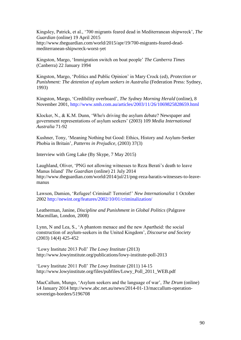Kingsley, Patrick, et al., '700 migrants feared dead in Mediterranean shipwreck', *The Guardian* (online) 19 April 2015 [http://www.theguardian.com/world/2015/apr/19/700-migrants-feared-dead](http://www.theguardian.com/world/2015/apr/19/700-migrants-feared-dead-mediterranean-shipwreck-worst-yet)[mediterranean-shipwreck-worst-yet](http://www.theguardian.com/world/2015/apr/19/700-migrants-feared-dead-mediterranean-shipwreck-worst-yet)

Kingston, Margo, 'Immigration switch on boat people' *The Canberra Times* (Canberra) 22 January 1994

Kingston, Margo, 'Politics and Public Opinion' in Mary Crock (ed), *Protection or Punishment: The detention of asylum seekers in Australia* (Federation Press: Sydney, 1993)

Kingston, Margo, ['Credibility overboard'](http://www.smh.com.au/articles/2002/05/10/1020914043918.html), *The Sydney Morning Herald* (online), 8 November 2001,<http://www.smh.com.au/articles/2003/11/26/1069825828659.html>

Klocker, N., & K.M. Dunn, 'Who's driving the asylum debate? Newspaper and government representations of asylum seekers' (2003) 109 *Media International Australia* 71-92

Kushner, Tony, 'Meaning Nothing but Good: Ethics, History and Asylum-Seeker Phobia in Britain', *Patterns in Prejudice*, (2003) 37(3)

Interview with Greg Lake (By Skype, 7 May 2015)

Laughland, Oliver, 'PNG not allowing witnesses to Reza Berati's death to leave Manus Island' *The Guardian* (online) 21 July 2014 [http://www.theguardian.com/world/2014/jul/21/png-reza-baratis-witnesses-to-leave](http://www.theguardian.com/world/2014/jul/21/png-reza-baratis-witnesses-to-leave-manus)[manus](http://www.theguardian.com/world/2014/jul/21/png-reza-baratis-witnesses-to-leave-manus)

Lawson, Damien, 'Refugee! Criminal! Terrorist!' *New Internationalist* 1 October 2002<http://newint.org/features/2002/10/01/criminalization/>

Leatherman, Janine, *Discipline and Punishment in Global Politics* (Palgrave Macmillan, London, 2008)

Lynn, N and Lea, S., 'A phantom menace and the new Apartheid: the social construction of asylum-seekers in the United Kingdom', *Discourse and Society* (2003) 14(4) 425-452

'Lowy Institute 2013 Poll' *The Lowy Institute* (2013) http://www.lowyinstitute.org/publications/lowy-institute-poll-2013

'Lowy Institute 2011 Poll' *The Lowy Institute* (2011) 14-15 http://www.lowyinstitute.org/files/pubfiles/Lowy\_Poll\_2011\_WEB.pdf

MacCallum, Mungo, 'Asylum seekers and the language of war', *The Drum* (online) 14 January 2014 http://www.abc.net.au/news/2014-01-13/maccallum-operationsovereign-borders/5196708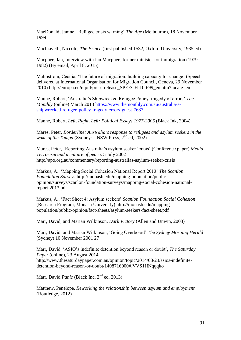MacDonald, Janine, 'Refugee crisis warning' *The Age* (Melbourne), 18 November 1999

Machiavelli, Niccolo, *The Prince* (first published 1532, Oxford University, 1935 ed)

Macphee, Ian, Interview with Ian Macphee, former minister for immigration (1979- 1982) (By email, April 8, 2015)

Malmstrom, Cecilia, 'The future of migration: building capacity for change' (Speech delivered at International Organisation for Migration Council, Geneva, 29 November 2010) http://europa.eu/rapid/press-release\_SPEECH-10-699\_en.htm?locale=en

Manne, Robert, 'Australia's Shipwrecked Refugee Policy: tragedy of errors' *The Monthly* (online) March 2013 [https://www.themonthly.com.au/australia-s](https://www.themonthly.com.au/australia-s-shipwrecked-refugee-policy-tragedy-errors-guest-7637)[shipwrecked-refugee-policy-tragedy-errors-guest-7637](https://www.themonthly.com.au/australia-s-shipwrecked-refugee-policy-tragedy-errors-guest-7637)

Manne, Robert, *Left, Right, Left: Political Essays 1977-2005* (Black Ink, 2004)

Mares, Peter, *Borderline: Australia's response to refugees and asylum seekers in the wake of the Tampa* (Sydney: UNSW Press, 2<sup>nd</sup> ed, 2002)

Mares, Peter, 'Reporting Australia's asylum seeker 'crisis' (Conference paper) *Media, Terrorism and a culture of peace*. 5 July 2002 http://apo.org.au/commentary/reporting-australias-asylum-seeker-crisis

Markus, A., 'Mapping Social Cohesion National Report 2013' *The Scanlon Foundation Surveys* [http://monash.edu/mapping-population/public](http://monash.edu/mapping-population/public-opinion/surveys/scanlon-foundation-surveys/mapping-social-cohesion-national-report-2013.pdf)[opinion/surveys/scanlon-foundation-surveys/mapping-social-cohesion-national](http://monash.edu/mapping-population/public-opinion/surveys/scanlon-foundation-surveys/mapping-social-cohesion-national-report-2013.pdf)[report-2013.pdf](http://monash.edu/mapping-population/public-opinion/surveys/scanlon-foundation-surveys/mapping-social-cohesion-national-report-2013.pdf)

Markus, A., 'Fact Sheet 4: Asylum seekers' *Scanlon Foundation Social Cohesion* (Research Program, Monash University) http://monash.edu/mappingpopulation/public-opinion/fact-sheets/asylum-seekers-fact-sheet.pdf

Marr, David, and Marian Wilkinson, *Dark Victory* (Allen and Unwin, 2003)

Marr, David, and Marian Wilkinson, 'Going Overboard' *The Sydney Morning Herald* (Sydney) 10 November 2001 27

Marr, David, 'ASIO's indefinite detention beyond reason or doubt', *The Saturday Paper* (online), 23 August 2014 [http://www.thesaturdaypaper.com.au/opinion/topic/2014/08/23/asios-indefinite](http://www.thesaturdaypaper.com.au/opinion/topic/2014/08/23/asios-indefinite-detention-beyond-reason-or-doubt/1408716000#.VVS1HNqqqko)[detention-beyond-reason-or-doubt/1408716000#.VVS1HNqqqko](http://www.thesaturdaypaper.com.au/opinion/topic/2014/08/23/asios-indefinite-detention-beyond-reason-or-doubt/1408716000#.VVS1HNqqqko)

Marr, David *Panic* (Black Inc, 2<sup>nd</sup> ed, 2013)

Matthew, Penelope, *Reworking the relationship between asylum and employment* (Routledge, 2012)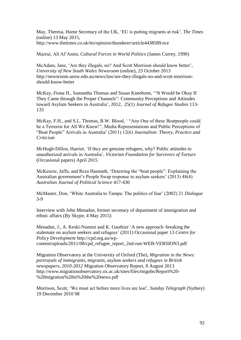May, Theresa, Home Secretary of the UK, 'EU is putting migrants at risk', *The Times* (online) 13 May 2015, http://www.thetimes.co.uk/tto/opinion/thunderer/article4438589.ece

Mazrui, Ali Al'Amin, *Cultural Forces in World Politics* (James Currey, 1990)

McAdam, Jane, 'Are they illegals, no? And Scott Morrison should know better', *University of New South Wales Newsroom* (online), 23 October 2013 [http://newsroom.unsw.edu.au/news/law/are-they-illegals-no-and-scott-morrison](http://newsroom.unsw.edu.au/news/law/are-they-illegals-no-and-scott-morrison-should-know-better)[should-know-better](http://newsroom.unsw.edu.au/news/law/are-they-illegals-no-and-scott-morrison-should-know-better)

McKay, Fiona H., Samantha Thomas and Susan Kneebone, '"It [Would](http://solo.bodleian.ox.ac.uk/primo_library/libweb/action/display.do?frbrVersion=6&tabs=detailsTab&ct=display&fn=search&doc=TN_oxford10.1093%2fjrs%2ffer010&indx=1&recIds=TN_oxford10.1093%2fjrs%2ffer010&recIdxs=0&elementId=0&renderMode=poppedOut&displayMode=full&frbrVersion=6&dscnt=0&scp.scps=scope%3A%28ELD%29%2Cprimo_central_multiple_fe&frbg=&tab=remote&dstmp=1430734273305&srt=rank&mode=Basic&&dum=true&tb=t&vl(353692470UI0)=any&vl(1UIStartWith0)=contains&vl(304942530UI1)=all_items&vl(freeText0)=McKay%20Thomas%20Kneebone&vid=OXVU1) be Okay If They Came through the Proper Channels": [Community](http://solo.bodleian.ox.ac.uk/primo_library/libweb/action/display.do?frbrVersion=6&tabs=detailsTab&ct=display&fn=search&doc=TN_oxford10.1093%2fjrs%2ffer010&indx=1&recIds=TN_oxford10.1093%2fjrs%2ffer010&recIdxs=0&elementId=0&renderMode=poppedOut&displayMode=full&frbrVersion=6&dscnt=0&scp.scps=scope%3A%28ELD%29%2Cprimo_central_multiple_fe&frbg=&tab=remote&dstmp=1430734273305&srt=rank&mode=Basic&&dum=true&tb=t&vl(353692470UI0)=any&vl(1UIStartWith0)=contains&vl(304942530UI1)=all_items&vl(freeText0)=McKay%20Thomas%20Kneebone&vid=OXVU1) Perceptions and Attitudes toward Asylum Seekers in [Australia'](http://solo.bodleian.ox.ac.uk/primo_library/libweb/action/display.do?frbrVersion=6&tabs=detailsTab&ct=display&fn=search&doc=TN_oxford10.1093%2fjrs%2ffer010&indx=1&recIds=TN_oxford10.1093%2fjrs%2ffer010&recIdxs=0&elementId=0&renderMode=poppedOut&displayMode=full&frbrVersion=6&dscnt=0&scp.scps=scope%3A%28ELD%29%2Cprimo_central_multiple_fe&frbg=&tab=remote&dstmp=1430734273305&srt=rank&mode=Basic&&dum=true&tb=t&vl(353692470UI0)=any&vl(1UIStartWith0)=contains&vl(304942530UI1)=all_items&vl(freeText0)=McKay%20Thomas%20Kneebone&vid=OXVU1), 2012, 25(1) *Journal of Refugee Studies* 113- 133

McKay, F.H., and S.L. Thomas, R.W. Blood, ' "Any One of these Boatpeople could be a Terrorist for All We Know!", Media Representations and Public Perceptions of "Boat People" Arrivals in Australia' (2011) 12(6) *Journalism: Theory, Practice and Criticism*

McHugh-Dillon, Harriet, 'If they are genuine refugees, why? Public attitudes to unauthorized arrivals in Australia', *Victorian Foundation for Survivors of Torture* (Occasional papers) April 2015

McKenzie, Jaffa, and Reza Hasmath, 'Deterring the "boat people": Explaining the Australian government's People Swap response to asylum seekers' (2013) 48(4) *Australian Journal of Political Science* 417-430

McMaster, Don, 'White Australia to Tampa: The politics of fear' (2002) 21 *Dialogue* 3-9

Interview with John Menadue, former secretary of department of immigration and ethnic affairs (By Skype, 4 May 2015)

Menadue, J., A. Keski-Nummi and K. Gauthier 'A new approach–breaking the stalemate on asylum seekers and refugees' (2011) Occasional paper 13 *Centre for Policy Development* [http://cpd.org.au/wp](http://cpd.org.au/wp-content/uploads/2011/08/cpd_refugee_report_2nd-run-WEB-VERSION3.pdf)[content/uploads/2011/08/cpd\\_refugee\\_report\\_2nd-run-WEB-VERSION3.pdf](http://cpd.org.au/wp-content/uploads/2011/08/cpd_refugee_report_2nd-run-WEB-VERSION3.pdf)

Migration Observatory at the University of Oxford (The), *Migration in the News: portrayals of immigrants, migrants, asylum seekers and refugees in British newspapers, 2010-2012* Migration Observatory Report, 8 August 2013 http://www.migrationobservatory.ox.ac.uk/sites/files/migobs/Report%20- %20migration%20in%20the%20news.pdf

Morrison, Scott, 'We must act before more lives are lost', *Sunday Telegraph* (Sydney) 19 December 2010 98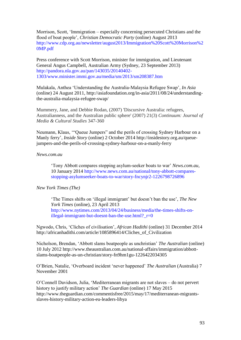Morrison, Scott, 'Immigration – especially concerning persecuted Christians and the flood of boat people', *Christian Democratic Party* (online) August 2013 [http://www.cdp.org.au/newsletter/august2013/Immigration%20Scott%20Morrison%2](http://www.cdp.org.au/newsletter/august2013/Immigration%20Scott%20Morrison%20MP.pdf) [0MP.pdf](http://www.cdp.org.au/newsletter/august2013/Immigration%20Scott%20Morrison%20MP.pdf)

Press conference with Scott Morrison, minister for immigration, and Lieutenant General Angus Campbell, Australian Army (Sydney, 23 September 2013) [http://pandora.nla.gov.au/pan/143035/20140402-](http://pandora.nla.gov.au/pan/143035/20140402-1303/www.minister.immi.gov.au/media/sm/2013/sm208387.htm) [1303/www.minister.immi.gov.au/media/sm/2013/sm208387.htm](http://pandora.nla.gov.au/pan/143035/20140402-1303/www.minister.immi.gov.au/media/sm/2013/sm208387.htm)

Mulakala, Anthea 'Understanding the Australia-Malaysia Refugee Swap', *In Asia* (online) 24 August 2011, http://asiafoundation.org/in-asia/2011/08/24/understandingthe-australia-malaysia-refugee-swap/

Mummery, Jane, and Debbie Rodan, (2007) 'Discursive Australia: refugees, Australianness, and the Australian public sphere' (2007) 21(3) *Continuum: Journal of Media & Cultural Studies* 347-360

Neumann, Klaus, '"Queue Jumpers" and the perils of crossing Sydney Harbour on a Manly ferry', *Inside Story* (online) 2 October 2014 [http://insidestory.org.au/queue](http://insidestory.org.au/queue-jumpers-and-the-perils-of-crossing-sydney-harbour-on-a-manly-ferry)[jumpers-and-the-perils-of-crossing-sydney-harbour-on-a-manly-ferry](http://insidestory.org.au/queue-jumpers-and-the-perils-of-crossing-sydney-harbour-on-a-manly-ferry)

## *News.com.au*

'Tony Abbott compares stopping asylum-seeker boats to war' *News.com.au*, 10 January 2014 [http://www.news.com.au/national/tony-abbott-compares](http://www.news.com.au/national/tony-abbott-compares-%09stopping-asylumseeker-boats-to-%09war/story-fncynjr2-1226798726896)[stopping-asylumseeker-boats-to-war/story-fncynjr2-1226798726896](http://www.news.com.au/national/tony-abbott-compares-%09stopping-asylumseeker-boats-to-%09war/story-fncynjr2-1226798726896)

### *New York Times (The)*

'The Times shifts on 'illegal immigrant' but doesn't ban the use', *The New York Times* (online), 23 April 2013 [http://www.nytimes.com/2013/04/24/business/media/the-times-shifts-on](http://www.nytimes.com/2013/04/24/business/media/the-times-shifts-on-%09illegal-immigrant-but-doesnt-ban-the-use.html?_r=0)illegal-immigrant-but-doesnt-ban-the-use.html? $r=0$ 

Ngwodo, Chris, 'Cliches of civilisation', *African Hadithi* (online) 31 December 2014 [http://africanhadithi.com/article/1085896414/Cliches\\_of\\_Civilization](http://africanhadithi.com/article/1085896414/Cliches_of_Civilization)

Nicholson, Brendan, 'Abbott slams boatpeople as unchristian' *The Australian* (online) 10 July 2012 [http://www.theaustralian.com.au/national-affairs/immigration/abbott](http://www.theaustralian.com.au/national-affairs/immigration/abbott-slams-boatpeople-as-un-christian/story-fn9hm1gu-1226422034305)[slams-boatpeople-as-un-christian/story-fn9hm1gu-1226422034305](http://www.theaustralian.com.au/national-affairs/immigration/abbott-slams-boatpeople-as-un-christian/story-fn9hm1gu-1226422034305)

O'Brien, Natalie, 'Overboard incident 'never happened' *The Australian* (Australia) 7 November 2001

O'Connell Davidson, Julia, 'Mediterranean migrants are not slaves – do not pervert history to justify military action' *The Guardian* (online) 17 May 2015 http://www.theguardian.com/commentisfree/2015/may/17/mediterranean-migrantsslaves-history-military-action-eu-leaders-libya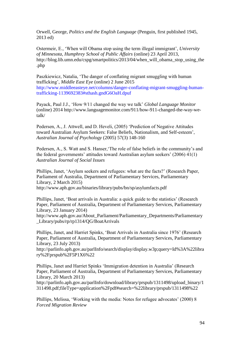Orwell, George, *Politics and the English Language* (Penguin, first published 1945, 2013 ed)

Ostermeir, E., 'When will Obama stop using the term illegal immigrant', *University of Minnesota, Humphrey School of Public Affairs* (online) 23 April 2013, [http://blog.lib.umn.edu/cspg/smartpolitics/2013/04/when\\_will\\_obama\\_stop\\_using\\_the](http://blog.lib.umn.edu/cspg/smartpolitics/2013/04/when_will_obama_stop_using_the.php) [.php](http://blog.lib.umn.edu/cspg/smartpolitics/2013/04/when_will_obama_stop_using_the.php)

Paszkiewicz, Natalia, 'The danger of conflating migrant smuggling with human trafficking', *Middle East Eye* (online) 2 June 2015 [http://www.middleeasteye.net/columns/danger-conflating-migrant-smuggling-human](http://www.middleeasteye.net/columns/danger-conflating-migrant-smuggling-human-trafficking-1139692383#sthash.gndG6OaH.dpuf)[trafficking-1139692383#sthash.gndG6OaH.dpuf](http://www.middleeasteye.net/columns/danger-conflating-migrant-smuggling-human-trafficking-1139692383#sthash.gndG6OaH.dpuf)

Payack, Paul J.J., 'How 9/11 changed the way we talk' *Global Language Monitor* (online) 2014 [http://www.languagemonitor.com/911/how-911-changed-the-way-we](http://www.languagemonitor.com/911/how-911-changed-the-way-we-talk/)[talk/](http://www.languagemonitor.com/911/how-911-changed-the-way-we-talk/)

Pedersen, A., J. Attwell, and D. Heveli, (2005) 'Prediction of Negative Attitudes toward Australian Asylum Seekers: False Beliefs, Nationalism, and Self-esteem', *Australian Journal of Psychology* (2005) 57(3) 148-160

Pedersen, A., S. Watt and S. Hanser,'The role of false beliefs in the community's and the federal governments' attitudes toward Australian asylum seekers' (2006) 41(1) *Australian Journal of Social Issues*

Phillips, Janet, 'Asylum seekers and refugees: what are the facts?' (Research Paper, Parliament of Australia, Department of Parliamentary Services, Parliamentary Library, 2 March 2015)

http://www.aph.gov.au/binaries/library/pubs/bn/sp/asylumfacts.pdf

Phillips, Janet, 'Boat arrivals in Australia: a quick guide to the statistics' (Research Paper, Parliament of Australia, Department of Parliamentary Services, Parliamentary Library, 23 January 2014)

[http://www.aph.gov.au/About\\_Parliament/Parliamentary\\_Departments/Parliamentary](http://www.aph.gov.au/About_Parliament/Parliamentary_Departments/Parliamentary_Library/pubs/rp/rp1314/QG/BoatArrivals) [\\_Library/pubs/rp/rp1314/QG/BoatArrivals](http://www.aph.gov.au/About_Parliament/Parliamentary_Departments/Parliamentary_Library/pubs/rp/rp1314/QG/BoatArrivals)

Phillips, Janet, and Harriet Spinks, 'Boat Arrivals in Australia since 1976' (Research Paper, Parliament of Australia, Department of Parliamentary Services, Parliamentary Library, 23 July 2013)

[http://parlinfo.aph.gov.au/parlInfo/search/display/display.w3p;query=Id%3A%22libra](http://parlinfo.aph.gov.au/parlInfo/search/display/display.w3p;query=Id%3A%22library%2Fprspub%2F5P1X6%22) [ry%2Fprspub%2F5P1X6%22](http://parlinfo.aph.gov.au/parlInfo/search/display/display.w3p;query=Id%3A%22library%2Fprspub%2F5P1X6%22)

Phillips, Janet and Harriet Spinks 'Immigration detention in Australia' (Research Paper, Parliament of Australia, Department of Parliamentary Services, Parliamentary Library, 20 March 2013)

http://parlinfo.aph.gov.au/parlInfo/download/library/prspub/1311498/upload\_binary/1 311498.pdf;fileType=application%2Fpdf#search=%22library/prspub/1311498%22

Phillips, Melissa, 'Working with the media: Notes for refugee advocates' (2000) 8 *Forced Migration Review*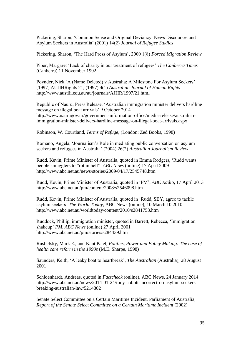Pickering, Sharon, 'Common Sense and Original Deviancy: News Discourses and Asylum Seekers in Australia' (2001) 14(2) *Journal of Refugee Studies*

Pickering, Sharon, 'The Hard Press of Asylum', 2000 1(8) *Forced Migration Review*

Piper, Margaret 'Lack of charity in our treatment of refugees' *The Canberra Times* (Canberra) 11 November 1992

Poynder, Nick 'A (Name Deleted) v Australia: A Milestone For Asylum Seekers' [1997] AUJlHRights 21, (1997) 4(1) *Australian Journal of Human Rights* <http://www.austlii.edu.au/au/journals/AJHR/1997/21.html>

Republic of Nauru, Press Release, 'Australian immigration minister delivers hardline message on illegal boat arrivals' 9 October 2014 http://www.naurugov.nr/government-information-office/media-release/australianimmigration-minister-delivers-hardline-message-on-illegal-boat-arrivals.aspx

Robinson, W. Courtland, *Terms of Refuge*, (London: Zed Books, 1998)

Romano, Angela, 'Journalism's Role in mediating public conversation on asylum seekers and refugees in Australia' (2004) 26(2) *Australian Journalism Review*

Rudd, Kevin, Prime Minister of Australia, quoted in Emma Rodgers, 'Rudd wants people smugglers to "rot in hell"' *ABC News* (online) 17 April 2009 http://www.abc.net.au/news/stories/2009/04/17/2545748.htm

Rudd, Kevin, Prime Minister of Australia, quoted in 'PM', *ABC Radio*, 17 April 2013 http://www.abc.net.au/pm/content/2008/s2546098.htm

Rudd, Kevin, Prime Minister of Australia, quoted in 'Rudd, SBY, agree to tackle asylum seekers' *The World Today*, ABC News (online), 10 March 10 2010 <http://www.abc.net.au/worldtoday/content/2010/s2841753.htm>

Ruddock, Phillip, immigration minister, quoted in Barrett, Rebecca, 'Immigration shakeup' *PM, ABC News* (online) 27 April 2001 <http://www.abc.net.au/pm/stories/s284439.htm>

Rushefsky, Mark E., and Kant Patel, *Politics, Power and Policy Making: The case of health care reform in the 1990s* (M.E. Sharpe, 1998)

Saunders, Keith, 'A leaky boat to heartbreak', *The Australian* (Australia), 28 August 2001

Schloenhardt, Andreas, quoted in *Factcheck* (online), ABC News, 24 January 2014 [http://www.abc.net.au/news/2014-01-24/tony-abbott-incorrect-on-asylum-seekers](http://www.abc.net.au/news/2014-01-24/tony-abbott-incorrect-on-asylum-seekers-breaking-australian-law/5214802)[breaking-australian-law/5214802](http://www.abc.net.au/news/2014-01-24/tony-abbott-incorrect-on-asylum-seekers-breaking-australian-law/5214802)

Senate Select Committee on a Certain Maritime Incident, Parliament of Australia, *Report of the Senate Select Committee on a Certain Maritime Incident* (2002)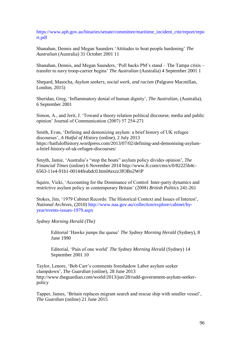[https://www.aph.gov.au/binaries/senate/committee/maritime\\_incident\\_ctte/report/repo](https://www.aph.gov.au/binaries/senate/committee/maritime_incident_ctte/report/report.pdf) [rt.pdf](https://www.aph.gov.au/binaries/senate/committee/maritime_incident_ctte/report/report.pdf)

Shanahan, Dennis and Megan Saunders 'Attitudes to boat people hardening' *The Australian* (Australia) 31 October 2001 11

Shanahan, Dennis, and Megan Saunders, 'Poll backs PM's stand – The Tampa crisis – transfer to navy troop-carrier begins' *The Australian* (Australia) 4 September 2001 1

Shepard, Masocha, *Asylum seekers, social work, and racism* (Palgrave Macmillan, London, 2015)

Sheridan, Greg, 'Inflammatory denial of human dignity', *The Australian*, (Australia), 6 September 2001

Simon, A., and Jerit, J. 'Toward a theory relation political discourse, media and public opinion' Journal of Communication (2007) 57 254-271

Smith, Evan, 'Defining and demonizing asylum: a brief history of UK refugee discourses', *A Hatful of History* (online), 2 July 2013 [https://hatfulofhistory.wordpress.com/2013/07/02/defining-and-demonising-asylum](https://hatfulofhistory.wordpress.com/2013/07/02/defining-and-demonising-asylum-a-brief-history-of-uk-refugee-discourses/)[a-brief-history-of-uk-refugee-discourses/](https://hatfulofhistory.wordpress.com/2013/07/02/defining-and-demonising-asylum-a-brief-history-of-uk-refugee-discourses/)

Smyth, Jamie, 'Australia's "stop the boats" asylum policy divides opinion', *The Financial Times* (online) 6 November 2014 http://www.ft.com/cms/s/0/82225b4c-6563-11e4-91b1-00144feabdc0.html#axzz3fOBo2WtP

Squire, Vicki, 'Accounting for the Dominance of Control: Inter-party dynamics and restrictive asylum policy in contemporary Britain' (2008) *British Politics* 241-261

Stokes, Jim, '1979 Cabinet Records: The Historical Context and Issues of Interest', *National Archives*, (2010) [http://www.naa.gov.au/collection/explore/cabinet/by](http://www.naa.gov.au/collection/explore/cabinet/by-year/events-issues-1979.aspx)[year/events-issues-1979.aspx](http://www.naa.gov.au/collection/explore/cabinet/by-year/events-issues-1979.aspx)

*Sydney Morning Herald (The)*

Editorial 'Hawke jumps the queue' *The Sydney Morning Herald* (Sydney), 8 June 1990

Editorial, 'Pain of one world' *The Sydney Morning Herald* (Sydney) 14 September 2001 10

Taylor, Lenore, 'Bob Carr's comments foreshadow Labor asylum seeker clampdown', *The Guardian* (online), 28 June 2013 http://www.theguardian.com/world/2013/jun/28/rudd-government-asylum-seekerpolicy

Tapper, James, 'Britain replaces migrant search and rescue ship with smaller vessel', *The Guardian* (online) 21 June 2015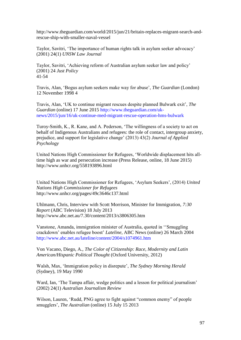http://www.theguardian.com/world/2015/jun/21/britain-replaces-migrant-search-andrescue-ship-with-smaller-naval-vessel

Taylor, Savitri, 'The importance of human rights talk in asylum seeker advocacy' (2001) 24(1) *UNSW Law Journal*

Taylor, Savitri, 'Achieving reform of Australian asylum seeker law and policy' (2001) 24 *Just Policy* 41-54

Travis, Alan, 'Bogus asylum seekers make way for abuse', *The Guardian* (London) 12 November 1998 4

Travis, Alan, 'UK to continue migrant rescues despite planned Bulwark exit', *The Guardian* (online) 17 June 2015 [http://www.theguardian.com/uk](http://www.theguardian.com/uk-news/2015/jun/16/uk-continue-med-migrant-rescue-operation-hms-bulwark)[news/2015/jun/16/uk-continue-med-migrant-rescue-operation-hms-bulwark](http://www.theguardian.com/uk-news/2015/jun/16/uk-continue-med-migrant-rescue-operation-hms-bulwark)

Turoy-Smith, K., R. Kane, and A. Pederson, 'The willingness of a society to act on behalf of Indigenous Australians and refugees: the role of contact, intergroup anxiety, prejudice, and support for legislative change' (2013) 43(2) *Journal of Applied Psychology*

United Nations High Commissioner for Refugees, 'Worldwide displacement hits alltime high as war and persecution increase (Press Release, online, 18 June 2015) http://www.unhcr.org/558193896.html

United Nations High Commissioner for Refugees, 'Asylum Seekers', (2014) *United Nations High Commissioner for Refugees*  <http://www.unhcr.org/pages/49c3646c137.html>

Uhlmann, Chris, Interview with Scott Morrison, Minister for Immigration, *7:30 Report* (ABC Television) 18 July 2013 <http://www.abc.net.au/7.30/content/2013/s3806305.htm>

Vanstone, Amanda, immigration minister of Australia, quoted in ''Smuggling crackdown' enables refugee boost' *Lateline*, ABC News (online) 26 March 2004 <http://www.abc.net.au/lateline/content/2004/s1074961.htm>

Von Vacano, Diego, A., *The Color of Citizenship: Race, Modernity and Latin American/Hispanic Political Thought* (Oxford University, 2012)

Walsh, Max, 'Immigration policy in disrepute', *The Sydney Morning Herald* (Sydney), 19 May 1990

Ward, Ian, 'The Tampa affair, wedge politics and a lesson for political journalism' (2002) 24(1) *Australian Journalism Review*

Wilson, Lauren, 'Rudd, PNG agree to fight against "common enemy" of people smugglers', *The Australian* (online) 15 July 15 2013